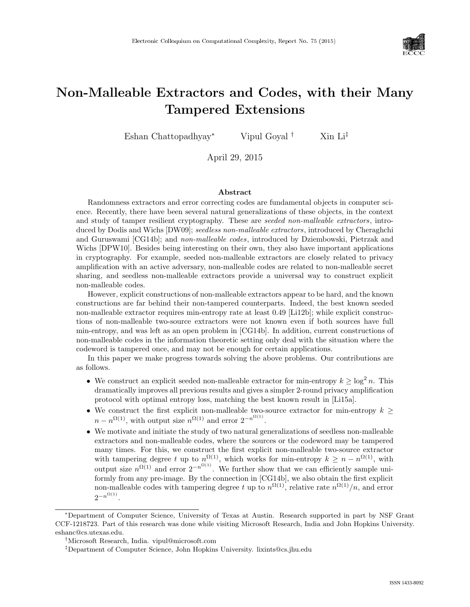

# Non-Malleable Extractors and Codes, with their Many Tampered Extensions

Eshan Chattopadhyay<sup>∗</sup> Vipul Goyal † Xin Li‡

April 29, 2015

#### Abstract

Randomness extractors and error correcting codes are fundamental objects in computer science. Recently, there have been several natural generalizations of these objects, in the context and study of tamper resilient cryptography. These are seeded non-malleable extractors, intro-duced by Dodis and Wichs [\[DW09\]](#page--1-0); seedless non-malleable extractors, introduced by Cheraghchi and Guruswami [\[CG14b\]](#page--1-1); and non-malleable codes, introduced by Dziembowski, Pietrzak and Wichs [\[DPW10\]](#page--1-2). Besides being interesting on their own, they also have important applications in cryptography. For example, seeded non-malleable extractors are closely related to privacy amplification with an active adversary, non-malleable codes are related to non-malleable secret sharing, and seedless non-malleable extractors provide a universal way to construct explicit non-malleable codes.

However, explicit constructions of non-malleable extractors appear to be hard, and the known constructions are far behind their non-tampered counterparts. Indeed, the best known seeded non-malleable extractor requires min-entropy rate at least 0.49 [\[Li12b\]](#page--1-3); while explicit constructions of non-malleable two-source extractors were not known even if both sources have full min-entropy, and was left as an open problem in [\[CG14b\]](#page--1-1). In addition, current constructions of non-malleable codes in the information theoretic setting only deal with the situation where the codeword is tampered once, and may not be enough for certain applications.

In this paper we make progress towards solving the above problems. Our contributions are as follows.

- We construct an explicit seeded non-malleable extractor for min-entropy  $k \geq \log^2 n$ . This dramatically improves all previous results and gives a simpler 2-round privacy amplification protocol with optimal entropy loss, matching the best known result in [\[Li15a\]](#page--1-4).
- We construct the first explicit non-malleable two-source extractor for min-entropy  $k >$  $n - n^{\Omega(1)}$ , with output size  $n^{\Omega(1)}$  and error  $2^{-n^{\Omega(1)}}$ .
- We motivate and initiate the study of two natural generalizations of seedless non-malleable extractors and non-malleable codes, where the sources or the codeword may be tampered many times. For this, we construct the first explicit non-malleable two-source extractor with tampering degree t up to  $n^{\Omega(1)}$ , which works for min-entropy  $k \geq n - n^{\Omega(1)}$ , with output size  $n^{\Omega(1)}$  and error  $2^{-n^{\Omega(1)}}$ . We further show that we can efficiently sample uniformly from any pre-image. By the connection in [\[CG14b\]](#page--1-1), we also obtain the first explicit non-malleable codes with tampering degree t up to  $n^{\Omega(1)}$ , relative rate  $n^{\Omega(1)}/n$ , and error  $2^{-n^{\Omega(1)}}$ .

<sup>∗</sup>Department of Computer Science, University of Texas at Austin. Research supported in part by NSF Grant CCF-1218723. Part of this research was done while visiting Microsoft Research, India and John Hopkins University. eshanc@cs.utexas.edu.

<sup>†</sup>Microsoft Research, India. vipul@microsoft.com

<sup>‡</sup>Department of Computer Science, John Hopkins University. lixints@cs.jhu.edu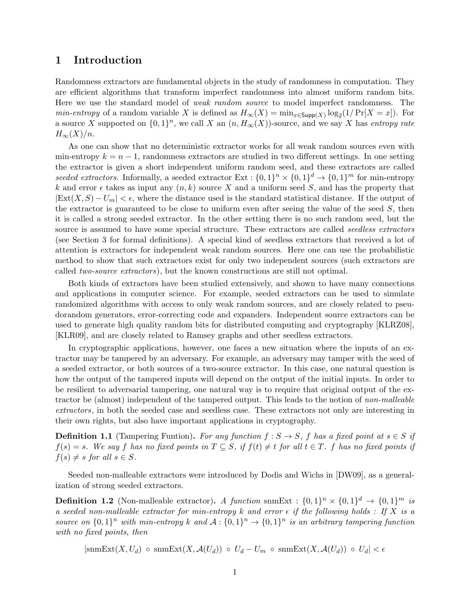## 1 Introduction

Randomness extractors are fundamental objects in the study of randomness in computation. They are efficient algorithms that transform imperfect randomness into almost uniform random bits. Here we use the standard model of weak random source to model imperfect randomness. The *min-entropy* of a random variable X is defined as  $H_{\infty}(X) = \min_{x \in \text{Supp}(X)} \log_2(1/\Pr[X=x])$ . For a source X supported on  $\{0,1\}^n$ , we call X an  $(n, H_{\infty}(X))$ -source, and we say X has entropy rate  $H_{\infty}(X)/n$ .

As one can show that no deterministic extractor works for all weak random sources even with min-entropy  $k = n - 1$ , randomness extractors are studied in two different settings. In one setting the extractor is given a short independent uniform random seed, and these extractors are called seeded extractors. Informally, a seeded extractor  $Ext : \{0,1\}^n \times \{0,1\}^d \to \{0,1\}^m$  for min-entropy k and error  $\epsilon$  takes as input any  $(n, k)$  source X and a uniform seed S, and has the property that  $|\text{Ext}(X, S) - U_m| < \epsilon$ , where the distance used is the standard statistical distance. If the output of the extractor is guaranteed to be close to uniform even after seeing the value of the seed  $S$ , then it is called a strong seeded extractor. In the other setting there is no such random seed, but the source is assumed to have some special structure. These extractors are called seedless extractors (see Section [3](#page-19-0) for formal definitions). A special kind of seedless extractors that received a lot of attention is extractors for independent weak random sources. Here one can use the probabilistic method to show that such extractors exist for only two independent sources (such extractors are called two-source extractors), but the known constructions are still not optimal.

Both kinds of extractors have been studied extensively, and shown to have many connections and applications in computer science. For example, seeded extractors can be used to simulate randomized algorithms with access to only weak random sources, and are closely related to pseudorandom generators, error-correcting code and expanders. Independent source extractors can be used to generate high quality random bits for distributed computing and cryptography [\[KLRZ08\]](#page-49-0), [\[KLR09\]](#page-49-1), and are closely related to Ramsey graphs and other seedless extractors.

In cryptographic applications, however, one faces a new situation where the inputs of an extractor may be tampered by an adversary. For example, an adversary may tamper with the seed of a seeded extractor, or both sources of a two-source extractor. In this case, one natural question is how the output of the tampered inputs will depend on the output of the initial inputs. In order to be resilient to adversarial tampering, one natural way is to require that original output of the extractor be (almost) independent of the tampered output. This leads to the notion of non-malleable extractors, in both the seeded case and seedless case. These extractors not only are interesting in their own rights, but also have important applications in cryptography.

**Definition 1.1** (Tampering Funtion). For any function  $f : S \to S$ , f has a fixed point at  $s \in S$  if  $f(s) = s$ . We say f has no fixed points in  $T \subseteq S$ , if  $f(t) \neq t$  for all  $t \in T$ . f has no fixed points if  $f(s) \neq s$  for all  $s \in S$ .

Seeded non-malleable extractors were introduced by Dodis and Wichs in [\[DW09\]](#page-48-0), as a generalization of strong seeded extractors.

**Definition 1.2** (Non-malleable extractor). A function snmExt :  $\{0,1\}^n \times \{0,1\}^d \rightarrow \{0,1\}^m$  is a seeded non-malleable extractor for min-entropy k and error  $\epsilon$  if the following holds : If X is a source on  $\{0,1\}^n$  with min-entropy k and  $A: \{0,1\}^n \to \{0,1\}^n$  is an arbitrary tampering function with no fixed points, then

 $|\text{snmExt}(X, U_d) \text{ o } \text{snmExt}(X, \mathcal{A}(U_d)) \text{ o } U_d - U_m \text{ o } \text{snmExt}(X, \mathcal{A}(U_d)) \text{ o } U_d| < \epsilon$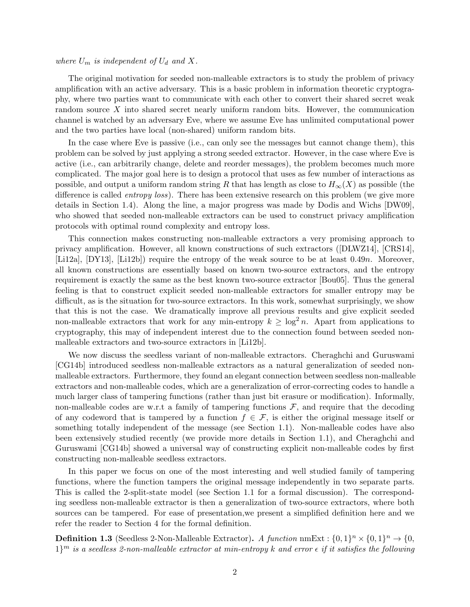#### where  $U_m$  is independent of  $U_d$  and X.

The original motivation for seeded non-malleable extractors is to study the problem of privacy amplification with an active adversary. This is a basic problem in information theoretic cryptography, where two parties want to communicate with each other to convert their shared secret weak random source X into shared secret nearly uniform random bits. However, the communication channel is watched by an adversary Eve, where we assume Eve has unlimited computational power and the two parties have local (non-shared) uniform random bits.

In the case where Eve is passive (i.e., can only see the messages but cannot change them), this problem can be solved by just applying a strong seeded extractor. However, in the case where Eve is active (i.e., can arbitrarily change, delete and reorder messages), the problem becomes much more complicated. The major goal here is to design a protocol that uses as few number of interactions as possible, and output a uniform random string R that has length as close to  $H_{\infty}(X)$  as possible (the difference is called *entropy loss*). There has been extensive research on this problem (we give more details in Section 1.[4\)](#page-9-0). Along the line, a major progress was made by Dodis and Wichs [\[DW09\]](#page-48-0), who showed that seeded non-malleable extractors can be used to construct privacy amplification protocols with optimal round complexity and entropy loss.

This connection makes constructing non-malleable extractors a very promising approach to privacy amplification. However, all known constructions of such extractors ([\[DLWZ14\]](#page-48-1), [\[CRS14\]](#page-48-2), [\[Li12a\]](#page-49-2), [\[DY13\]](#page-48-3), [\[Li12b\]](#page-49-3)) require the entropy of the weak source to be at least 0.49n. Moreover, all known constructions are essentially based on known two-source extractors, and the entropy requirement is exactly the same as the best known two-source extractor [\[Bou05\]](#page-47-0). Thus the general feeling is that to construct explicit seeded non-malleable extractors for smaller entropy may be difficult, as is the situation for two-source extractors. In this work, somewhat surprisingly, we show that this is not the case. We dramatically improve all previous results and give explicit seeded non-malleable extractors that work for any min-entropy  $k \geq \log^2 n$ . Apart from applications to cryptography, this may of independent interest due to the connection found between seeded nonmalleable extractors and two-source extractors in [\[Li12b\]](#page-49-3).

We now discuss the seedless variant of non-malleable extractors. Cheraghchi and Guruswami [\[CG14b\]](#page-47-1) introduced seedless non-malleable extractors as a natural generalization of seeded nonmalleable extractors. Furthermore, they found an elegant connection between seedless non-malleable extractors and non-malleable codes, which are a generalization of error-correcting codes to handle a much larger class of tampering functions (rather than just bit erasure or modification). Informally, non-malleable codes are w.r.t a family of tampering functions  $\mathcal{F}$ , and require that the decoding of any codeword that is tampered by a function  $f \in \mathcal{F}$ , is either the original message itself or something totally independent of the message (see Section 1.[1\)](#page-4-0). Non-malleable codes have also been extensively studied recently (we provide more details in Section [1.1\)](#page-4-0), and Cheraghchi and Guruswami [\[CG14b\]](#page-47-1) showed a universal way of constructing explicit non-malleable codes by first constructing non-malleable seedless extractors.

In this paper we focus on one of the most interesting and well studied family of tampering functions, where the function tampers the original message independently in two separate parts. This is called the 2-split-state model (see Section [1](#page-4-0).1 for a formal discussion). The corresponding seedless non-malleable extractor is then a generalization of two-source extractors, where both sources can be tampered. For ease of presentation,we present a simplified definition here and we refer the reader to Section [4](#page-23-0) for the formal definition.

**Definition 1.3** (Seedless 2-Non-Malleable Extractor). A function nmExt :  $\{0,1\}^n \times \{0,1\}^n \rightarrow \{0,1\}^n$  $1\}$ <sup>m</sup> is a seedless 2-non-malleable extractor at min-entropy k and error  $\epsilon$  if it satisfies the following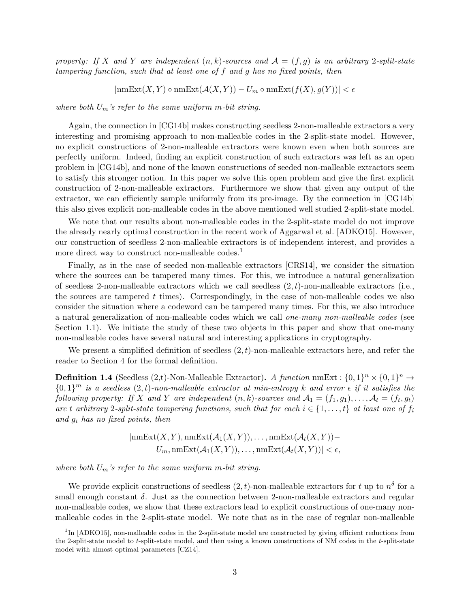property: If X and Y are independent  $(n, k)$ -sources and  $\mathcal{A} = (f, g)$  is an arbitrary 2-split-state tampering function, such that at least one of f and g has no fixed points, then

 $|\text{nmExt}(X, Y) \circ \text{nmExt}(\mathcal{A}(X, Y)) - U_m \circ \text{nmExt}(f(X), g(Y))| < \epsilon$ 

where both  $U_m$ 's refer to the same uniform m-bit string.

Again, the connection in [\[CG14b\]](#page-47-1) makes constructing seedless 2-non-malleable extractors a very interesting and promising approach to non-malleable codes in the 2-split-state model. However, no explicit constructions of 2-non-malleable extractors were known even when both sources are perfectly uniform. Indeed, finding an explicit construction of such extractors was left as an open problem in [\[CG14b\]](#page-47-1), and none of the known constructions of seeded non-malleable extractors seem to satisfy this stronger notion. In this paper we solve this open problem and give the first explicit construction of 2-non-malleable extractors. Furthermore we show that given any output of the extractor, we can efficiently sample uniformly from its pre-image. By the connection in [\[CG14b\]](#page-47-1) this also gives explicit non-malleable codes in the above mentioned well studied 2-split-state model.

We note that our results about non-malleable codes in the 2-split-state model do not improve the already nearly optimal construction in the recent work of Aggarwal et al. [\[ADKO15\]](#page-47-2). However, our construction of seedless 2-non-malleable extractors is of independent interest, and provides a more direct way to construct non-malleable codes.<sup>[1](#page-3-0)</sup>

Finally, as in the case of seeded non-malleable extractors [\[CRS14\]](#page-48-2), we consider the situation where the sources can be tampered many times. For this, we introduce a natural generalization of seedless 2-non-malleable extractors which we call seedless  $(2, t)$ -non-malleable extractors (i.e., the sources are tampered  $t$  times). Correspondingly, in the case of non-malleable codes we also consider the situation where a codeword can be tampered many times. For this, we also introduce a natural generalization of non-malleable codes which we call one-many non-malleable codes (see Section 1.[1\)](#page-4-0). We initiate the study of these two objects in this paper and show that one-many non-malleable codes have several natural and interesting applications in cryptography.

We present a simplified definition of seedless  $(2, t)$ -non-malleable extractors here, and refer the reader to Section [4](#page-23-0) for the formal definition.

**Definition 1.4** (Seedless (2,t)-Non-Malleable Extractor). A function nmExt :  $\{0,1\}^n \times \{0,1\}^n \rightarrow$  ${0,1}^m$  is a seedless  $(2,t)$ -non-malleable extractor at min-entropy k and error  $\epsilon$  if it satisfies the following property: If X and Y are independent  $(n, k)$ -sources and  $\mathcal{A}_1 = (f_1, g_1), \ldots, \mathcal{A}_t = (f_t, g_t)$ are t arbitrary 2-split-state tampering functions, such that for each  $i \in \{1, \ldots, t\}$  at least one of  $f_i$ and  $g_i$  has no fixed points, then

$$
|nmExt(X, Y), nmkExt(\mathcal{A}_1(X, Y)), \dots, nmkExt(\mathcal{A}_t(X, Y)) - U_m, nmkExt(\mathcal{A}_1(X, Y)), \dots, nmkExt(\mathcal{A}_t(X, Y))| < \epsilon,
$$

where both  $U_m$ 's refer to the same uniform m-bit string.

We provide explicit constructions of seedless  $(2,t)$ -non-malleable extractors for t up to  $n^{\delta}$  for a small enough constant  $\delta$ . Just as the connection between 2-non-malleable extractors and regular non-malleable codes, we show that these extractors lead to explicit constructions of one-many nonmalleable codes in the 2-split-state model. We note that as in the case of regular non-malleable

<span id="page-3-0"></span><sup>&</sup>lt;sup>1</sup>In [\[ADKO15\]](#page-47-2), non-malleable codes in the 2-split-state model are constructed by giving efficient reductions from the 2-split-state model to t-split-state model, and then using a known constructions of NM codes in the t-split-state model with almost optimal parameters [\[CZ14\]](#page-48-4).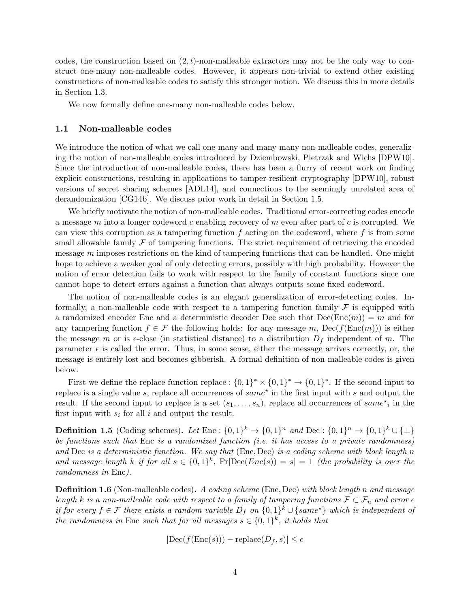codes, the construction based on  $(2, t)$ -non-malleable extractors may not be the only way to construct one-many non-malleable codes. However, it appears non-trivial to extend other existing constructions of non-malleable codes to satisfy this stronger notion. We discuss this in more details in Section 1.[3.](#page-8-0)

We now formally define one-many non-malleable codes below.

#### <span id="page-4-0"></span>1.1 Non-malleable codes

We introduce the notion of what we call one-many and many-many non-malleable codes, generalizing the notion of non-malleable codes introduced by Dziembowski, Pietrzak and Wichs [\[DPW10\]](#page-48-5). Since the introduction of non-malleable codes, there has been a flurry of recent work on finding explicit constructions, resulting in applications to tamper-resilient cryptography [\[DPW10\]](#page-48-5), robust versions of secret sharing schemes [\[ADL14\]](#page-47-3), and connections to the seemingly unrelated area of derandomization [\[CG14b\]](#page-47-1). We discuss prior work in detail in Section 1.[5.](#page-10-0)

We briefly motivate the notion of non-malleable codes. Traditional error-correcting codes encode a message m into a longer codeword c enabling recovery of m even after part of c is corrupted. We can view this corruption as a tampering function  $f$  acting on the codeword, where  $f$  is from some small allowable family  $\mathcal F$  of tampering functions. The strict requirement of retrieving the encoded message  $m$  imposes restrictions on the kind of tampering functions that can be handled. One might hope to achieve a weaker goal of only detecting errors, possibly with high probability. However the notion of error detection fails to work with respect to the family of constant functions since one cannot hope to detect errors against a function that always outputs some fixed codeword.

The notion of non-malleable codes is an elegant generalization of error-detecting codes. Informally, a non-malleable code with respect to a tampering function family  $\mathcal F$  is equipped with a randomized encoder Enc and a deterministic decoder Dec such that  $Dec(Enc(m)) = m$  and for any tampering function  $f \in \mathcal{F}$  the following holds: for any message m,  $\text{Dec}(f(\text{Enc}(m)))$  is either the message m or is  $\epsilon$ -close (in statistical distance) to a distribution  $D_f$  independent of m. The parameter  $\epsilon$  is called the error. Thus, in some sense, either the message arrives correctly, or, the message is entirely lost and becomes gibberish. A formal definition of non-malleable codes is given below.

First we define the replace function replace :  $\{0,1\}^* \times \{0,1\}^* \to \{0,1\}^*$ . If the second input to replace is a single value s, replace all occurrences of  $same^*$  in the first input with s and output the result. If the second input to replace is a set  $(s_1, \ldots, s_n)$ , replace all occurrences of  $same^*$  in the first input with  $s_i$  for all i and output the result.

**Definition 1.5** (Coding schemes). Let Enc :  $\{0,1\}^k \to \{0,1\}^n$  and Dec :  $\{0,1\}^n \to \{0,1\}^k \cup \{\perp\}$ be functions such that Enc is a randomized function (i.e. it has access to a private randomness) and Dec is a deterministic function. We say that (Enc, Dec) is a coding scheme with block length n and message length k if for all  $s \in \{0,1\}^k$ ,  $Pr[Dec(Enc(s)) = s] = 1$  (the probability is over the randomness in Enc).

**Definition 1.6** (Non-malleable codes). A coding scheme (Enc, Dec) with block length n and message length k is a non-malleable code with respect to a family of tampering functions  $\mathcal{F} \subset \mathcal{F}_n$  and error  $\epsilon$ if for every  $f \in \mathcal{F}$  there exists a random variable  $D_f$  on  $\{0,1\}^k \cup \{same^{\star}\}\$  which is independent of the randomness in Enc such that for all messages  $s \in \{0,1\}^k$ , it holds that

$$
|\text{Dec}(f(\text{Enc}(s))) - \text{replace}(D_f, s)| \le \epsilon
$$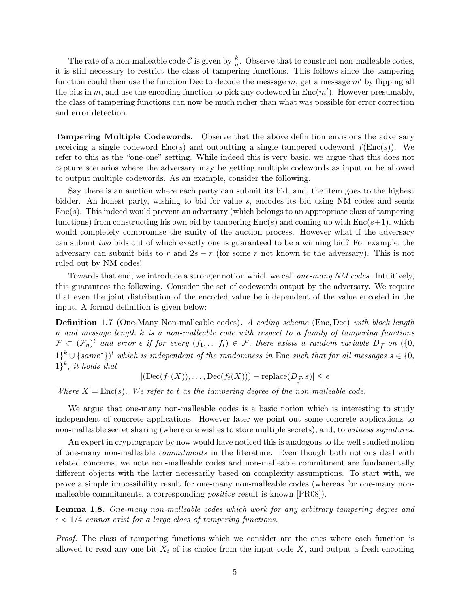The rate of a non-malleable code  $\mathcal C$  is given by  $\frac{k}{n}$ . Observe that to construct non-malleable codes, it is still necessary to restrict the class of tampering functions. This follows since the tampering function could then use the function Dec to decode the message  $m$ , get a message  $m'$  by flipping all the bits in m, and use the encoding function to pick any codeword in  $Enc(m')$ . However presumably, the class of tampering functions can now be much richer than what was possible for error correction and error detection.

Tampering Multiple Codewords. Observe that the above definition envisions the adversary receiving a single codeword  $Enc(s)$  and outputting a single tampered codeword  $f(Enc(s))$ . We refer to this as the "one-one" setting. While indeed this is very basic, we argue that this does not capture scenarios where the adversary may be getting multiple codewords as input or be allowed to output multiple codewords. As an example, consider the following.

Say there is an auction where each party can submit its bid, and, the item goes to the highest bidder. An honest party, wishing to bid for value s, encodes its bid using NM codes and sends  $Enc(s)$ . This indeed would prevent an adversary (which belongs to an appropriate class of tampering functions) from constructing his own bid by tampering  $Enc(s)$  and coming up with  $Enc(s+1)$ , which would completely compromise the sanity of the auction process. However what if the adversary can submit two bids out of which exactly one is guaranteed to be a winning bid? For example, the adversary can submit bids to r and  $2s - r$  (for some r not known to the adversary). This is not ruled out by NM codes!

Towards that end, we introduce a stronger notion which we call *one-many NM codes*. Intuitively, this guarantees the following. Consider the set of codewords output by the adversary. We require that even the joint distribution of the encoded value be independent of the value encoded in the input. A formal definition is given below:

<span id="page-5-0"></span>**Definition 1.7** (One-Many Non-malleable codes). A coding scheme (Enc, Dec) with block length n and message length  $k$  is a non-malleable code with respect to a family of tampering functions  $\mathcal{F} \subset (\mathcal{F}_n)^t$  and error  $\epsilon$  if for every  $(f_1, \ldots f_t) \in \mathcal{F}$ , there exists a random variable  $D_{\vec{f}}$  on  $(\{0,$  $1\}^{k} \cup \{same^{\star}\}^{t}$  which is independent of the randomness in Enc such that for all messages  $s \in \{0,$  $\{1\}^k$ , it holds that

$$
|(\mathrm{Dec}(f_1(X)),\ldots,\mathrm{Dec}(f_t(X))) - \mathrm{replace}(D_{\vec{f}},s)| \le \epsilon
$$

Where  $X = \text{Enc}(s)$ . We refer to t as the tampering degree of the non-malleable code.

We argue that one-many non-malleable codes is a basic notion which is interesting to study independent of concrete applications. However later we point out some concrete applications to non-malleable secret sharing (where one wishes to store multiple secrets), and, to witness signatures.

An expert in cryptography by now would have noticed this is analogous to the well studied notion of one-many non-malleable commitments in the literature. Even though both notions deal with related concerns, we note non-malleable codes and non-malleable commitment are fundamentally different objects with the latter necessarily based on complexity assumptions. To start with, we prove a simple impossibility result for one-many non-malleable codes (whereas for one-many nonmalleable commitments, a corresponding positive result is known [\[PR08\]](#page-49-4)).

Lemma 1.8. One-many non-malleable codes which work for any arbitrary tampering degree and  $\epsilon < 1/4$  cannot exist for a large class of tampering functions.

Proof. The class of tampering functions which we consider are the ones where each function is allowed to read any one bit  $X_i$  of its choice from the input code  $X$ , and output a fresh encoding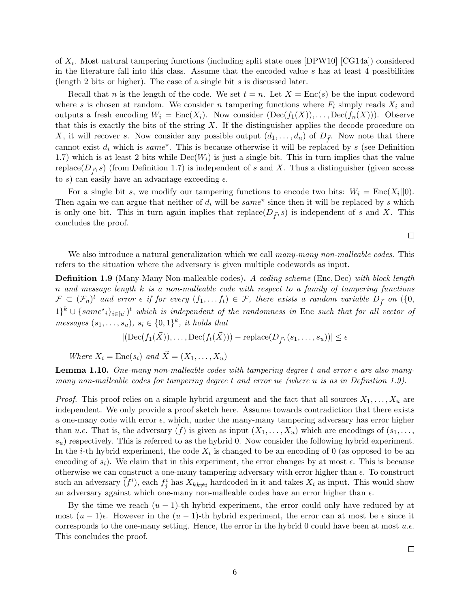of  $X_i$ . Most natural tampering functions (including split state ones [\[DPW10\]](#page-48-5) [\[CG14a\]](#page-47-4)) considered in the literature fall into this class. Assume that the encoded value  $s$  has at least 4 possibilities (length 2 bits or higher). The case of a single bit  $s$  is discussed later.

Recall that n is the length of the code. We set  $t = n$ . Let  $X = \text{Enc}(s)$  be the input codeword where s is chosen at random. We consider n tampering functions where  $F_i$  simply reads  $X_i$  and outputs a fresh encoding  $W_i = \text{Enc}(X_i)$ . Now consider  $(\text{Dec}(f_1(X)), \ldots, \text{Dec}(f_n(X)))$ . Observe that this is exactly the bits of the string  $X$ . If the distinguisher applies the decode procedure on X, it will recover s. Now consider any possible output  $(d_1, \ldots, d_n)$  of  $D_{\vec{f}}$ . Now note that there cannot exist  $d_i$  which is same<sup>\*</sup>. This is because otherwise it will be replaced by s (see Definition [1.7\)](#page-5-0) which is at least 2 bits while  $Dec(W_i)$  is just a single bit. This in turn implies that the value replace( $D_f$ , s) (from Definition [1.7\)](#page-5-0) is independent of s and X. Thus a distinguisher (given access to s) can easily have an advantage exceeding  $\epsilon$ .

For a single bit s, we modify our tampering functions to encode two bits:  $W_i = \text{Enc}(X_i||0)$ . Then again we can argue that neither of  $d_i$  will be  $same^*$  since then it will be replaced by s which is only one bit. This in turn again implies that replace( $D<sub>f</sub>$ , s) is independent of s and X. This concludes the proof.

 $\Box$ 

We also introduce a natural generalization which we call many-many non-malleable codes. This refers to the situation where the adversary is given multiple codewords as input.

<span id="page-6-0"></span>**Definition 1.9** (Many-Many Non-malleable codes). A coding scheme (Enc, Dec) with block length n and message length  $k$  is a non-malleable code with respect to a family of tampering functions  $\mathcal{F} \subset (\mathcal{F}_n)^t$  and error  $\epsilon$  if for every  $(f_1, \ldots f_t) \in \mathcal{F}$ , there exists a random variable  $D_{\vec{f}}$  on  $(\{0,$  $1\}^k \cup \{same^{\star}{}_{i}\}_{i\in [u]})^t$  which is independent of the randomness in Enc such that for all vector of *messages*  $(s_1, \ldots, s_u), s_i \in \{0,1\}^k$ , *it holds that* 

$$
|(\mathrm{Dec}(f_1(\vec{X})), \dots, \mathrm{Dec}(f_t(\vec{X}))) - \mathrm{replace}(D_{\vec{f}}, (s_1, \dots, s_u))| \le \epsilon
$$

Where  $X_i = \text{Enc}(s_i)$  and  $\vec{X} = (X_1, \ldots, X_u)$ 

**Lemma 1.10.** One-many non-malleable codes with tampering degree t and error  $\epsilon$  are also manymany non-malleable codes for tampering degree t and error  $u\epsilon$  (where u is as in Definition [1.9\)](#page-6-0).

*Proof.* This proof relies on a simple hybrid argument and the fact that all sources  $X_1, \ldots, X_u$  are independent. We only provide a proof sketch here. Assume towards contradiction that there exists a one-many code with error  $\epsilon$ , which, under the many-many tampering adversary has error higher than  $u.\epsilon$ . That is, the adversary  $(f)$  is given as input  $(X_1, \ldots, X_u)$  which are encodings of  $(s_1, \ldots, s_u)$  $s_u$ ) respectively. This is referred to as the hybrid 0. Now consider the following hybrid experiment. In the *i*-th hybrid experiment, the code  $X_i$  is changed to be an encoding of 0 (as opposed to be an encoding of  $s_i$ ). We claim that in this experiment, the error changes by at most  $\epsilon$ . This is because otherwise we can construct a one-many tampering adversary with error higher than  $\epsilon$ . To construct such an adversary  $(\vec{f}^i)$ , each  $f_j^i$  has  $X_{kk\neq i}$  hardcoded in it and takes  $X_i$  as input. This would show an adversary against which one-many non-malleable codes have an error higher than  $\epsilon$ .

By the time we reach  $(u - 1)$ -th hybrid experiment, the error could only have reduced by at most  $(u-1)\epsilon$ . However in the  $(u-1)$ -th hybrid experiment, the error can at most be  $\epsilon$  since it corresponds to the one-many setting. Hence, the error in the hybrid 0 could have been at most  $u.\epsilon$ . This concludes the proof.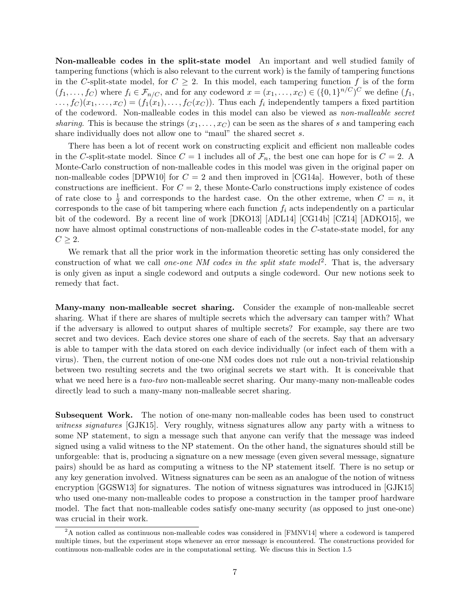Non-malleable codes in the split-state model An important and well studied family of tampering functions (which is also relevant to the current work) is the family of tampering functions in the C-split-state model, for  $C \geq 2$ . In this model, each tampering function f is of the form  $(f_1,\ldots,f_C)$  where  $f_i \in \mathcal{F}_{n/C}$ , and for any codeword  $x=(x_1,\ldots,x_C) \in (\{0,1\}^{n/C})^C$  we define  $(f_1,$  $\dots, f_C)(x_1, \dots, x_C) = (f_1(x_1), \dots, f_C(x_C)).$  Thus each  $f_i$  independently tampers a fixed partition of the codeword. Non-malleable codes in this model can also be viewed as non-malleable secret sharing. This is because the strings  $(x_1, \ldots, x_C)$  can be seen as the shares of s and tampering each share individually does not allow one to "maul" the shared secret s.

There has been a lot of recent work on constructing explicit and efficient non malleable codes in the C-split-state model. Since  $C = 1$  includes all of  $\mathcal{F}_n$ , the best one can hope for is  $C = 2$ . A Monte-Carlo construction of non-malleable codes in this model was given in the original paper on non-malleable codes  $[DPW10]$  for  $C = 2$  and then improved in  $[CG14a]$ . However, both of these constructions are inefficient. For  $C = 2$ , these Monte-Carlo constructions imply existence of codes of rate close to  $\frac{1}{2}$  and corresponds to the hardest case. On the other extreme, when  $C = n$ , it corresponds to the case of bit tampering where each function  $f_i$  acts independently on a particular bit of the codeword. By a recent line of work [\[DKO13\]](#page-48-6) [\[ADL14\]](#page-47-3) [\[CG14b\]](#page-47-1) [\[CZ14\]](#page-48-4) [\[ADKO15\]](#page-47-2), we now have almost optimal constructions of non-malleable codes in the C-state-state model, for any  $C \geq 2$ .

We remark that all the prior work in the information theoretic setting has only considered the construction of what we call one-one NM codes in the split state model<sup>[2](#page-7-0)</sup>. That is, the adversary is only given as input a single codeword and outputs a single codeword. Our new notions seek to remedy that fact.

Many-many non-malleable secret sharing. Consider the example of non-malleable secret sharing. What if there are shares of multiple secrets which the adversary can tamper with? What if the adversary is allowed to output shares of multiple secrets? For example, say there are two secret and two devices. Each device stores one share of each of the secrets. Say that an adversary is able to tamper with the data stored on each device individually (or infect each of them with a virus). Then, the current notion of one-one NM codes does not rule out a non-trivial relationship between two resulting secrets and the two original secrets we start with. It is conceivable that what we need here is a *two-two* non-malleable secret sharing. Our many-many non-malleable codes directly lead to such a many-many non-malleable secret sharing.

Subsequent Work. The notion of one-many non-malleable codes has been used to construct witness signatures [\[GJK15\]](#page-48-7). Very roughly, witness signatures allow any party with a witness to some NP statement, to sign a message such that anyone can verify that the message was indeed signed using a valid witness to the NP statement. On the other hand, the signatures should still be unforgeable: that is, producing a signature on a new message (even given several message, signature pairs) should be as hard as computing a witness to the NP statement itself. There is no setup or any key generation involved. Witness signatures can be seen as an analogue of the notion of witness encryption [\[GGSW13\]](#page-48-8) for signatures. The notion of witness signatures was introduced in [\[GJK15\]](#page-48-7) who used one-many non-malleable codes to propose a construction in the tamper proof hardware model. The fact that non-malleable codes satisfy one-many security (as opposed to just one-one) was crucial in their work.

<span id="page-7-0"></span><sup>&</sup>lt;sup>2</sup>A notion called as continuous non-malleable codes was considered in [\[FMNV14\]](#page-48-9) where a codeword is tampered multiple times, but the experiment stops whenever an error message is encountered. The constructions provided for continuous non-malleable codes are in the computational setting. We discuss this in Section [1](#page-10-0).5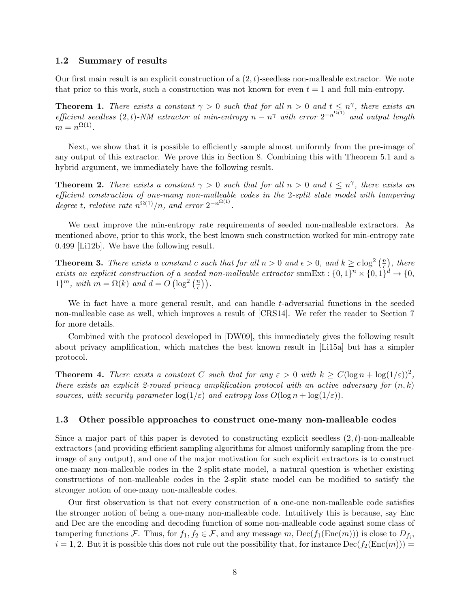#### 1.2 Summary of results

Our first main result is an explicit construction of a  $(2,t)$ -seedless non-malleable extractor. We note that prior to this work, such a construction was not known for even  $t = 1$  and full min-entropy.

**Theorem 1.** There exists a constant  $\gamma > 0$  such that for all  $n > 0$  and  $t \leq n^{\gamma}$ , there exists an efficient seedless  $(2,t)$ -NM extractor at min-entropy  $n - n^{\gamma}$  with error  $2^{-n^{\Omega(1)}}$  and output length  $m = n^{\Omega(1)}$ .

Next, we show that it is possible to efficiently sample almost uniformly from the pre-image of any output of this extractor. We prove this in Section [8.](#page-37-0) Combining this with Theorem [5](#page-24-0).1 and a hybrid argument, we immediately have the following result.

**Theorem 2.** There exists a constant  $\gamma > 0$  such that for all  $n > 0$  and  $t \leq n^{\gamma}$ , there exists an efficient construction of one-many non-malleable codes in the 2-split state model with tampering degree t, relative rate  $n^{\Omega(1)}/n$ , and error  $2^{-n^{\Omega(1)}}$ .

We next improve the min-entropy rate requirements of seeded non-malleable extractors. As mentioned above, prior to this work, the best known such construction worked for min-entropy rate 0.499 [\[Li12b\]](#page-49-3). We have the following result.

**Theorem 3.** There exists a constant c such that for all  $n > 0$  and  $\epsilon > 0$ , and  $k \geq c \log^2 \left( \frac{n}{\epsilon} \right)$  $(\frac{n}{\epsilon})$ , there exists an explicit construction of a seeded non-malleable extractor snmExt :  $\{0,1\}^n \times \{0,1\}^d \rightarrow \{0,1\}^d$  $1\}^m$ , with  $m = \Omega(k)$  and  $d = O(\log^2\left(\frac{n}{e}\right))$  $\frac{n}{\epsilon})$  ).

We in fact have a more general result, and can handle t-adversarial functions in the seeded non-malleable case as well, which improves a result of [\[CRS14\]](#page-48-2). We refer the reader to Section [7](#page-35-0) for more details.

Combined with the protocol developed in [\[DW09\]](#page-48-0), this immediately gives the following result about privacy amplification, which matches the best known result in [\[Li15a\]](#page-49-5) but has a simpler protocol.

**Theorem 4.** There exists a constant C such that for any  $\varepsilon > 0$  with  $k \ge C(\log n + \log(1/\varepsilon))^2$ , there exists an explicit 2-round privacy amplification protocol with an active adversary for  $(n, k)$ sources, with security parameter  $\log(1/\varepsilon)$  and entropy loss  $O(\log n + \log(1/\varepsilon))$ .

#### <span id="page-8-0"></span>1.3 Other possible approaches to construct one-many non-malleable codes

Since a major part of this paper is devoted to constructing explicit seedless  $(2, t)$ -non-malleable extractors (and providing efficient sampling algorithms for almost uniformly sampling from the preimage of any output), and one of the major motivation for such explicit extractors is to construct one-many non-malleable codes in the 2-split-state model, a natural question is whether existing constructions of non-malleable codes in the 2-split state model can be modified to satisfy the stronger notion of one-many non-malleable codes.

Our first observation is that not every construction of a one-one non-malleable code satisfies the stronger notion of being a one-many non-malleable code. Intuitively this is because, say Enc and Dec are the encoding and decoding function of some non-malleable code against some class of tampering functions F. Thus, for  $f_1, f_2 \in \mathcal{F}$ , and any message m,  $\text{Dec}(f_1(\text{Enc}(m)))$  is close to  $D_{f_i}$ ,  $i = 1, 2$ . But it is possible this does not rule out the possibility that, for instance  $\text{Dec}(f_2(\text{Enc}(m)))$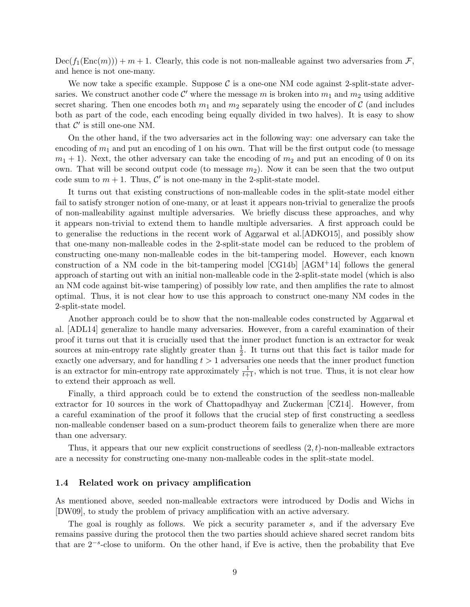$Dec(f_1(Enc(m))) + m + 1$ . Clearly, this code is not non-malleable against two adversaries from F, and hence is not one-many.

We now take a specific example. Suppose  $\mathcal C$  is a one-one NM code against 2-split-state adversaries. We construct another code  $\mathcal{C}'$  where the message m is broken into  $m_1$  and  $m_2$  using additive secret sharing. Then one encodes both  $m_1$  and  $m_2$  separately using the encoder of C (and includes both as part of the code, each encoding being equally divided in two halves). It is easy to show that  $\mathcal{C}'$  is still one-one NM.

On the other hand, if the two adversaries act in the following way: one adversary can take the encoding of  $m_1$  and put an encoding of 1 on his own. That will be the first output code (to message  $m_1 + 1$ ). Next, the other adversary can take the encoding of  $m_2$  and put an encoding of 0 on its own. That will be second output code (to message  $m_2$ ). Now it can be seen that the two output code sum to  $m + 1$ . Thus,  $\mathcal{C}'$  is not one-many in the 2-split-state model.

It turns out that existing constructions of non-malleable codes in the split-state model either fail to satisfy stronger notion of one-many, or at least it appears non-trivial to generalize the proofs of non-malleability against multiple adversaries. We briefly discuss these approaches, and why it appears non-trivial to extend them to handle multiple adversaries. A first approach could be to generalise the reductions in the recent work of Aggarwal et al.[\[ADKO15\]](#page-47-2), and possibly show that one-many non-malleable codes in the 2-split-state model can be reduced to the problem of constructing one-many non-malleable codes in the bit-tampering model. However, each known construction of a NM code in the bit-tampering model  $[CG14b]$   $[AGM<sup>+14</sup>]$  $[AGM<sup>+14</sup>]$  follows the general approach of starting out with an initial non-malleable code in the 2-split-state model (which is also an NM code against bit-wise tampering) of possibly low rate, and then amplifies the rate to almost optimal. Thus, it is not clear how to use this approach to construct one-many NM codes in the 2-split-state model.

Another approach could be to show that the non-malleable codes constructed by Aggarwal et al. [\[ADL14\]](#page-47-3) generalize to handle many adversaries. However, from a careful examination of their proof it turns out that it is crucially used that the inner product function is an extractor for weak sources at min-entropy rate slightly greater than  $\frac{1}{2}$ . It turns out that this fact is tailor made for exactly one adversary, and for handling  $t > 1$  adversaries one needs that the inner product function is an extractor for min-entropy rate approximately  $\frac{1}{t+1}$ , which is not true. Thus, it is not clear how to extend their approach as well.

Finally, a third approach could be to extend the construction of the seedless non-malleable extractor for 10 sources in the work of Chattopadhyay and Zuckerman [\[CZ14\]](#page-48-4). However, from a careful examination of the proof it follows that the crucial step of first constructing a seedless non-malleable condenser based on a sum-product theorem fails to generalize when there are more than one adversary.

Thus, it appears that our new explicit constructions of seedless  $(2, t)$ -non-malleable extractors are a necessity for constructing one-many non-malleable codes in the split-state model.

#### <span id="page-9-0"></span>1.4 Related work on privacy amplification

As mentioned above, seeded non-malleable extractors were introduced by Dodis and Wichs in [\[DW09\]](#page-48-0), to study the problem of privacy amplification with an active adversary.

The goal is roughly as follows. We pick a security parameter s, and if the adversary Eve remains passive during the protocol then the two parties should achieve shared secret random bits that are 2−<sup>s</sup> -close to uniform. On the other hand, if Eve is active, then the probability that Eve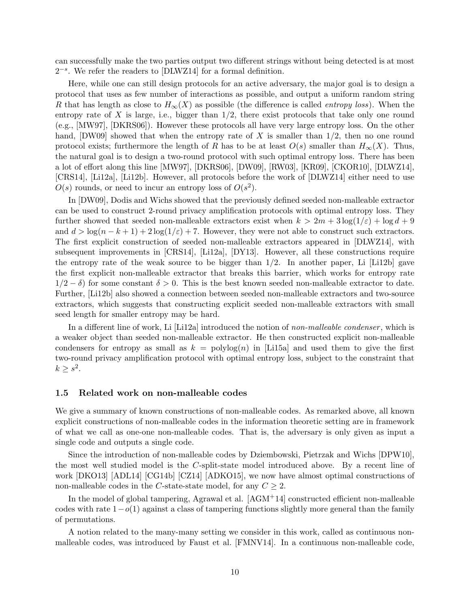can successfully make the two parties output two different strings without being detected is at most 2<sup>-s</sup>. We refer the readers to [\[DLWZ14\]](#page-48-1) for a formal definition.

Here, while one can still design protocols for an active adversary, the major goal is to design a protocol that uses as few number of interactions as possible, and output a uniform random string R that has length as close to  $H_{\infty}(X)$  as possible (the difference is called *entropy loss*). When the entropy rate of X is large, i.e., bigger than  $1/2$ , there exist protocols that take only one round (e.g., [\[MW97\]](#page-49-6), [\[DKRS06\]](#page-48-10)). However these protocols all have very large entropy loss. On the other hand,  $[DW09]$  showed that when the entropy rate of X is smaller than  $1/2$ , then no one round protocol exists; furthermore the length of R has to be at least  $O(s)$  smaller than  $H_{\infty}(X)$ . Thus, the natural goal is to design a two-round protocol with such optimal entropy loss. There has been a lot of effort along this line [\[MW97\]](#page-49-6), [\[DKRS06\]](#page-48-10), [\[DW09\]](#page-48-0), [\[RW03\]](#page--1-5), [\[KR09\]](#page-49-7), [\[CKOR10\]](#page-48-11), [\[DLWZ14\]](#page-48-1), [\[CRS14\]](#page-48-2), [\[Li12a\]](#page-49-2), [\[Li12b\]](#page-49-3). However, all protocols before the work of [\[DLWZ14\]](#page-48-1) either need to use  $O(s)$  rounds, or need to incur an entropy loss of  $O(s^2)$ .

In [\[DW09\]](#page-48-0), Dodis and Wichs showed that the previously defined seeded non-malleable extractor can be used to construct 2-round privacy amplification protocols with optimal entropy loss. They further showed that seeded non-malleable extractors exist when  $k > 2m + 3\log(1/\varepsilon) + \log d + 9$ and  $d > \log(n - k + 1) + 2\log(1/\varepsilon) + 7$ . However, they were not able to construct such extractors. The first explicit construction of seeded non-malleable extractors appeared in [\[DLWZ14\]](#page-48-1), with subsequent improvements in [\[CRS14\]](#page-48-2), [\[Li12a\]](#page-49-2), [\[DY13\]](#page-48-3). However, all these constructions require the entropy rate of the weak source to be bigger than  $1/2$ . In another paper, Li [\[Li12b\]](#page-49-3) gave the first explicit non-malleable extractor that breaks this barrier, which works for entropy rate  $1/2 - \delta$  for some constant  $\delta > 0$ . This is the best known seeded non-malleable extractor to date. Further, [\[Li12b\]](#page-49-3) also showed a connection between seeded non-malleable extractors and two-source extractors, which suggests that constructing explicit seeded non-malleable extractors with small seed length for smaller entropy may be hard.

In a different line of work, Li [\[Li12a\]](#page-49-2) introduced the notion of non-malleable condenser, which is a weaker object than seeded non-malleable extractor. He then constructed explicit non-malleable condensers for entropy as small as  $k = \text{polylog}(n)$  in [\[Li15a\]](#page-49-5) and used them to give the first two-round privacy amplification protocol with optimal entropy loss, subject to the constraint that  $k \geq s^2$ .

#### <span id="page-10-0"></span>1.5 Related work on non-malleable codes

We give a summary of known constructions of non-malleable codes. As remarked above, all known explicit constructions of non-malleable codes in the information theoretic setting are in framework of what we call as one-one non-malleable codes. That is, the adversary is only given as input a single code and outputs a single code.

Since the introduction of non-malleable codes by Dziembowski, Pietrzak and Wichs [\[DPW10\]](#page-48-5), the most well studied model is the C-split-state model introduced above. By a recent line of work [\[DKO13\]](#page-48-6) [\[ADL14\]](#page-47-3) [\[CG14b\]](#page-47-1) [\[CZ14\]](#page-48-4) [\[ADKO15\]](#page-47-2), we now have almost optimal constructions of non-malleable codes in the C-state-state model, for any  $C \geq 2$ .

In the model of global tampering, Agrawal et al.  $[AGM<sup>+</sup>14]$  $[AGM<sup>+</sup>14]$  constructed efficient non-malleable codes with rate  $1-o(1)$  against a class of tampering functions slightly more general than the family of permutations.

A notion related to the many-many setting we consider in this work, called as continuous nonmalleable codes, was introduced by Faust et al. [\[FMNV14\]](#page-48-9). In a continuous non-malleable code,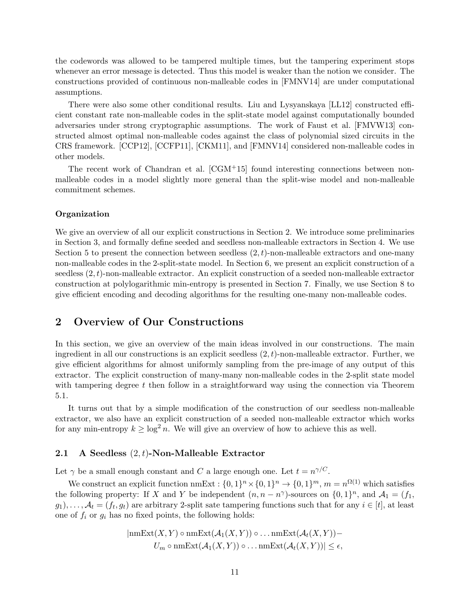the codewords was allowed to be tampered multiple times, but the tampering experiment stops whenever an error message is detected. Thus this model is weaker than the notion we consider. The constructions provided of continuous non-malleable codes in [\[FMNV14\]](#page-48-9) are under computational assumptions.

There were also some other conditional results. Liu and Lysyanskaya [\[LL12\]](#page-49-8) constructed efficient constant rate non-malleable codes in the split-state model against computationally bounded adversaries under strong cryptographic assumptions. The work of Faust et al. [\[FMVW13\]](#page-48-12) constructed almost optimal non-malleable codes against the class of polynomial sized circuits in the CRS framework. [\[CCP12\]](#page-47-6), [\[CCFP11\]](#page-47-7), [\[CKM11\]](#page-47-8), and [\[FMNV14\]](#page-48-9) considered non-malleable codes in other models.

The recent work of Chandran et al. [\[CGM](#page-47-9)+15] found interesting connections between nonmalleable codes in a model slightly more general than the split-wise model and non-malleable commitment schemes.

#### Organization

We give an overview of all our explicit constructions in Section [2.](#page-11-0) We introduce some preliminaries in Section [3,](#page-19-0) and formally define seeded and seedless non-malleable extractors in Section [4.](#page-23-0) We use Section [5](#page-24-1) to present the connection between seedless  $(2, t)$ -non-malleable extractors and one-many non-malleable codes in the 2-split-state model. In Section [6,](#page-24-2) we present an explicit construction of a seedless  $(2, t)$ -non-malleable extractor. An explicit construction of a seeded non-malleable extractor construction at polylogarithmic min-entropy is presented in Section [7.](#page-35-0) Finally, we use Section [8](#page-37-0) to give efficient encoding and decoding algorithms for the resulting one-many non-malleable codes.

## <span id="page-11-0"></span>2 Overview of Our Constructions

In this section, we give an overview of the main ideas involved in our constructions. The main ingredient in all our constructions is an explicit seedless  $(2, t)$ -non-malleable extractor. Further, we give efficient algorithms for almost uniformly sampling from the pre-image of any output of this extractor. The explicit construction of many-many non-malleable codes in the 2-split state model with tampering degree  $t$  then follow in a straightforward way using the connection via Theorem 5.[1.](#page-24-0)

It turns out that by a simple modification of the construction of our seedless non-malleable extractor, we also have an explicit construction of a seeded non-malleable extractor which works for any min-entropy  $k \geq \log^2 n$ . We will give an overview of how to achieve this as well.

#### 2.1 A Seedless  $(2, t)$ -Non-Malleable Extractor

Let  $\gamma$  be a small enough constant and C a large enough one. Let  $t = n^{\gamma/C}$ .

We construct an explicit function  $nmExt: \{0,1\}^n \times \{0,1\}^n \to \{0,1\}^m$ ,  $m = n^{\Omega(1)}$  which satisfies the following property: If X and Y be independent  $(n, n - n^{\gamma})$ -sources on  $\{0, 1\}^n$ , and  $\mathcal{A}_1 = (f_1, f_2)$  $(g_1), \ldots, \mathcal{A}_t = (f_t, g_t)$  are arbitrary 2-split sate tampering functions such that for any  $i \in [t]$ , at least one of  $f_i$  or  $g_i$  has no fixed points, the following holds:

$$
|nmExt(X, Y) \circ nmkExt(\mathcal{A}_1(X, Y)) \circ ... \cdot nmkExt(\mathcal{A}_t(X, Y)) - U_m \circ nmkExt(\mathcal{A}_1(X, Y)) \circ ... \cdot nmkExt(\mathcal{A}_t(X, Y))| \le \epsilon,
$$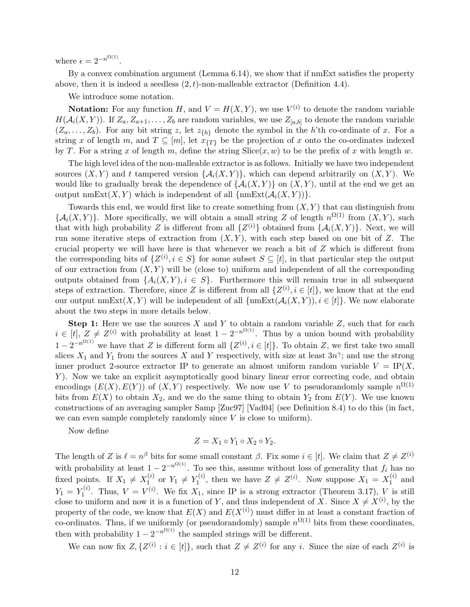where  $\epsilon = 2^{-n^{\Omega(1)}}$ .

By a convex combination argument (Lemma 6.[14\)](#page-33-0), we show that if nmExt satisfies the property above, then it is indeed a seedless  $(2, t)$ -non-malleable extractor (Definition 4.[4\)](#page-24-3).

We introduce some notation.

**Notation:** For any function H, and  $V = H(X, Y)$ , we use  $V^{(i)}$  to denote the random variable  $H(A_i(X,Y))$ . If  $Z_a, Z_{a+1}, \ldots, Z_b$  are random variables, we use  $Z_{[a,b]}$  to denote the random variable  $(Z_a, \ldots, Z_b)$ . For any bit string z, let  $z_{\{h\}}$  denote the symbol in the h'th co-ordinate of x. For a string x of length m, and  $T \subseteq [m]$ , let  $x_{\{T\}}$  be the projection of x onto the co-ordinates indexed by T. For a string x of length m, define the string  $Slice(x, w)$  to be the prefix of x with length w.

The high level idea of the non-malleable extractor is as follows. Initially we have two independent sources  $(X, Y)$  and t tampered version  $\{A_i(X, Y)\}\$ , which can depend arbitrarily on  $(X, Y)$ . We would like to gradually break the dependence of  $\{\mathcal{A}_i(X, Y)\}$  on  $(X, Y)$ , until at the end we get an output nmExt $(X, Y)$  which is independent of all  $\{\text{nmExt}(\mathcal{A}_i(X, Y))\}.$ 

Towards this end, we would first like to create something from  $(X, Y)$  that can distinguish from  $\{\mathcal{A}_i(X,Y)\}\.$  More specifically, we will obtain a small string Z of length  $n^{\Omega(1)}$  from  $(X,Y)$ , such that with high probability Z is different from all  $\{Z^{(i)}\}$  obtained from  $\{\mathcal{A}_i(X,Y)\}\$ . Next, we will run some iterative steps of extraction from  $(X, Y)$ , with each step based on one bit of Z. The crucial property we will have here is that whenever we reach a bit of Z which is different from the corresponding bits of  $\{Z^{(i)}, i \in S\}$  for some subset  $S \subseteq [t]$ , in that particular step the output of our extraction from  $(X, Y)$  will be (close to) uniform and independent of all the corresponding outputs obtained from  $\{A_i(X, Y), i \in S\}$ . Furthermore this will remain true in all subsequent steps of extraction. Therefore, since Z is different from all  $\{Z^{(i)}, i \in [t]\}$ , we know that at the end our output nmExt $(X, Y)$  will be independent of all  $\{\text{nmExt}(\mathcal{A}_i(X, Y)), i \in [t]\}.$  We now elaborate about the two steps in more details below.

**Step 1:** Here we use the sources X and Y to obtain a random variable Z, such that for each  $i \in [t], Z \neq Z^{(i)}$  with probability at least  $1 - 2^{-n^{\Omega(1)}}$ . Thus by a union bound with probability  $1-2^{-n^{\Omega(1)}}$  we have that Z is different form all  $\{Z^{(i)}, i \in [t]\}$ . To obtain Z, we first take two small slices  $X_1$  and  $Y_1$  from the sources X and Y respectively, with size at least  $3n^{\gamma}$ ; and use the strong inner product 2-source extractor IP to generate an almost uniform random variable  $V = IP(X,$ Y). Now we take an explicit asymptotically good binary linear error correcting code, and obtain encodings  $(E(X), E(Y))$  of  $(X, Y)$  respectively. We now use V to pseudorandomly sample  $n^{\Omega(1)}$ bits from  $E(X)$  to obtain  $X_2$ , and we do the same thing to obtain  $Y_2$  from  $E(Y)$ . We use known constructions of an averaging sampler Samp [\[Zuc97\]](#page--1-6) [\[Vad04\]](#page--1-7) (see Definition [8.4\)](#page-39-0) to do this (in fact, we can even sample completely randomly since  $V$  is close to uniform).

Now define

$$
Z=X_1\circ Y_1\circ X_2\circ Y_2.
$$

The length of Z is  $\ell = n^{\beta}$  bits for some small constant  $\beta$ . Fix some  $i \in [t]$ . We claim that  $Z \neq Z^{(i)}$ with probability at least  $1 - 2^{-n^{\Omega(1)}}$ . To see this, assume without loss of generality that  $f_i$  has no fixed points. If  $X_1 \neq X_1^{(i)}$  $Y_1^{(i)}$  or  $Y_1 \neq Y_1^{(i)}$  $Z^{(i)}$ , then we have  $Z \neq Z^{(i)}$ . Now suppose  $X_1 = X_1^{(i)}$  $i^{(i)}$  and  $Y_1 = Y_1^{(i)}$  $Y_1^{(i)}$ . Thus,  $V = V^{(i)}$ . We fix  $X_1$ , since IP is a strong extractor (Theorem 3.[17\)](#page-22-0), V is still close to uniform and now it is a function of Y, and thus independent of X. Since  $X \neq X^{(i)}$ , by the property of the code, we know that  $E(X)$  and  $E(X^{(i)})$  must differ in at least a constant fraction of co-ordinates. Thus, if we uniformly (or pseudorandomly) sample  $n^{\Omega(1)}$  bits from these coordinates, then with probability  $1 - 2^{-n^{\Omega(1)}}$  the sampled strings will be different.

We can now fix  $Z, \{Z^{(i)} : i \in [t]\}$ , such that  $Z \neq Z^{(i)}$  for any i. Since the size of each  $Z^{(i)}$  is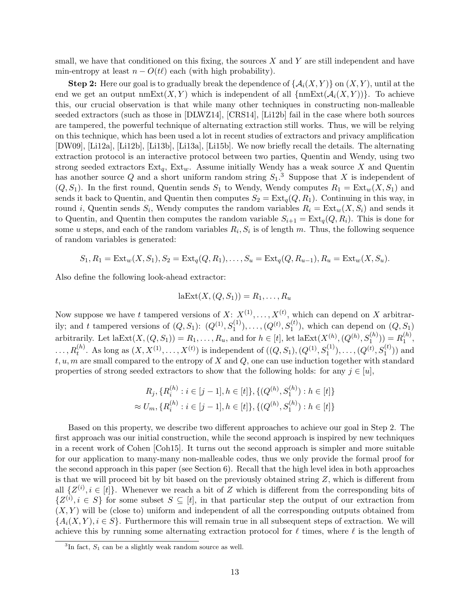small, we have that conditioned on this fixing, the sources  $X$  and  $Y$  are still independent and have min-entropy at least  $n - O(t\ell)$  each (with high probability).

**Step 2:** Here our goal is to gradually break the dependence of  $\{\mathcal{A}_i(X, Y)\}$  on  $(X, Y)$ , until at the end we get an output  $\operatorname{nmExt}(X, Y)$  which is independent of all  $\{\operatorname{nmExt}(\mathcal{A}_i(X, Y))\}$ . To achieve this, our crucial observation is that while many other techniques in constructing non-malleable seeded extractors (such as those in [\[DLWZ14\]](#page-48-1), [\[CRS14\]](#page-48-2), [\[Li12b\]](#page-49-3) fail in the case where both sources are tampered, the powerful technique of alternating extraction still works. Thus, we will be relying on this technique, which has been used a lot in recent studies of extractors and privacy amplification [\[DW09\]](#page-48-0), [\[Li12a\]](#page-49-2), [\[Li12b\]](#page-49-3), [\[Li13b\]](#page-49-9), [\[Li13a\]](#page-49-10), [\[Li15b\]](#page-49-11). We now briefly recall the details. The alternating extraction protocol is an interactive protocol between two parties, Quentin and Wendy, using two strong seeded extractors  $Ext_q$ ,  $Ext_w$ . Assume initially Wendy has a weak source X and Quentin has another source Q and a short uniform random string  $S_1$ .<sup>[3](#page-13-0)</sup> Suppose that X is independent of  $(Q, S_1)$ . In the first round, Quentin sends  $S_1$  to Wendy, Wendy computes  $R_1 = \text{Ext}_w(X, S_1)$  and sends it back to Quentin, and Quentin then computes  $S_2 = \text{Ext}_q(Q, R_1)$ . Continuing in this way, in round *i*, Quentin sends  $S_i$ , Wendy computes the random variables  $R_i = \text{Ext}_w(X, S_i)$  and sends it to Quentin, and Quentin then computes the random variable  $S_{i+1} = \text{Ext}_q(Q, R_i)$ . This is done for some u steps, and each of the random variables  $R_i, S_i$  is of length m. Thus, the following sequence of random variables is generated:

$$
S_1, R_1 = \text{Ext}_w(X, S_1), S_2 = \text{Ext}_q(Q, R_1), \dots, S_u = \text{Ext}_q(Q, R_{u-1}), R_u = \text{Ext}_w(X, S_u).
$$

Also define the following look-ahead extractor:

$$
laExt(X, (Q, S_1)) = R_1, \ldots, R_u
$$

Now suppose we have t tampered versions of  $X: X^{(1)}, \ldots, X^{(t)}$ , which can depend on X arbitrarily; and t tampered versions of  $(Q, S_1)$ :  $(Q^{(1)}, S_1^{(1)}), \ldots, (Q^{(t)}, S_1^{(t)})$ , which can depend on  $(Q, S_1)$ arbitrarily. Let  $\text{laExt}(X, (Q, S_1)) = R_1, \ldots, R_u$ , and for  $h \in [t]$ , let  $\text{laExt}(X^{(h)}_1, (Q^{(h)}, S^{(h)}_1)) = R_1^{(h)}$  $\binom{n}{1}$  $\ldots, R_t^{(h)}$ . As long as  $(X, X^{(1)}, \ldots, X^{(t)})$  is independent of  $((Q, S_1), (Q^{(1)}, S_1^{(1)}), \ldots, (Q^{(t)}, S_1^{(t)}))$  and  $t, u, m$  are small compared to the entropy of X and Q, one can use induction together with standard properties of strong seeded extractors to show that the following holds: for any  $j \in [u]$ ,

$$
R_j, \{R_i^{(h)} : i \in [j-1], h \in [t]\}, \{(Q^{(h)}, S_1^{(h)}) : h \in [t]\}
$$
  

$$
\approx U_m, \{R_i^{(h)} : i \in [j-1], h \in [t]\}, \{(Q^{(h)}, S_1^{(h)}) : h \in [t]\}
$$

Based on this property, we describe two different approaches to achieve our goal in Step 2. The first approach was our initial construction, while the second approach is inspired by new techniques in a recent work of Cohen [\[Coh15\]](#page-48-13). It turns out the second approach is simpler and more suitable for our application to many-many non-malleable codes, thus we only provide the formal proof for the second approach in this paper (see Section [6\)](#page-24-2). Recall that the high level idea in both approaches is that we will proceed bit by bit based on the previously obtained string  $Z$ , which is different from all  $\{Z^{(i)}, i \in [t]\}.$  Whenever we reach a bit of Z which is different from the corresponding bits of  $\{Z^{(i)}, i \in S\}$  for some subset  $S \subseteq [t]$ , in that particular step the output of our extraction from  $(X, Y)$  will be (close to) uniform and independent of all the corresponding outputs obtained from  ${A_i(X, Y), i \in S}$ . Furthermore this will remain true in all subsequent steps of extraction. We will achieve this by running some alternating extraction protocol for  $\ell$  times, where  $\ell$  is the length of

<span id="page-13-0"></span> ${}^{3}$ In fact,  $S_1$  can be a slightly weak random source as well.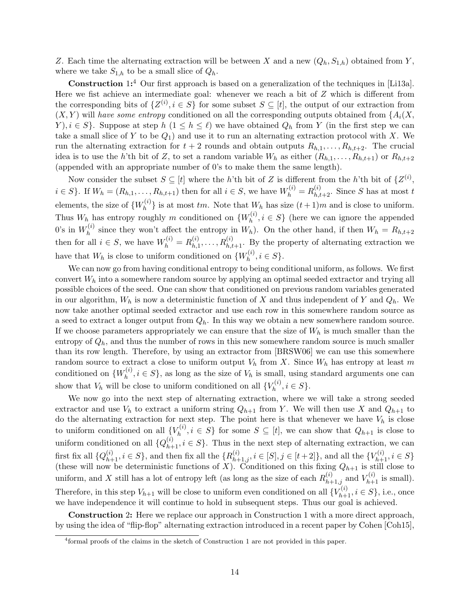Z. Each time the alternating extraction will be between X and a new  $(Q_h, S_{1,h})$  obtained from Y, where we take  $S_{1,h}$  to be a small slice of  $Q_h$ .

Construction 1:<sup>[4](#page-14-0)</sup> Our first approach is based on a generalization of the techniques in [\[Li13a\]](#page-49-10). Here we fist achieve an intermediate goal: whenever we reach a bit of Z which is different from the corresponding bits of  $\{Z^{(i)}, i \in S\}$  for some subset  $S \subseteq [t]$ , the output of our extraction from  $(X, Y)$  will have some entropy conditioned on all the corresponding outputs obtained from  ${A_i(X, \ldots, X_i)}$ Y),  $i \in S$ . Suppose at step  $h$   $(1 \leq h \leq \ell)$  we have obtained  $Q_h$  from Y (in the first step we can take a small slice of Y to be  $Q_1$ ) and use it to run an alternating extraction protocol with X. We run the alternating extraction for  $t + 2$  rounds and obtain outputs  $R_{h,1}, \ldots, R_{h,t+2}$ . The crucial idea is to use the h'th bit of Z, to set a random variable  $W_h$  as either  $(R_{h,1},\ldots,R_{h,t+1})$  or  $R_{h,t+2}$ (appended with an appropriate number of 0's to make them the same length).

Now consider the subset  $S \subseteq [t]$  where the h'th bit of Z is different from the h'th bit of  $\{Z^{(i)},\}$  $i \in S$ . If  $W_h = (R_{h,1}, \ldots, R_{h,t+1})$  then for all  $i \in S$ , we have  $W_h^{(i)} = R_{h,t+2}^{(i)}$ . Since S has at most t elements, the size of  $\{W_h^{(i)}\}$  $\{h^{(i)}\}$  is at most tm. Note that  $W_h$  has size  $(t+1)m$  and is close to uniform. Thus  $W_h$  has entropy roughly m conditioned on  $\{W_h^{(i)}\}$  $h^{(i)}$ ,  $i \in S$  (here we can ignore the appended 0's in  $W_h^{(i)}$  $h_h^{(i)}$  since they won't affect the entropy in  $W_h$ ). On the other hand, if then  $W_h = R_{h,t+2}$ then for all  $i \in S$ , we have  $W_h^{(i)} = R_{h,1}^{(i)}$  $h_{h,1}^{(i)}, \ldots, R_{h,t+1}^{(i)}$ . By the property of alternating extraction we have that  $W_h$  is close to uniform conditioned on  $\{W_h^{(i)}\}$  $h^{(i)}$ ,  $i \in S$ .

We can now go from having conditional entropy to being conditional uniform, as follows. We first convert  $W<sub>h</sub>$  into a somewhere random source by applying an optimal seeded extractor and trying all possible choices of the seed. One can show that conditioned on previous random variables generated in our algorithm,  $W_h$  is now a deterministic function of X and thus independent of Y and  $Q_h$ . We now take another optimal seeded extractor and use each row in this somewhere random source as a seed to extract a longer output from  $Q_h$ . In this way we obtain a new somewhere random source. If we choose parameters appropriately we can ensure that the size of  $W_h$  is much smaller than the entropy of  $Q_h$ , and thus the number of rows in this new somewhere random source is much smaller than its row length. Therefore, by using an extractor from [\[BRSW06\]](#page-47-10) we can use this somewhere random source to extract a close to uniform output  $V_h$  from X. Since  $W_h$  has entropy at least m conditioned on  $\{W_h^{(i)}\}$  $h_h^{(i)}$ ,  $i \in S$ , as long as the size of  $V_h$  is small, using standard arguments one can show that  $V_h$  will be close to uniform conditioned on all  $\{V_h^{(i)}\}$  $h^{(i)}$ ,  $i \in S$ .

We now go into the next step of alternating extraction, where we will take a strong seeded extractor and use  $V_h$  to extract a uniform string  $Q_{h+1}$  from Y. We will then use X and  $Q_{h+1}$  to do the alternating extraction for next step. The point here is that whenever we have  $V_h$  is close to uniform conditioned on all  $\{V_h^{(i)}\}$  $h_h^{\{v\}}, i \in S$  for some  $S \subseteq [t]$ , we can show that  $Q_{h+1}$  is close to uniform conditioned on all  $\{Q_{h+1}^{(i)}, i \in S\}$ . Thus in the next step of alternating extraction, we can first fix all  $\{Q_{h+1}^{(i)}, i \in S\}$ , and then fix all the  $\{R_{h+1,j}^{(i)}, i \in [S], j \in [t+2]\}$ , and all the  $\{V_{h+1}^{(i)}, i \in S\}$ (these will now be deterministic functions of X). Conditioned on this fixing  $Q_{h+1}$  is still close to uniform, and X still has a lot of entropy left (as long as the size of each  $R_{h+1,j}^{(i)}$  and  $V_{h+1}^{(i)}$  is small). Therefore, in this step  $V_{h+1}$  will be close to uniform even conditioned on all  $\{V_{h+1}^{(i)}, i \in S\}$ , i.e., once we have independence it will continue to hold in subsequent steps. Thus our goal is achieved.

Construction 2: Here we replace our approach in Construction 1 with a more direct approach, by using the idea of "flip-flop" alternating extraction introduced in a recent paper by Cohen [\[Coh15\]](#page-48-13),

<span id="page-14-0"></span><sup>4</sup> formal proofs of the claims in the sketch of Construction 1 are not provided in this paper.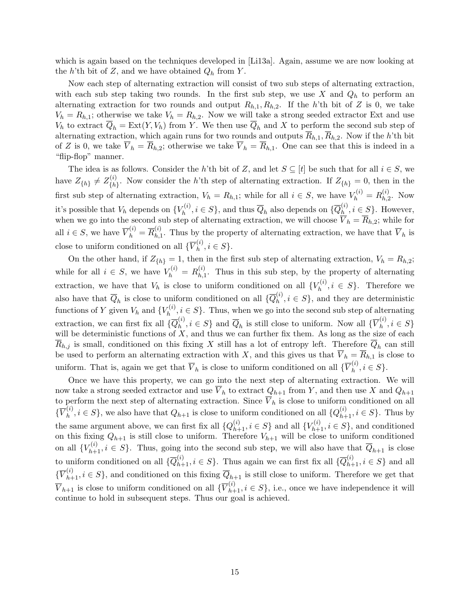which is again based on the techniques developed in [\[Li13a\]](#page-49-10). Again, assume we are now looking at the h'th bit of Z, and we have obtained  $Q_h$  from Y.

Now each step of alternating extraction will consist of two sub steps of alternating extraction, with each sub step taking two rounds. In the first sub step, we use  $X$  and  $Q_h$  to perform an alternating extraction for two rounds and output  $R_{h,1}, R_{h,2}$ . If the h'th bit of Z is 0, we take  $V_h = R_{h,1}$ ; otherwise we take  $V_h = R_{h,2}$ . Now we will take a strong seeded extractor Ext and use  $V_h$  to extract  $\overline{Q}_h = \text{Ext}(Y, V_h)$  from Y. We then use  $\overline{Q}_h$  and X to perform the second sub step of alternating extraction, which again runs for two rounds and outputs  $\overline{R}_{h,1}$ ,  $\overline{R}_{h,2}$ . Now if the h'th bit of Z is 0, we take  $\overline{V}_h = \overline{R}_{h,2}$ ; otherwise we take  $\overline{V}_h = \overline{R}_{h,1}$ . One can see that this is indeed in a "flip-flop" manner.

The idea is as follows. Consider the h'th bit of Z, and let  $S \subseteq [t]$  be such that for all  $i \in S$ , we have  $Z_{\{h\}} \neq Z_{\{h\}}^{(i)}$  ${k \choose \{h\}}$ . Now consider the h'th step of alternating extraction. If  $Z_{\{h\}} = 0$ , then in the first sub step of alternating extraction,  $V_h = R_{h,1}$ ; while for all  $i \in S$ , we have  $V_h^{(i)} = R_{h,2}^{(i)}$  $h^{(i)}_{h,2}$ . Now it's possible that  $V_h$  depends on  $\{V_h^{(i)}\}$  $\overline{Q}_h^{(i)}, i \in S$ }, and thus  $\overline{Q}_h$  also depends on  $\{\overline{Q}_h^{(i)}\}$  $h^{(i)}$ ,  $i \in S$ . However, when we go into the second sub step of alternating extraction, we will choose  $V_h = R_{h,2}$ ; while for all  $i \in S$ , we have  $\overline{V}_h^{(i)} = \overline{R}_{h,1}^{(i)}$  $h_{h,1}^{(i)}$ . Thus by the property of alternating extraction, we have that  $V_h$  is close to uniform conditioned on all  $\{V_h^{(i)}\}$  $h^{(i)}$ ,  $i \in S$ .

On the other hand, if  $Z_{\{h\}} = 1$ , then in the first sub step of alternating extraction,  $V_h = R_{h,2}$ ; while for all  $i \in S$ , we have  $V_h^{(i)} = R_{h,1}^{(i)}$  $h_{h,1}^{(i)}$ . Thus in this sub step, by the property of alternating extraction, we have that  $V_h$  is close to uniform conditioned on all  $\{V_h^{(i)}\}$  $h^{(i)}$ ,  $i \in S$ . Therefore we also have that  $\overline{Q}_h$  is close to uniform conditioned on all  $\{ \overline{Q}_h^{(i)} \}$  $h^{(i)}$ ,  $i \in S$ , and they are deterministic functions of Y given  $V_h$  and  $\{V_h^{(i)}\}$  $h^{(i)}$ ,  $i \in S$ . Thus, when we go into the second sub step of alternating extraction, we can first fix all  $\{\overline{Q}_h^{(i)}\}$  $\{a_h^{(i)}, i \in S\}$  and  $\overline{Q}_h$  is still close to uniform. Now all  $\{\overline{V}_h^{(i)}\}$  $_{h}^{\left( i\right) },i\in S\}$ will be deterministic functions of  $X$ , and thus we can further fix them. As long as the size of each  $R_{h,j}$  is small, conditioned on this fixing X still has a lot of entropy left. Therefore  $Q_h$  can still be used to perform an alternating extraction with X, and this gives us that  $\overline{V}_h = \overline{R}_{h,1}$  is close to uniform. That is, again we get that  $\overline{V}_h$  is close to uniform conditioned on all  $\{ \overline{V}_h^{(i)} \}$  $_{h}^{\left( i\right) },i\in S\}.$ 

Once we have this property, we can go into the next step of alternating extraction. We will now take a strong seeded extractor and use  $\overline{V}_h$  to extract  $Q_{h+1}$  from Y, and then use X and  $Q_{h+1}$ to perform the next step of alternating extraction. Since  $\overline{V}_h$  is close to uniform conditioned on all  $\{\overline{V}^{(i)}_h$  $\{a_i^{(i)}, i \in S\}$ , we also have that  $Q_{h+1}$  is close to uniform conditioned on all  $\{Q_{h+1}^{(i)}, i \in S\}$ . Thus by the same argument above, we can first fix all  $\{Q_{h+1}^{(i)}, i \in S\}$  and all  $\{V_{h+1}^{(i)}, i \in S\}$ , and conditioned on this fixing  $Q_{h+1}$  is still close to uniform. Therefore  $V_{h+1}$  will be close to uniform conditioned on all  ${V}_{h+1}^{(i)}$ ,  $i \in S$ . Thus, going into the second sub step, we will also have that  $\overline{Q}_{h+1}$  is close to uniform conditioned on all  $\{\overline{Q}_{h+1}^{(i)}, i \in S\}$ . Thus again we can first fix all  $\{\overline{Q}_{h+1}^{(i)}, i \in S\}$  and all  $\{\overline{V}_{h+1}^{(i)}, i \in S\}$ , and conditioned on this fixing  $\overline{Q}_{h+1}$  is still close to uniform. Therefore we get that  $\overline{V}_{h+1}$  is close to uniform conditioned on all  $\{\overline{V}_{h+1}^{(i)}, i \in S\}$ , i.e., once we have independence it will continue to hold in subsequent steps. Thus our goal is achieved.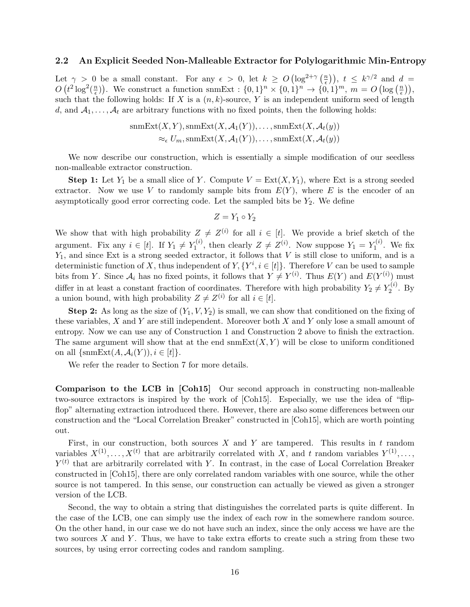#### 2.2 An Explicit Seeded Non-Malleable Extractor for Polylogarithmic Min-Entropy

Let  $\gamma > 0$  be a small constant. For any  $\epsilon > 0$ , let  $k \geq O(\log^{2+\gamma} \left(\frac{n}{\epsilon}\right))$  $(\frac{n}{\epsilon})$ ,  $t \leq k^{\gamma/2}$  and  $d =$  $O(t^2 \log^2(\frac{n}{\epsilon}))$  $\binom{n}{\epsilon}$ . We construct a function snmExt :  $\{0,1\}^n \times \{0,1\}^n \to \{0,1\}^m$ ,  $m = O\left(\log\left(\frac{n}{\epsilon}\right)\right)$  $\frac{n}{\epsilon}$ )), such that the following holds: If X is a  $(n, k)$ -source, Y is an independent uniform seed of length d, and  $A_1, \ldots, A_t$  are arbitrary functions with no fixed points, then the following holds:

$$
smExt(X, Y), smExt(X, A_1(Y)), \dots, smExt(X, A_t(y))
$$
  

$$
\approx_{\epsilon} U_m, smExt(X, A_1(Y)), \dots, smExt(X, A_t(y))
$$

We now describe our construction, which is essentially a simple modification of our seedless non-malleable extractor construction.

**Step 1:** Let  $Y_1$  be a small slice of Y. Compute  $V = \text{Ext}(X, Y_1)$ , where Ext is a strong seeded extractor. Now we use V to randomly sample bits from  $E(Y)$ , where E is the encoder of an asymptotically good error correcting code. Let the sampled bits be  $Y_2$ . We define

$$
Z=Y_1\circ Y_2
$$

We show that with high probability  $Z \neq Z^{(i)}$  for all  $i \in [t]$ . We provide a brief sketch of the argument. Fix any  $i \in [t]$ . If  $Y_1 \neq Y_1^{(i)}$  $Y_1^{(i)}$ , then clearly  $Z \neq Z^{(i)}$ . Now suppose  $Y_1 = Y_1^{(i)}$  $\mathbf{I}^{(i)}$ . We fix  $Y_1$ , and since Ext is a strong seeded extractor, it follows that V is still close to uniform, and is a deterministic function of X, thus independent of  $Y, \{Y^i, i \in [t]\}\$ . Therefore V can be used to sample bits from Y. Since  $A_i$  has no fixed points, it follows that  $Y \neq Y^{(i)}$ . Thus  $E(Y)$  and  $E(Y^{(i)})$  must differ in at least a constant fraction of coordinates. Therefore with high probability  $Y_2 \neq Y_2^{(i)}$  $2^{(i)}$ . By a union bound, with high probability  $Z \neq Z^{(i)}$  for all  $i \in [t]$ .

**Step 2:** As long as the size of  $(Y_1, V, Y_2)$  is small, we can show that conditioned on the fixing of these variables, X and Y are still independent. Moreover both X and Y only lose a small amount of entropy. Now we can use any of Construction 1 and Construction 2 above to finish the extraction. The same argument will show that at the end  $\operatorname{smExt}(X, Y)$  will be close to uniform conditioned on all  $\{\operatorname{snmExt}(A, \mathcal{A}_i(Y)), i \in [t]\}.$ 

We refer the reader to Section [7](#page-35-0) for more details.

Comparison to the LCB in [\[Coh15\]](#page-48-13) Our second approach in constructing non-malleable two-source extractors is inspired by the work of [\[Coh15\]](#page-48-13). Especially, we use the idea of "flipflop" alternating extraction introduced there. However, there are also some differences between our construction and the "Local Correlation Breaker" constructed in [\[Coh15\]](#page-48-13), which are worth pointing out.

First, in our construction, both sources  $X$  and  $Y$  are tampered. This results in  $t$  random variables  $X^{(1)}, \ldots, X^{(t)}$  that are arbitrarily correlated with X, and t random variables  $Y^{(1)}, \ldots, Y^{(t)}$  $Y^{(t)}$  that are arbitrarily correlated with Y. In contrast, in the case of Local Correlation Breaker constructed in [\[Coh15\]](#page-48-13), there are only correlated random variables with one source, while the other source is not tampered. In this sense, our construction can actually be viewed as given a stronger version of the LCB.

Second, the way to obtain a string that distinguishes the correlated parts is quite different. In the case of the LCB, one can simply use the index of each row in the somewhere random source. On the other hand, in our case we do not have such an index, since the only access we have are the two sources  $X$  and  $Y$ . Thus, we have to take extra efforts to create such a string from these two sources, by using error correcting codes and random sampling.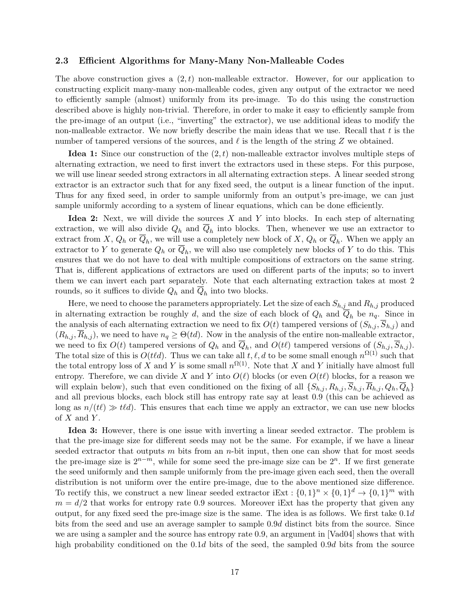#### 2.3 Efficient Algorithms for Many-Many Non-Malleable Codes

The above construction gives a  $(2, t)$  non-malleable extractor. However, for our application to constructing explicit many-many non-malleable codes, given any output of the extractor we need to efficiently sample (almost) uniformly from its pre-image. To do this using the construction described above is highly non-trivial. Therefore, in order to make it easy to efficiently sample from the pre-image of an output (i.e., "inverting" the extractor), we use additional ideas to modify the non-malleable extractor. We now briefly describe the main ideas that we use. Recall that  $t$  is the number of tampered versions of the sources, and  $\ell$  is the length of the string Z we obtained.

**Idea 1:** Since our construction of the  $(2, t)$  non-malleable extractor involves multiple steps of alternating extraction, we need to first invert the extractors used in these steps. For this purpose, we will use linear seeded strong extractors in all alternating extraction steps. A linear seeded strong extractor is an extractor such that for any fixed seed, the output is a linear function of the input. Thus for any fixed seed, in order to sample uniformly from an output's pre-image, we can just sample uniformly according to a system of linear equations, which can be done efficiently.

Idea 2: Next, we will divide the sources  $X$  and  $Y$  into blocks. In each step of alternating extraction, we will also divide  $Q_h$  and  $Q_h$  into blocks. Then, whenever we use an extractor to extract from X,  $Q_h$  or  $Q_h$ , we will use a completely new block of X,  $Q_h$  or  $Q_h$ . When we apply an extractor to Y to generate  $Q_h$  or  $Q_h$ , we will also use completely new blocks of Y to do this. This ensures that we do not have to deal with multiple compositions of extractors on the same string. That is, different applications of extractors are used on different parts of the inputs; so to invert them we can invert each part separately. Note that each alternating extraction takes at most 2 rounds, so it suffices to divide  $Q_h$  and  $Q_h$  into two blocks.

Here, we need to choose the parameters appropriately. Let the size of each  $S_{h,j}$  and  $R_{h,j}$  produced in alternating extraction be roughly d, and the size of each block of  $Q_h$  and  $\overline{Q}_h$  be  $n_q$ . Since in the analysis of each alternating extraction we need to fix  $O(t)$  tampered versions of  $(S_{h,i}, \overline{S}_{h,j})$  and  $(R_{h,j}, \overline{R}_{h,j})$ , we need to have  $n_q \geq \Theta(td)$ . Now in the analysis of the entire non-malleable extractor, we need to fix  $O(t)$  tampered versions of  $Q_h$  and  $Q_h$ , and  $O(t\ell)$  tampered versions of  $(S_{h,j}, S_{h,j})$ . The total size of this is  $O(t\ell d)$ . Thus we can take all  $t, \ell, d$  to be some small enough  $n^{\Omega(1)}$  such that the total entropy loss of X and Y is some small  $n^{\Omega(1)}$ . Note that X and Y initially have almost full entropy. Therefore, we can divide X and Y into  $O(\ell)$  blocks (or even  $O(t\ell)$  blocks, for a reason we will explain below), such that even conditioned on the fixing of all  $\{S_{h,j}, R_{h,j}, S_{h,j}, R_{h,j}, Q_h, Q_h\}$ and all previous blocks, each block still has entropy rate say at least 0.9 (this can be achieved as long as  $n/(t\ell) \gg t\ell d$ ). This ensures that each time we apply an extractor, we can use new blocks of  $X$  and  $Y$ .

Idea 3: However, there is one issue with inverting a linear seeded extractor. The problem is that the pre-image size for different seeds may not be the same. For example, if we have a linear seeded extractor that outputs  $m$  bits from an  $n$ -bit input, then one can show that for most seeds the pre-image size is  $2^{n-m}$ , while for some seed the pre-image size can be  $2^n$ . If we first generate the seed uniformly and then sample uniformly from the pre-image given each seed, then the overall distribution is not uniform over the entire pre-image, due to the above mentioned size difference. To rectify this, we construct a new linear seeded extractor  $iExt : \{0,1\}^n \times \{0,1\}^d \to \{0,1\}^m$  with  $m = d/2$  that works for entropy rate 0.9 sources. Moreover iExt has the property that given any output, for any fixed seed the pre-image size is the same. The idea is as follows. We first take  $0.1d$ bits from the seed and use an average sampler to sample 0.9d distinct bits from the source. Since we are using a sampler and the source has entropy rate 0.9, an argument in [\[Vad04\]](#page--1-7) shows that with high probability conditioned on the 0.1d bits of the seed, the sampled 0.9d bits from the source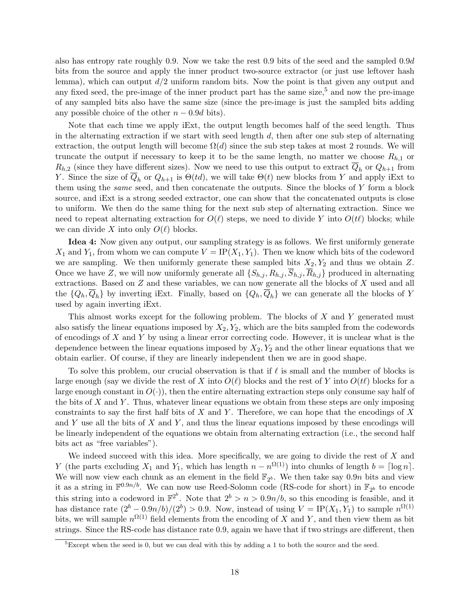also has entropy rate roughly 0.9. Now we take the rest 0.9 bits of the seed and the sampled 0.9d bits from the source and apply the inner product two-source extractor (or just use leftover hash lemma), which can output  $d/2$  uniform random bits. Now the point is that given any output and any fixed seed, the pre-image of the inner product part has the same size,<sup>[5](#page-18-0)</sup> and now the pre-image of any sampled bits also have the same size (since the pre-image is just the sampled bits adding any possible choice of the other  $n - 0.9d$  bits).

Note that each time we apply iExt, the output length becomes half of the seed length. Thus in the alternating extraction if we start with seed length  $d$ , then after one sub step of alternating extraction, the output length will become  $\Omega(d)$  since the sub step takes at most 2 rounds. We will truncate the output if necessary to keep it to be the same length, no matter we choose  $R_{h,1}$  or  $R_{h,2}$  (since they have different sizes). Now we need to use this output to extract  $\overline{Q}_h$  or  $Q_{h+1}$  from Y. Since the size of  $\overline{Q}_h$  or  $Q_{h+1}$  is  $\Theta(td)$ , we will take  $\Theta(t)$  new blocks from Y and apply iExt to them using the same seed, and then concatenate the outputs. Since the blocks of Y form a block source, and iExt is a strong seeded extractor, one can show that the concatenated outputs is close to uniform. We then do the same thing for the next sub step of alternating extraction. Since we need to repeat alternating extraction for  $O(\ell)$  steps, we need to divide Y into  $O(t\ell)$  blocks; while we can divide X into only  $O(\ell)$  blocks.

Idea 4: Now given any output, our sampling strategy is as follows. We first uniformly generate  $X_1$  and  $Y_1$ , from whom we can compute  $V = IP(X_1, Y_1)$ . Then we know which bits of the codeword we are sampling. We then uniformly generate these sampled bits  $X_2, Y_2$  and thus we obtain Z. Once we have Z, we will now uniformly generate all  $\{S_{h,j}, R_{h,j}, S_{h,j}, R_{h,j}\}$  produced in alternating extractions. Based on  $Z$  and these variables, we can now generate all the blocks of  $X$  used and all the  $\{Q_h, Q_h\}$  by inverting iExt. Finally, based on  $\{Q_h, Q_h\}$  we can generate all the blocks of Y used by again inverting iExt.

This almost works except for the following problem. The blocks of X and Y generated must also satisfy the linear equations imposed by  $X_2, Y_2$ , which are the bits sampled from the codewords of encodings of  $X$  and  $Y$  by using a linear error correcting code. However, it is unclear what is the dependence between the linear equations imposed by  $X_2, Y_2$  and the other linear equations that we obtain earlier. Of course, if they are linearly independent then we are in good shape.

To solve this problem, our crucial observation is that if  $\ell$  is small and the number of blocks is large enough (say we divide the rest of X into  $O(\ell)$  blocks and the rest of Y into  $O(t\ell)$  blocks for a large enough constant in  $O(·)$ , then the entire alternating extraction steps only consume say half of the bits of X and Y. Thus, whatever linear equations we obtain from these steps are only imposing constraints to say the first half bits of  $X$  and  $Y$ . Therefore, we can hope that the encodings of  $X$ and Y use all the bits of X and Y, and thus the linear equations imposed by these encodings will be linearly independent of the equations we obtain from alternating extraction (i.e., the second half bits act as "free variables").

We indeed succeed with this idea. More specifically, we are going to divide the rest of  $X$  and Y (the parts excluding  $X_1$  and  $Y_1$ , which has length  $n - n^{\Omega(1)}$ ) into chunks of length  $b = \lceil \log n \rceil$ . We will now view each chunk as an element in the field  $\mathbb{F}_{2^b}$ . We then take say 0.9n bits and view it as a string in  $\mathbb{F}^{0.9n/b}$ . We can now use Reed-Solomn code (RS-code for short) in  $\mathbb{F}_{2^b}$  to encode this string into a codeword in  $\mathbb{F}^{2^b}$ . Note that  $2^b > n > 0.9n/b$ , so this encoding is feasible, and it has distance rate  $(2^b - 0.9n/b)/(2^b) > 0.9$ . Now, instead of using  $V = IP(X_1, Y_1)$  to sample  $n^{\Omega(1)}$ bits, we will sample  $n^{\Omega(1)}$  field elements from the encoding of X and Y, and then view them as bit strings. Since the RS-code has distance rate 0.9, again we have that if two strings are different, then

<span id="page-18-0"></span><sup>&</sup>lt;sup>5</sup>Except when the seed is 0, but we can deal with this by adding a 1 to both the source and the seed.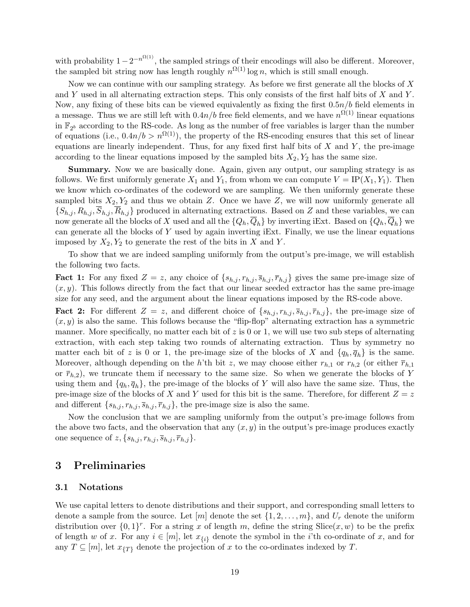with probability  $1-2^{-n^{\Omega(1)}}$ , the sampled strings of their encodings will also be different. Moreover, the sampled bit string now has length roughly  $n^{\Omega(1)}$  log n, which is still small enough.

Now we can continue with our sampling strategy. As before we first generate all the blocks of  $X$ and Y used in all alternating extraction steps. This only consists of the first half bits of X and Y. Now, any fixing of these bits can be viewed equivalently as fixing the first  $0.5n/b$  field elements in a message. Thus we are still left with  $0.4n/b$  free field elements, and we have  $n^{\Omega(1)}$  linear equations in  $\mathbb{F}_{2^b}$  according to the RS-code. As long as the number of free variables is larger than the number of equations (i.e.,  $0.4n/b > n^{\Omega(1)}$ ), the property of the RS-encoding ensures that this set of linear equations are linearly independent. Thus, for any fixed first half bits of  $X$  and  $Y$ , the pre-image according to the linear equations imposed by the sampled bits  $X_2, Y_2$  has the same size.

Summary. Now we are basically done. Again, given any output, our sampling strategy is as follows. We first uniformly generate  $X_1$  and  $Y_1$ , from whom we can compute  $V = IP(X_1, Y_1)$ . Then we know which co-ordinates of the codeword we are sampling. We then uniformly generate these sampled bits  $X_2, Y_2$  and thus we obtain Z. Once we have Z, we will now uniformly generate all  $\{S_{h,j}, R_{h,j}, \overline{S}_{h,j}, \overline{R}_{h,j}\}$  produced in alternating extractions. Based on Z and these variables, we can now generate all the blocks of X used and all the  $\{Q_h, \overline{Q}_h\}$  by inverting iExt. Based on  $\{Q_h, \overline{Q}_h\}$  we can generate all the blocks of  $Y$  used by again inverting iExt. Finally, we use the linear equations imposed by  $X_2, Y_2$  to generate the rest of the bits in X and Y.

To show that we are indeed sampling uniformly from the output's pre-image, we will establish the following two facts.

**Fact 1:** For any fixed  $Z = z$ , any choice of  $\{s_{h,j}, r_{h,j}, \overline{s}_{h,j}, \overline{r}_{h,j}\}$  gives the same pre-image size of  $(x, y)$ . This follows directly from the fact that our linear seeded extractor has the same pre-image size for any seed, and the argument about the linear equations imposed by the RS-code above.

**Fact 2:** For different  $Z = z$ , and different choice of  $\{s_{h,j}, r_{h,j}, \overline{s}_{h,j}, \overline{r}_{h,j}\}$ , the pre-image size of  $(x, y)$  is also the same. This follows because the "flip-flop" alternating extraction has a symmetric manner. More specifically, no matter each bit of  $z$  is 0 or 1, we will use two sub steps of alternating extraction, with each step taking two rounds of alternating extraction. Thus by symmetry no matter each bit of z is 0 or 1, the pre-image size of the blocks of X and  $\{q_h, \overline{q}_h\}$  is the same. Moreover, although depending on the h'th bit z, we may choose either  $r_{h,1}$  or  $r_{h,2}$  (or either  $\overline{r}_{h,1}$ or  $\bar{r}_{h,2}$ , we truncate them if necessary to the same size. So when we generate the blocks of Y using them and  $\{q_h, \overline{q}_h\}$ , the pre-image of the blocks of Y will also have the same size. Thus, the pre-image size of the blocks of X and Y used for this bit is the same. Therefore, for different  $Z = z$ and different  $\{s_{h,j}, r_{h,j}, \overline{s}_{h,j}, \overline{r}_{h,j}\}$ , the pre-image size is also the same.

Now the conclusion that we are sampling uniformly from the output's pre-image follows from the above two facts, and the observation that any  $(x, y)$  in the output's pre-image produces exactly one sequence of  $z, \{s_{h,j}, r_{h,j}, \overline{s}_{h,j}, \overline{r}_{h,j}\}.$ 

## <span id="page-19-0"></span>3 Preliminaries

#### 3.1 Notations

We use capital letters to denote distributions and their support, and corresponding small letters to denote a sample from the source. Let  $[m]$  denote the set  $\{1, 2, \ldots, m\}$ , and  $U_r$  denote the uniform distribution over  $\{0,1\}^r$ . For a string x of length m, define the string Slice(x, w) to be the prefix of length w of x. For any  $i \in [m]$ , let  $x_{\{i\}}$  denote the symbol in the *i*'th co-ordinate of x, and for any  $T \subseteq [m]$ , let  $x_{\{T\}}$  denote the projection of x to the co-ordinates indexed by T.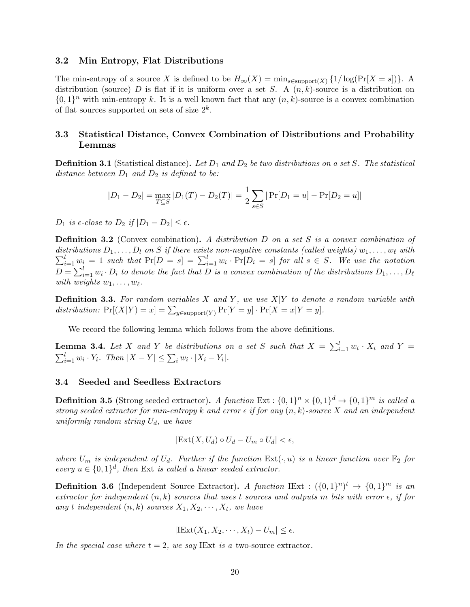#### 3.2 Min Entropy, Flat Distributions

The min-entropy of a source X is defined to be  $H_{\infty}(X) = \min_{s \in \text{support}(X)} \{1/\log(\Pr[X=s])\}.$  A distribution (source) D is flat if it is uniform over a set S. A  $(n, k)$ -source is a distribution on  $\{0,1\}^n$  with min-entropy k. It is a well known fact that any  $(n, k)$ -source is a convex combination of flat sources supported on sets of size  $2^k$ .

## 3.3 Statistical Distance, Convex Combination of Distributions and Probability Lemmas

**Definition 3.1** (Statistical distance). Let  $D_1$  and  $D_2$  be two distributions on a set S. The statistical distance between  $D_1$  and  $D_2$  is defined to be:

$$
|D_1 - D_2| = \max_{T \subseteq S} |D_1(T) - D_2(T)| = \frac{1}{2} \sum_{s \in S} |Pr[D_1 = u] - Pr[D_2 = u]|
$$

 $D_1$  is  $\epsilon$ -close to  $D_2$  if  $|D_1 - D_2| \leq \epsilon$ .

**Definition 3.2** (Convex combination). A distribution D on a set S is a convex combination of  $\sum_{i=1}^{l} w_i = 1$  such that  $Pr[D = s] = \sum_{i=1}^{l} w_i \cdot Pr[D_i = s]$  for all  $s \in S$ . We use the notation distributions  $D_1, \ldots, D_l$  on S if there exists non-negative constants (called weights)  $w_1, \ldots, w_\ell$  with  $D = \sum_{i=1}^{l} w_i \cdot D_i$  to denote the fact that D is a convex combination of the distributions  $D_1, \ldots, D_\ell$ with weights  $w_1, \ldots, w_\ell$ .

**Definition 3.3.** For random variables X and Y, we use  $X|Y$  to denote a random variable with distribution:  $Pr[(X|Y) = x] = \sum_{y \in support(Y)} Pr[Y = y] \cdot Pr[X = x|Y = y]$ .

We record the following lemma which follows from the above definitions.

**Lemma 3.4.** Let X and Y be distributions on a set S such that  $X = \sum_{i=1}^{l} w_i \cdot X_i$  and  $Y =$  $\sum_{i=1}^l w_i \cdot Y_i$ . Then  $|X - Y| \leq \sum_i w_i \cdot |X_i - Y_i|$ .

#### 3.4 Seeded and Seedless Extractors

**Definition 3.5** (Strong seeded extractor). A function  $Ext : \{0,1\}^n \times \{0,1\}^d \rightarrow \{0,1\}^m$  is called a strong seeded extractor for min-entropy k and error  $\epsilon$  if for any  $(n, k)$ -source X and an independent uniformly random string  $U_d$ , we have

$$
|\text{Ext}(X, U_d) \circ U_d - U_m \circ U_d| < \epsilon,
$$

where  $U_m$  is independent of  $U_d$ . Further if the function  $\text{Ext}(\cdot, u)$  is a linear function over  $\mathbb{F}_2$  for every  $u \in \{0,1\}^d$ , then Ext is called a linear seeded extractor.

**Definition 3.6** (Independent Source Extractor). A function IExt :  $({0, 1}^n)^t \rightarrow {0, 1}^m$  is an extractor for independent  $(n, k)$  sources that uses t sources and outputs m bits with error  $\epsilon$ , if for any t independent  $(n, k)$  sources  $X_1, X_2, \cdots, X_t$ , we have

$$
|\text{IExt}(X_1, X_2, \cdots, X_t) - U_m| \le \epsilon.
$$

In the special case where  $t = 2$ , we say IExt is a two-source extractor.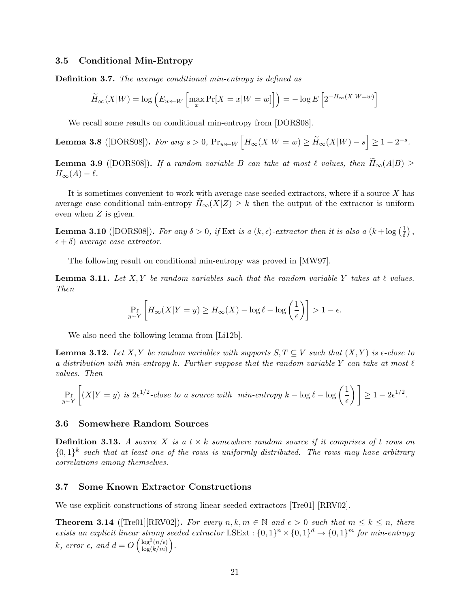#### 3.5 Conditional Min-Entropy

Definition 3.7. The average conditional min-entropy is defined as

$$
\widetilde{H}_{\infty}(X|W) = \log \left( E_{w \leftarrow W} \left[ \max_{x} \Pr[X = x|W = w] \right] \right) = -\log E \left[ 2^{-H_{\infty}(X|W=w)} \right]
$$

We recall some results on conditional min-entropy from [\[DORS08\]](#page-48-14).

**Lemma 3.8** ([DORS08]). For any 
$$
s > 0
$$
,  $\Pr_{w \leftarrow W} \left[ H_{\infty}(X|W=w) \ge \widetilde{H}_{\infty}(X|W) - s \right] \ge 1 - 2^{-s}$ .

<span id="page-21-1"></span>**Lemma 3.9** ([\[DORS08\]](#page-48-14)). If a random variable B can take at most  $\ell$  values, then  $H_{\infty}(A|B) \ge$  $H_{\infty}(A) - \ell.$ 

It is sometimes convenient to work with average case seeded extractors, where if a source  $X$  has average case conditional min-entropy  $H_{\infty}(X|Z) \geq k$  then the output of the extractor is uniform even when Z is given.

<span id="page-21-2"></span>**Lemma 3.10** ([\[DORS08\]](#page-48-14)). For any  $\delta > 0$ , if Ext is a  $(k, \epsilon)$ -extractor then it is also a  $(k + \log(\frac{1}{\delta}))$  $\frac{1}{\delta}$ ),  $(\epsilon + \delta)$  average case extractor.

The following result on conditional min-entropy was proved in [\[MW97\]](#page-49-6).

<span id="page-21-3"></span>**Lemma 3.11.** Let X, Y be random variables such that the random variable Y takes at  $\ell$  values. Then

$$
\Pr_{y \sim Y} \left[ H_{\infty}(X|Y=y) \ge H_{\infty}(X) - \log \ell - \log \left( \frac{1}{\epsilon} \right) \right] > 1 - \epsilon.
$$

We also need the following lemma from [\[Li12b\]](#page-49-3).

**Lemma 3.12.** Let X, Y be random variables with supports  $S, T \subseteq V$  such that  $(X, Y)$  is  $\epsilon$ -close to a distribution with min-entropy k. Further suppose that the random variable Y can take at most  $\ell$ values. Then

$$
\Pr_{y \sim Y} \left[ (X|Y=y) \text{ is } 2\epsilon^{1/2} \text{-close to a source with } \min\text{-entropy } k - \log \ell - \log \left( \frac{1}{\epsilon} \right) \right] \ge 1 - 2\epsilon^{1/2}.
$$

#### 3.6 Somewhere Random Sources

**Definition 3.13.** A source X is a  $t \times k$  somewhere random source if it comprises of t rows on  $\{0,1\}^k$  such that at least one of the rows is uniformly distributed. The rows may have arbitrary correlations among themselves.

#### 3.7 Some Known Extractor Constructions

We use explicit constructions of strong linear seeded extractors [\[Tre01\]](#page--1-8) [\[RRV02\]](#page--1-9).

<span id="page-21-0"></span>**Theorem 3.14** ([\[Tre01\]](#page--1-8)[\[RRV02\]](#page--1-9)). For every  $n, k, m \in \mathbb{N}$  and  $\epsilon > 0$  such that  $m \leq k \leq n$ , there exists an explicit linear strong seeded extractor LSExt :  $\{0,1\}^n \times \{0,1\}^d \rightarrow \{0,1\}^m$  for min-entropy k, error  $\epsilon$ , and  $d = O\left(\frac{\log^2(n/\epsilon)}{\log(k/m)}\right)$  $\frac{\log^2(n/\epsilon)}{\log(k/m)}\bigg).$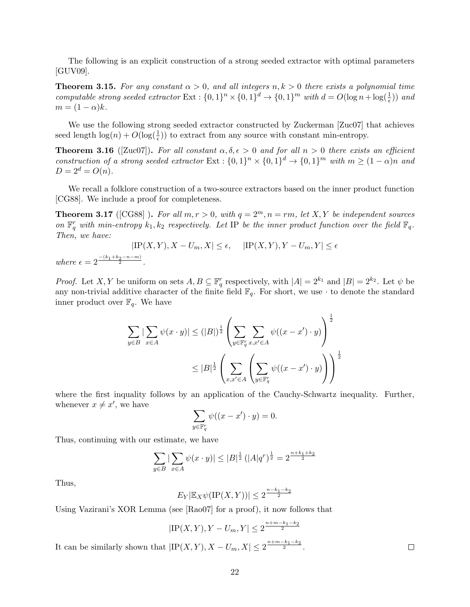The following is an explicit construction of a strong seeded extractor with optimal parameters [\[GUV09\]](#page-49-12).

<span id="page-22-1"></span>**Theorem 3.15.** For any constant  $\alpha > 0$ , and all integers  $n, k > 0$  there exists a polynomial time computable strong seeded extractor  $Ext : \{0,1\}^n \times \{0,1\}^d \to \{0,1\}^m$  with  $d = O(\log n + \log(\frac{1}{\epsilon}))$  and  $m = (1 - \alpha)k$ .

We use the following strong seeded extractor constructed by Zuckerman [\[Zuc07\]](#page--1-10) that achieves seed length  $\log(n) + O(\log(\frac{1}{\epsilon}))$  to extract from any source with constant min-entropy.

<span id="page-22-2"></span>**Theorem 3.16** ([\[Zuc07\]](#page--1-10)). For all constant  $\alpha, \delta, \epsilon > 0$  and for all  $n > 0$  there exists an efficient construction of a strong seeded extractor  $Ext: \{0,1\}^n \times \{0,1\}^d \to \{0,1\}^m$  with  $m \geq (1-\alpha)n$  and  $D = 2^d = O(n)$ .

We recall a folklore construction of a two-source extractors based on the inner product function [\[CG88\]](#page-47-11). We include a proof for completeness.

<span id="page-22-0"></span>**Theorem 3.17** ([\[CG88\]](#page-47-11)). For all  $m, r > 0$ , with  $q = 2^m, n = rm$ , let X, Y be independent sources on  $\mathbb{F}_q^r$  with min-entropy  $k_1, k_2$  respectively. Let IP be the inner product function over the field  $\mathbb{F}_q$ . Then, we have:

$$
|\text{IP}(X,Y), X - U_m, X| \le \epsilon, \quad |\text{IP}(X,Y), Y - U_m, Y| \le \epsilon
$$
  
where  $\epsilon = 2^{\frac{-(k_1 + k_2 - n - m)}{2}}$ .

*Proof.* Let X, Y be uniform on sets  $A, B \subseteq \mathbb{F}_q^r$  respectively, with  $|A| = 2^{k_1}$  and  $|B| = 2^{k_2}$ . Let  $\psi$  be any non-trivial additive character of the finite field  $\mathbb{F}_q$ . For short, we use  $\cdot$  to denote the standard inner product over  $\mathbb{F}_q$ . We have

$$
\sum_{y \in B} |\sum_{x \in A} \psi(x \cdot y)| \le (|B|)^{\frac{1}{2}} \left( \sum_{y \in \mathbb{F}_q^r} \sum_{x, x' \in A} \psi((x - x') \cdot y) \right)^{\frac{1}{2}}
$$

$$
\le |B|^{\frac{1}{2}} \left( \sum_{x, x' \in A} \left( \sum_{y \in \mathbb{F}_q^r} \psi((x - x') \cdot y) \right) \right)^{\frac{1}{2}}
$$

where the first inquality follows by an application of the Cauchy-Schwartz inequality. Further, whenever  $x \neq x'$ , we have

$$
\sum_{y \in \mathbb{F}_q^r} \psi((x - x') \cdot y) = 0.
$$

Thus, continuing with our estimate, we have

It can be similarly shown that

$$
\sum_{y \in B} |\sum_{x \in A} \psi(x \cdot y)| \le |B|^{\frac{1}{2}} (|A| q^r)^{\frac{1}{2}} = 2^{\frac{n+k_1+k_2}{2}}
$$

Thus,

$$
E_Y|\mathbb{E}_X\psi(\text{IP}(X,Y))| \le 2^{\frac{n-k_1-k_2}{2}}
$$

Using Vazirani's XOR Lemma (see [\[Rao07\]](#page-49-13) for a proof), it now follows that

$$
|\text{IP}(X, Y), Y - U_m, Y| \le 2^{\frac{n+m-k_1-k_2}{2}}
$$
  
 
$$
|\text{IP}(X, Y), X - U_m, X| \le 2^{\frac{n+m-k_1-k_2}{2}}.
$$

 $\Box$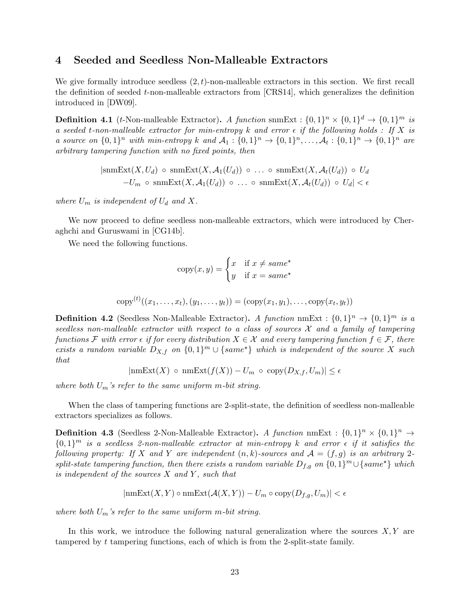## <span id="page-23-0"></span>4 Seeded and Seedless Non-Malleable Extractors

We give formally introduce seedless  $(2, t)$ -non-malleable extractors in this section. We first recall the definition of seeded  $t$ -non-malleable extractors from [\[CRS14\]](#page-48-2), which generalizes the definition introduced in [\[DW09\]](#page-48-0).

**Definition 4.1** (*t*-Non-malleable Extractor). A function snmExt :  $\{0,1\}^n \times \{0,1\}^d \rightarrow \{0,1\}^m$  is a seeded t-non-malleable extractor for min-entropy k and error  $\epsilon$  if the following holds : If X is a source on  $\{0,1\}^n$  with min-entropy k and  $\mathcal{A}_1: \{0,1\}^n \to \{0,1\}^n, \ldots, \mathcal{A}_t: \{0,1\}^n \to \{0,1\}^n$  are arbitrary tampering function with no fixed points, then

$$
|\text{snmExt}(X, U_d) \circ \text{snmExt}(X, \mathcal{A}_1(U_d)) \circ \dots \circ \text{snmExt}(X, \mathcal{A}_t(U_d)) \circ U_d
$$
  
- $U_m \circ \text{snmExt}(X, \mathcal{A}_1(U_d)) \circ \dots \circ \text{snmExt}(X, \mathcal{A}_t(U_d)) \circ U_d| < \epsilon$ 

where  $U_m$  is independent of  $U_d$  and X.

We now proceed to define seedless non-malleable extractors, which were introduced by Cheraghchi and Guruswami in [\[CG14b\]](#page-47-1).

We need the following functions.

$$
copy(x, y) = \begin{cases} x & \text{if } x \neq same^* \\ y & \text{if } x = same^* \end{cases}
$$

$$
copy^{(t)}((x_1,...,x_t),(y_1,...,y_t)) = (copy(x_1,y_1),...,copy(x_t,y_t))
$$

**Definition 4.2** (Seedless Non-Malleable Extractor). A function nmExt :  $\{0,1\}^n \rightarrow \{0,1\}^m$  is a seedless non-malleable extractor with respect to a class of sources  $\mathcal X$  and a family of tampering functions F with error  $\epsilon$  if for every distribution  $X \in \mathcal{X}$  and every tampering function  $f \in \mathcal{F}$ , there exists a random variable  $D_{X,f}$  on  $\{0,1\}^m \cup \{same^*\}$  which is independent of the source X such that

$$
|\text{nmExt}(X) \circ \text{nmExt}(f(X)) - U_m \circ \text{copy}(D_{X,f}, U_m)| \le \epsilon
$$

where both  $U_m$ 's refer to the same uniform m-bit string.

When the class of tampering functions are 2-split-state, the definition of seedless non-malleable extractors specializes as follows.

**Definition 4.3** (Seedless 2-Non-Malleable Extractor). A function nmExt :  $\{0,1\}^n \times \{0,1\}^n \rightarrow$  $\{0,1\}^m$  is a seedless 2-non-malleable extractor at min-entropy k and error  $\epsilon$  if it satisfies the following property: If X and Y are independent  $(n, k)$ -sources and  $\mathcal{A} = (f, g)$  is an arbitrary 2split-state tampering function, then there exists a random variable  $D_{f,g}$  on  $\{0,1\}^m \cup \{same^{\star}\}\$  which is independent of the sources  $X$  and  $Y$ , such that

$$
|\text{nmExt}(X, Y) \circ \text{nmExt}(\mathcal{A}(X, Y)) - U_m \circ \text{copy}(D_{f,g}, U_m)| < \epsilon
$$

where both  $U_m$ 's refer to the same uniform m-bit string.

In this work, we introduce the following natural generalization where the sources  $X, Y$  are tampered by t tampering functions, each of which is from the 2-split-state family.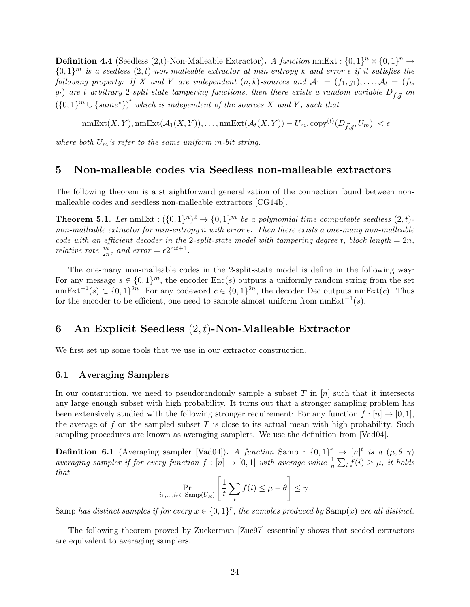<span id="page-24-3"></span>**Definition 4.4** (Seedless (2,t)-Non-Malleable Extractor). A function nmExt :  $\{0,1\}^n \times \{0,1\}^n \rightarrow$  $\{0,1\}^m$  is a seedless  $(2,t)$ -non-malleable extractor at min-entropy k and error  $\epsilon$  if it satisfies the following property: If X and Y are independent  $(n, k)$ -sources and  $\mathcal{A}_1 = (f_1, g_1), \ldots, \mathcal{A}_t = (f_t, g_t)$  $g_t$ ) are t arbitrary 2-split-state tampering functions, then there exists a random variable  $D_{\vec{f},\vec{g}}$  on  $({0,1})^m \cup {same^*})^t$  which is independent of the sources X and Y, such that

 $|\text{nmExt}(X, Y), \text{nmExt}(\mathcal{A}_1(X, Y)), \dots, \text{nmExt}(\mathcal{A}_t(X, Y)) - U_m, \text{copy}^{(t)}(D_{\vec{f}, \vec{g}}, U_m)| < \epsilon$ 

where both  $U_m$ 's refer to the same uniform m-bit string.

## <span id="page-24-1"></span>5 Non-malleable codes via Seedless non-malleable extractors

The following theorem is a straightforward generalization of the connection found between nonmalleable codes and seedless non-malleable extractors [\[CG14b\]](#page-47-1).

<span id="page-24-0"></span>**Theorem 5.1.** Let  $\text{nmExt}: (\{0,1\}^n)^2 \to \{0,1\}^m$  be a polynomial time computable seedless  $(2,t)$ . non-malleable extractor for min-entropy n with error  $\epsilon$ . Then there exists a one-many non-malleable code with an efficient decoder in the 2-split-state model with tampering degree t, block length =  $2n$ , relative rate  $\frac{m}{2n}$ , and error =  $\epsilon 2^{mt+1}$ .

The one-many non-malleable codes in the 2-split-state model is define in the following way: For any message  $s \in \{0,1\}^m$ , the encoder  $Enc(s)$  outputs a uniformly random string from the set nmExt<sup>-1</sup>(s) ⊂ {0, 1}<sup>2n</sup>. For any codeword  $c \in \{0,1\}^{2n}$ , the decoder Dec outputs nmExt(c). Thus for the encoder to be efficient, one need to sample almost uniform from  $nmExt^{-1}(s)$ .

## <span id="page-24-2"></span>6 An Explicit Seedless  $(2, t)$ -Non-Malleable Extractor

We first set up some tools that we use in our extractor construction.

#### 6.1 Averaging Samplers

In our contsruction, we need to pseudorandomly sample a subset T in  $[n]$  such that it intersects any large enough subset with high probability. It turns out that a stronger sampling problem has been extensively studied with the following stronger requirement: For any function  $f : [n] \rightarrow [0, 1]$ , the average of f on the sampled subset T is close to its actual mean with high probability. Such sampling procedures are known as averaging samplers. We use the definition from [\[Vad04\]](#page--1-7).

**Definition 6.1** (Averaging sampler [\[Vad04\]](#page--1-7)). A function Samp :  $\{0,1\}^r$   $\rightarrow$   $[n]^t$  is a  $(\mu,\theta,\gamma)$ averaging sampler if for every function  $f : [n] \to [0,1]$  with average value  $\frac{1}{n} \sum_i f(i) \geq \mu$ , it holds that

$$
\Pr_{i_1,\dots,i_t \leftarrow \text{Samp}(U_R)} \left[ \frac{1}{t} \sum_i f(i) \le \mu - \theta \right] \le \gamma.
$$

Samp has distinct samples if for every  $x \in \{0,1\}^r$ , the samples produced by Samp(x) are all distinct.

The following theorem proved by Zuckerman [\[Zuc97\]](#page--1-6) essentially shows that seeded extractors are equivalent to averaging samplers.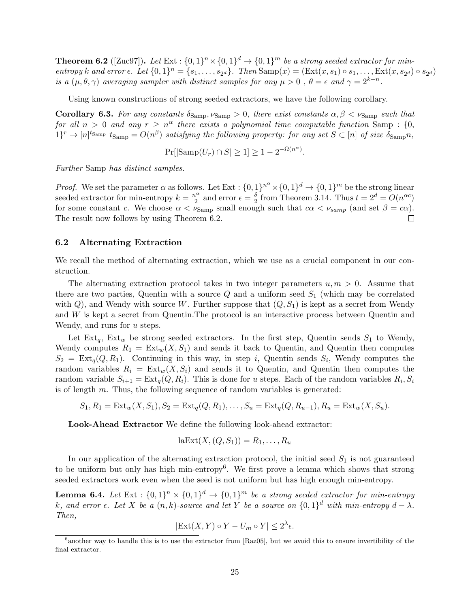<span id="page-25-0"></span>**Theorem 6.2** ([\[Zuc97\]](#page--1-6)). Let  $Ext : \{0,1\}^n \times \{0,1\}^d \rightarrow \{0,1\}^m$  be a strong seeded extractor for minentropy k and error  $\epsilon$ . Let  $\{0,1\}^n = \{s_1,\ldots,s_{2^d}\}$ . Then  $\text{Samp}(x) = (\text{Ext}(x,s_1) \circ s_1,\ldots,\text{Ext}(x,s_{2^d}) \circ s_{2^d})$ is a  $(\mu, \theta, \gamma)$  averaging sampler with distinct samples for any  $\mu > 0$ ,  $\theta = \epsilon$  and  $\gamma = 2^{k-n}$ .

Using known constructions of strong seeded extractors, we have the following corollary.

<span id="page-25-4"></span>**Corollary 6.3.** For any constants  $\delta_{\text{Samp}}$ ,  $\nu_{\text{Samp}} > 0$ , there exist constants  $\alpha, \beta < \nu_{\text{Samp}}$  such that for all  $n > 0$  and any  $r \geq n^{\alpha}$  there exists a polynomial time computable function Samp : {0,  $1$ <sup>r</sup>  $\rightarrow$  [n]<sup>tsamp</sup> t<sub>Samp</sub> =  $O(n^{\beta})$  satisfying the following property: for any set  $S \subset [n]$  of size  $\delta_{\text{Samp}} n$ ,

$$
\Pr[|\mathrm{Samp}(U_r) \cap S| \ge 1] \ge 1 - 2^{-\Omega(n^{\alpha})}.
$$

Further Samp has distinct samples.

*Proof.* We set the parameter  $\alpha$  as follows. Let  $Ext : \{0,1\}^n \times \{0,1\}^d \to \{0,1\}^m$  be the strong linear seeded extractor for min-entropy  $k = \frac{n^{\alpha}}{2}$  $\frac{\mu^{\alpha}}{2}$  and error  $\epsilon = \frac{\delta}{2}$  $\frac{\delta}{2}$  from Theorem [3.14.](#page-21-0) Thus  $t = 2^d = O(n^{\alpha c})$ for some constant c. We choose  $\alpha < \nu_{\text{Samp}}$  small enough such that  $c\alpha < \nu_{\text{Samp}}$  (and set  $\beta = c\alpha$ ). The result now follows by using Theorem 6.[2.](#page-25-0)

#### <span id="page-25-3"></span>6.2 Alternating Extraction

We recall the method of alternating extraction, which we use as a crucial component in our construction.

The alternating extraction protocol takes in two integer parameters  $u, m > 0$ . Assume that there are two parties, Quentin with a source  $Q$  and a uniform seed  $S_1$  (which may be correlated with  $Q$ ), and Wendy with source W. Further suppose that  $(Q, S_1)$  is kept as a secret from Wendy and W is kept a secret from Quentin.The protocol is an interactive process between Quentin and Wendy, and runs for u steps.

Let  $Ext_q$ ,  $Ext_w$  be strong seeded extractors. In the first step, Quentin sends  $S_1$  to Wendy, Wendy computes  $R_1 = \text{Ext}_w(X, S_1)$  and sends it back to Quentin, and Quentin then computes  $S_2 = \text{Ext}_q(Q, R_1)$ . Continuing in this way, in step i, Quentin sends  $S_i$ , Wendy computes the random variables  $R_i = \text{Ext}_w(X, S_i)$  and sends it to Quentin, and Quentin then computes the random variable  $S_{i+1} = \text{Ext}_q(Q, R_i)$ . This is done for u steps. Each of the random variables  $R_i, S_i$ is of length  $m$ . Thus, the following sequence of random variables is generated:

$$
S_1, R_1 = \text{Ext}_w(X, S_1), S_2 = \text{Ext}_q(Q, R_1), \dots, S_u = \text{Ext}_q(Q, R_{u-1}), R_u = \text{Ext}_w(X, S_u).
$$

Look-Ahead Extractor We define the following look-ahead extractor:

$$
laExt(X, (Q, S_1)) = R_1, \ldots, R_u
$$

In our application of the alternating extraction protocol, the initial seed  $S_1$  is not guaranteed to be uniform but only has high min-entropy<sup>[6](#page-25-1)</sup>. We first prove a lemma which shows that strong seeded extractors work even when the seed is not uniform but has high enough min-entropy.

<span id="page-25-2"></span>**Lemma 6.4.** Let Ext :  $\{0,1\}^n \times \{0,1\}^d \rightarrow \{0,1\}^m$  be a strong seeded extractor for min-entropy k, and error  $\epsilon$ . Let X be a  $(n, k)$ -source and let Y be a source on  $\{0, 1\}^d$  with min-entropy  $d - \lambda$ . Then,

$$
|\text{Ext}(X, Y) \circ Y - U_m \circ Y| \le 2^{\lambda} \epsilon.
$$

<span id="page-25-1"></span><sup>&</sup>lt;sup>6</sup> another way to handle this is to use the extractor from [\[Raz05\]](#page-49-14), but we avoid this to ensure invertibility of the final extractor.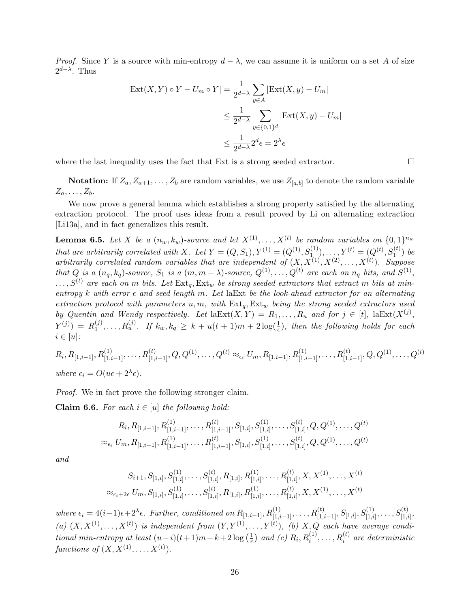*Proof.* Since Y is a source with min-entropy  $d - \lambda$ , we can assume it is uniform on a set A of size  $2^{d-\lambda}$ . Thus

$$
|\text{Ext}(X, Y) \circ Y - U_m \circ Y| = \frac{1}{2^{d-\lambda}} \sum_{y \in A} |\text{Ext}(X, y) - U_m|
$$
  

$$
\leq \frac{1}{2^{d-\lambda}} \sum_{y \in \{0,1\}^d} |\text{Ext}(X, y) - U_m|
$$
  

$$
\leq \frac{1}{2^{d-\lambda}} 2^d \epsilon = 2^{\lambda} \epsilon
$$

where the last inequality uses the fact that Ext is a strong seeded extractor.

**Notation:** If  $Z_a, Z_{a+1}, \ldots, Z_b$  are random variables, we use  $Z_{[a,b]}$  to denote the random variable  $Z_a, \ldots, Z_b$ .

We now prove a general lemma which establishes a strong property satisfied by the alternating extraction protocol. The proof uses ideas from a result proved by Li on alternating extraction [\[Li13a\]](#page-49-10), and in fact generalizes this result.

<span id="page-26-0"></span>**Lemma 6.5.** Let X be a  $(n_w, k_w)$ -source and let  $X^{(1)}, \ldots, X^{(t)}$  be random variables on  $\{0,1\}^{n_w}$ that are arbitrarily correlated with X. Let  $Y = (Q, S_1), Y^{(1)} = (Q^{(1)}, S_{1, ...}^{(1)}), \ldots, Y^{(t)} = (Q^{(t)}, S_1^{(t)})$  be arbitrarily correlated random variables that are independent of  $(X, X^{(1)}, X^{(2)}, \ldots, X^{(t)})$ . Suppose that Q is a  $(n_q, k_q)$ -source,  $S_1$  is a  $(m, m - \lambda)$ -source,  $Q^{(1)}, \ldots, Q^{(t)}$  are each on  $n_q$  bits, and  $S^{(1)}$ ,  $\dots, S^{(t)}$  are each on m bits. Let  $\text{Ext}_q$ ,  $\text{Ext}_w$  be strong seeded extractors that extract m bits at minentropy k with error  $\epsilon$  and seed length m. Let laExt be the look-ahead extractor for an alternating extraction protocol with parameters  $u, m$ , with  $Ext_q, Ext_w$  being the strong seeded extractors used by Quentin and Wendy respectively. Let  $\text{laExt}(X,Y) = R_1, \ldots, R_u$  and for  $j \in [t]$ ,  $\text{laExt}(X^{(j)},$  $Y^{(j)}$ ) =  $R_1^{(j)}$  $1_1^{(j)}, \ldots, R_u^{(j)}$ . If  $k_w, k_q \geq k + u(t+1)m + 2\log(\frac{1}{\epsilon})$ , then the following holds for each  $i \in [u]$ :

$$
R_i, R_{[1,i-1]}, R_{[1,i-1]}^{(1)}, \dots, R_{[1,i-1]}^{(t)}, Q, Q^{(1)}, \dots, Q^{(t)} \approx_{\epsilon_i} U_m, R_{[1,i-1]}, R_{[1,i-1]}^{(1)}, \dots, R_{[1,i-1]}^{(t)}, Q, Q^{(1)}, \dots, Q^{(t)}
$$
  
where  $\epsilon_i = O(u\epsilon + 2^{\lambda}\epsilon)$ .

Proof. We in fact prove the following stronger claim.

**Claim 6.6.** For each  $i \in [u]$  the following hold:

$$
R_i, R_{[1,i-1]}, R_{[1,i-1]}^{(1)}, \dots, R_{[1,i-1]}^{(t)}, S_{[1,i]}, S_{[1,i]}^{(1)}, \dots, S_{[1,i]}^{(t)}, Q, Q^{(1)}, \dots, Q^{(t)}
$$
  

$$
\approx_{\epsilon_i} U_m, R_{[1,i-1]}, R_{[1,i-1]}^{(1)}, \dots, R_{[1,i-1]}^{(t)}, S_{[1,i]}, S_{[1,i]}^{(1)}, \dots, S_{[1,i]}^{(t)}, Q, Q^{(1)}, \dots, Q^{(t)}
$$

and

$$
S_{i+1}, S_{[1,i]}, S_{[1,i]}^{(1)}, \dots, S_{[1,i]}^{(t)}, R_{[1,i]}, R_{[1,i]}^{(1)}, \dots, R_{[1,i]}^{(t)}, X, X^{(1)}, \dots, X^{(t)}
$$
  

$$
\approx_{\epsilon_i+2\epsilon} U_m, S_{[1,i]}, S_{[1,i]}^{(1)}, \dots, S_{[1,i]}^{(t)}, R_{[1,i]}, R_{[1,i]}^{(1)}, \dots, R_{[1,i]}^{(t)}, X, X^{(1)}, \dots, X^{(t)}
$$

 $where \ \epsilon_i = 4(i-1)\epsilon + 2^{\lambda}\epsilon.$  Further, conditioned on  $R_{[1,i-1]}, R_{[1,i-1]}^{(1)}, \ldots, R_{[1,i-1]}^{(t)}, S_{[1,i]}, S_{[1,i]}^{(1)}, \ldots, S_{[1,i]}^{(t)},$ (a)  $(X, X^{(1)}, \ldots, X^{(t)})$  is independent from  $(Y, Y^{(1)}, \ldots, Y^{(t)})$ , (b)  $X, Q$  each have average conditional min-entropy at least  $(u-i)(t+1)m+k+2\log\left(\frac{1}{\epsilon}\right)$  $\frac{1}{\epsilon}$ ) and (c)  $R_i, R_i^{(1)}, \ldots, R_i^{(t)}$  are deterministic functions of  $(X, X^{(1)}, \ldots, X^{(t)})$ .

 $\Box$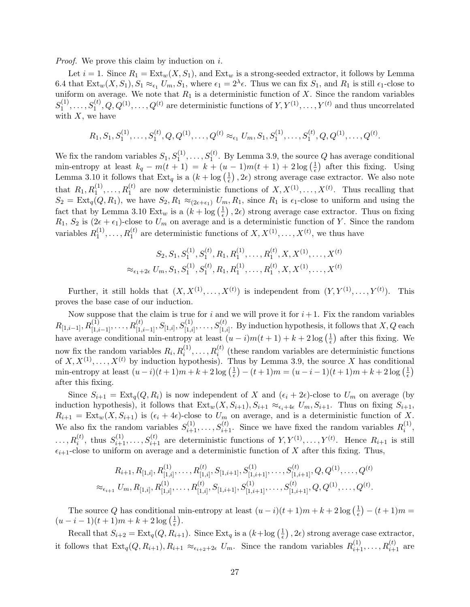*Proof.* We prove this claim by induction on i.

Let  $i = 1$ . Since  $R_1 = \text{Ext}_w(X, S_1)$ , and  $\text{Ext}_w$  is a strong-seeded extractor, it follows by Lemma [6](#page-25-2).4 that  $\text{Ext}_{w}(X, S_1), S_1 \approx_{\epsilon_1} U_m, S_1$ , where  $\epsilon_1 = 2^{\lambda} \epsilon$ . Thus we can fix  $S_1$ , and  $R_1$  is still  $\epsilon_1$ -close to uniform on average. We note that  $R_1$  is a deterministic function of X. Since the random variables  $S_1^{(1)}$  $I_1^{(1)}, \ldots, S_1^{(t)}, Q, Q^{(1)}, \ldots, Q^{(t)}$  are deterministic functions of  $Y, Y^{(1)}, \ldots, Y^{(t)}$  and thus uncorrelated with  $X$ , we have

$$
R_1, S_1, S_1^{(1)}, \ldots, S_1^{(t)}, Q, Q^{(1)}, \ldots, Q^{(t)} \approx_{\epsilon_1} U_m, S_1, S_1^{(1)}, \ldots, S_1^{(t)}, Q, Q^{(1)}, \ldots, Q^{(t)}.
$$

We fix the random variables  $S_1, S_1^{(1)}, \ldots, S_1^{(t)}$ . By Lemma [3.9,](#page-21-1) the source Q has average conditional min-entropy at least  $k_q - m(t+1) = k + (u-1)m(t+1) + 2 \log(\frac{1}{e})$  $(\frac{1}{\epsilon})$  after this fixing. Using Lemma 3.[10](#page-21-2) it follows that  $\text{Ext}_q$  is a  $(k + \log(\frac{1}{\epsilon}))$  $(\frac{1}{\epsilon})$ ,  $2\epsilon$ ) strong average case extractor. We also note that  $R_1, R_1^{(1)}, \ldots, R_1^{(t)}$  are now deterministic functions of  $X, X^{(1)}, \ldots, X^{(t)}$ . Thus recalling that  $S_2 = \text{Ext}_q(Q, R_1)$ , we have  $S_2, R_1 \approx_{(2\epsilon+\epsilon_1)} U_m, R_1$ , since  $R_1$  is  $\epsilon_1$ -close to uniform and using the fact that by Lemma 3.[10](#page-21-2)  $\text{Ext}_w$  is a  $(k + \log(\frac{1}{\epsilon}))$  $(\frac{1}{\epsilon})$ , 2 $\epsilon$ ) strong average case extractor. Thus on fixing  $R_1, S_2$  is  $(2\epsilon + \epsilon_1)$ -close to  $U_m$  on average and is a deterministic function of Y. Since the random variables  $R_1^{(1)}$  $I_1^{(1)}, \ldots, R_1^{(t)}$  are deterministic functions of  $X, X^{(1)}, \ldots, X^{(t)}$ , we thus have

$$
S_2, S_1, S_1^{(1)}, S_1^{(t)}, R_1, R_1^{(1)}, \dots, R_1^{(t)}, X, X^{(1)}, \dots, X^{(t)}
$$
  

$$
\approx_{\epsilon_1+2\epsilon} U_m, S_1, S_1^{(1)}, S_1^{(t)}, R_1, R_1^{(1)}, \dots, R_1^{(t)}, X, X^{(1)}, \dots, X^{(t)}
$$

Further, it still holds that  $(X, X^{(1)}, \ldots, X^{(t)})$  is independent from  $(Y, Y^{(1)}, \ldots, Y^{(t)})$ . This proves the base case of our induction.

Now suppose that the claim is true for i and we will prove it for  $i+1$ . Fix the random variables  $R_{[1,i-1]}, R_{[1,i-1]}^{(1)}, \ldots, R_{[1,i-1]}^{(t)}, S_{[1,i]}^{(1)}, S_{[1,i]}^{(1)}, \ldots, S_{[1,i]}^{(t)}$ . By induction hypothesis, it follows that  $X,Q$  each have average conditional min-entropy at least  $(u - i)m(t + 1) + k + 2 \log(\frac{1}{\epsilon})$  $\frac{1}{\epsilon}$ ) after this fixing. We now fix the random variables  $R_i, R_i^{(1)}, \ldots, R_i^{(t)}$  (these random variables are deterministic functions of  $X, X^{(1)}, \ldots, X^{(t)}$  by induction hypothesis). Thus by Lemma 3.[9,](#page-21-1) the source X has conditional min-entropy at least  $(u-i)(t+1)m+k+2\log\left(\frac{1}{e}\right)$  $(\frac{1}{\epsilon}) - (t+1)m = (u - i - 1)(t+1)m + k + 2\log(\frac{1}{\epsilon})$  $(\frac{1}{\epsilon})$ after this fixing.

Since  $S_{i+1} = \text{Ext}_q(Q, R_i)$  is now independent of X and  $(\epsilon_i + 2\epsilon)$ -close to  $U_m$  on average (by induction hypothesis), it follows that  $Ext_w(X, S_{i+1}), S_{i+1} \approx_{\epsilon_i+4\epsilon} U_m, S_{i+1}$ . Thus on fixing  $S_{i+1}$ ,  $R_{i+1} = \text{Ext}_{w}(X, S_{i+1})$  is  $(\epsilon_i + 4\epsilon)$ -close to  $U_m$  on average, and is a deterministic function of X. We also fix the random variables  $S_{i+1}^{(1)}, \ldots, S_{i+1}^{(t)}$ . Since we have fixed the random variables  $R_i^{(1)}$  $\binom{1}{i}$  $\ldots, R_i^{(t)}$ , thus  $S_{i+1}^{(1)}, \ldots, S_{i+1}^{(t)}$  are deterministic functions of  $Y, Y^{(1)}, \ldots, Y^{(t)}$ . Hence  $R_{i+1}$  is still  $\epsilon_{i+1}$ -close to uniform on average and a deterministic function of X after this fixing. Thus,

$$
R_{i+1}, R_{[1,i]}, R_{[1,i]}^{(1)}, \dots, R_{[1,i]}^{(t)}, S_{[1,i+1]}, S_{[1,i+1]}^{(1)}, \dots, S_{[1,i+1]}^{(t)}, Q, Q^{(1)}, \dots, Q^{(t)}
$$
  

$$
\approx_{\epsilon_{i+1}} U_m, R_{[1,i]}, R_{[1,i]}^{(1)}, \dots, R_{[1,i]}^{(t)}, S_{[1,i+1]}, S_{[1,i+1]}^{(1)}, \dots, S_{[1,i+1]}^{(t)}, Q, Q^{(1)}, \dots, Q^{(t)}.
$$

The source Q has conditional min-entropy at least  $(u-i)(t+1)m+k+2\log\left(\frac{1}{\epsilon}\right)$  $(\frac{1}{\epsilon}) - (t+1)m =$  $(u - i - 1)(t + 1)m + k + 2\log\left(\frac{1}{\epsilon}\right)$  $\frac{1}{\epsilon}$ .

Recall that  $S_{i+2} = \text{Ext}_q(Q, R_{i+1})$ . Since  $\text{Ext}_q$  is a  $(k + \log(\frac{1}{\epsilon}))$  $(\frac{1}{\epsilon})$ , 2 $\epsilon$ ) strong average case extractor, it follows that  $\text{Ext}_q(Q, R_{i+1}), R_{i+1} \approx_{\epsilon_{i+2}+2\epsilon} U_m$ . Since the random variables  $R_{i+1}^{(1)}, \ldots, R_{i+1}^{(t)}$  are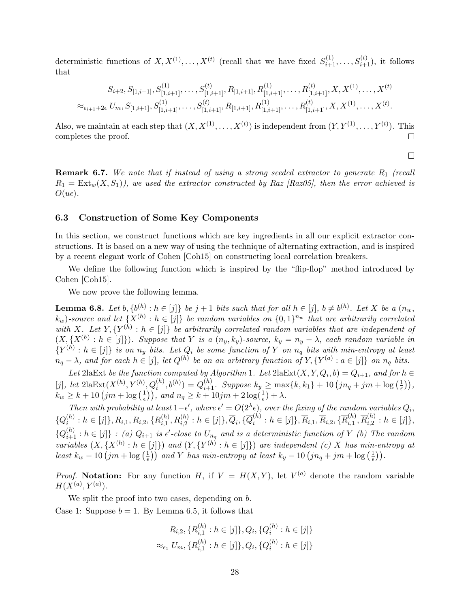deterministic functions of  $X, X^{(1)}, \ldots, X^{(t)}$  (recall that we have fixed  $S_{i+1}^{(1)}, \ldots, S_{i+1}^{(t)}$ ), it follows that

$$
S_{i+2}, S_{[1,i+1]}, S_{[1,i+1]}^{(1)}, \dots, S_{[1,i+1]}^{(t)}, R_{[1,i+1]}, R_{[1,i+1]}^{(1)}, \dots, R_{[1,i+1]}^{(t)}, X, X^{(1)}, \dots, X^{(t)}
$$
  

$$
\approx_{\epsilon_{i+1}+2\epsilon} U_m, S_{[1,i+1]}, S_{[1,i+1]}^{(1)}, \dots, S_{[1,i+1]}^{(t)}, R_{[1,i+1]}, R_{[1,i+1]}^{(1)}, \dots, R_{[1,i+1]}^{(t)}, X, X^{(1)}, \dots, X^{(t)}.
$$

Also, we maintain at each step that  $(X, X^{(1)}, \ldots, X^{(t)})$  is independent from  $(Y, Y^{(1)}, \ldots, Y^{(t)})$ . This completes the proof. П

 $\Box$ 

**Remark 6.7.** We note that if instead of using a strong seeded extractor to generate  $R_1$  (recall  $R_1 = \text{Ext}_w(X, S_1)$ , we used the extractor constructed by Raz [\[Raz05\]](#page-49-14), then the error achieved is  $O(u\epsilon)$ .

#### 6.3 Construction of Some Key Components

In this section, we construct functions which are key ingredients in all our explicit extractor constructions. It is based on a new way of using the technique of alternating extraction, and is inspired by a recent elegant work of Cohen [\[Coh15\]](#page-48-13) on constructing local correlation breakers.

We define the following function which is inspired by the "flip-flop" method introduced by Cohen [\[Coh15\]](#page-48-13).

We now prove the following lemma.

<span id="page-28-0"></span>**Lemma 6.8.** Let  $b, \{b^{(h)}: h \in [j]\}$  be  $j + 1$  bits such that for all  $h \in [j], b \neq b^{(h)}$ . Let X be a  $(n_w,$  $(k_w)$ -source and let  $\{X^{(h)}: h \in [j]\}$  be random variables on  $\{0,1\}^{n_w}$  that are arbitrarily correlated with X. Let  $Y, \{Y^{(h)}: h \in [j]\}$  be arbitrarily correlated random variables that are independent of  $(X, \{X^{(h)}: h \in [j]\})$ . Suppose that Y is a  $(n_y, k_y)$ -source,  $k_y = n_y - \lambda$ , each random variable in  ${Y^{(h)}: h \in [j]}$  is on  $n_y$  bits. Let  $Q_i$  be some function of Y on  $n_q$  bits with min-entropy at least  $n_q - \lambda$ , and for each  $h \in [j]$ , let  $Q^{(h)}$  be an an arbitrary function of  $Y, \{Y^{(a)} : a \in [j]\}$  on  $n_q$  bits.

Let 2laExt be the function computed by Algorithm 1. Let  $2$ laExt $(X, Y, Q_i, b) = Q_{i+1}$ , and for  $h \in$  $[j], \text{ let } 2\text{laExt}(X^{(h)}, Y^{(h)}, Q_i^{(h)}, b^{(h)}) = Q_{i+1}^{(h)}$ . Suppose  $k_y \ge \max\{k, k_1\} + 10 (jn_q + jm + \log(\frac{1}{\epsilon}))$  $\frac{1}{\epsilon} \big) \big),$  $k_w \geq k + 10 \left( jm + \log \left( \frac{1}{\epsilon} \right) \right)$  $(\frac{1}{\epsilon}))$ , and  $n_q \geq k + 10jm + 2\log(\frac{1}{\epsilon}) + \lambda$ .

Then with probability at least  $1-\epsilon'$ , where  $\epsilon' = O(2^{\lambda}\epsilon)$ , over the fixing of the random variables  $Q_i$ ,  $\{Q^{(h)}_i$  $\{h_i^{(h)}: h\in [j]\}, R_{i,1}, R_{i,2}, \{R_{i,1}^{(h)}\}$  $\{a_i^{(h)}, R_{i,2}^{(h)}: h \in [j]\}, \overline{Q}_i, \{\overline{Q}_i^{(h)}\}$  $\{\bar{n}_i^{(h)}: h\in [j]\}, \overline{R}_{i,1}, \overline{R}_{i,2}, \{\overline{R}_{i,1}^{(h)}\}$  $\overline{R}_{i,1}^{(h)},\overline{R}_{i,2}^{(h)}$  $\binom{n}{i,2}$ :  $h \in [j]$ ,  ${Q_{i+1}^{(h)}: h \in [j]}: (a) Q_{i+1}$  is  $\epsilon'$ -close to  $U_{n_q}$  and is a deterministic function of Y (b) The random variables  $(X, \{X^{(h)} : h \in [j]\})$  and  $(Y, \{Y^{(h)} : h \in [j]\})$  are independent (c) X has min-entropy at least  $k_w - 10 (jm + \log(\frac{1}{\epsilon}))$  $\left(\frac{1}{\epsilon}\right)$ ) and Y has min-entropy at least  $k_y-10\left(jn_q+jm+\log\left(\frac{1}{\epsilon}\right)\right)$  $\frac{1}{\epsilon}\big)\big)$  .

*Proof.* Notation: For any function H, if  $V = H(X,Y)$ , let  $V^{(a)}$  denote the random variable  $H(X^{(a)}, Y^{(a)}).$ 

We split the proof into two cases, depending on b. Case 1: Suppose  $b = 1$ . By Lemma [6.5,](#page-26-0) it follows that

$$
R_{i,2}, \{R_{i,1}^{(h)} : h \in [j]\}, Q_i, \{Q_i^{(h)} : h \in [j]\}
$$

$$
\approx_{\epsilon_1} U_m, \{R_{i,1}^{(h)} : h \in [j]\}, Q_i, \{Q_i^{(h)} : h \in [j]\}
$$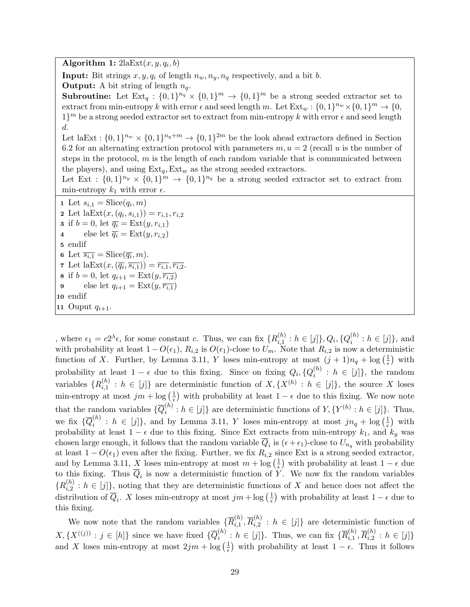Algorithm 1:  $2$ la $Ext(x, y, q_i, b)$ 

**Input:** Bit strings  $x, y, q_i$  of length  $n_w, n_y, n_q$  respectively, and a bit b.

**Output:** A bit string of length  $n_q$ .

**Subroutine:** Let  $Ext_q : \{0,1\}^{n_q} \times \{0,1\}^m \rightarrow \{0,1\}^m$  be a strong seeded extractor set to extract from min-entropy k with error  $\epsilon$  and seed length m. Let  $\text{Ext}_w : \{0,1\}^{n_w} \times \{0,1\}^m \to \{0,1\}^m$  $1\}$ <sup>m</sup> be a strong seeded extractor set to extract from min-entropy k with error  $\epsilon$  and seed length d.

Let laExt :  $\{0,1\}^{n_w} \times \{0,1\}^{n_q+m} \to \{0,1\}^{2m}$  be the look ahead extractors defined in Section [6](#page-25-3).2 for an alternating extraction protocol with parameters  $m, u = 2$  (recall u is the number of steps in the protocol,  $m$  is the length of each random variable that is communicated between the players), and using  $Ext_q, Ext_w$  as the strong seeded extractors.

Let Ext :  $\{0,1\}^{n_y} \times \{0,1\}^{m} \rightarrow \{0,1\}^{n_q}$  be a strong seeded extractor set to extract from min-entropy  $k_1$  with error  $\epsilon$ .

1 Let  $s_{i,1} = \text{Slice}(q_i,m)$ 2 Let  $\text{laExt}(x,(q_i,s_{i,1})) = r_{i,1}, r_{i,2}$ 3 if  $b = 0$ , let  $\overline{q_i} = \text{Ext}(y, r_{i,1})$ 4 else let  $\overline{q_i} = \text{Ext}(y, r_{i,2})$ 5 endif 6 Let  $\overline{s_{i,1}} = \text{Slice}(\overline{q_i}, m)$ . 7 Let  $\text{laExt}(x, (\overline{q_i}, \overline{s_{i,1}})) = \overline{r_{i,1}}, \overline{r_{i,2}}.$ 8 if  $b = 0$ , let  $q_{i+1} = \text{Ext}(y, \overline{r_{i,2}})$ 9 else let  $q_{i+1} = \text{Ext}(y, \overline{r_{i,1}})$ 10 endif 11 Ouput  $q_{i+1}$ .

, where  $\epsilon_1 = c2^{\lambda} \epsilon$ , for some constant c. Thus, we can fix  $\{R_{i,1}^{(h)}\}$  $\{h_{i,1}^{(h)}: h\in [j]\}, Q_i, \{Q_i^{(h)}\}$  $i^{(n)}: h \in [j]$ , and with probability at least  $1 - O(\epsilon_1)$ ,  $R_{i,2}$  is  $O(\epsilon_1)$ -close to  $U_m$ . Note that  $R_{i,2}$  is now a deterministic function of X. Further, by Lemma 3.[11,](#page-21-3) Y loses min-entropy at most  $(j + 1)n_q + \log(\frac{1}{\epsilon})$  $(\frac{1}{\epsilon})$  with probability at least  $1 - \epsilon$  due to this fixing. Since on fixing  $Q_i, \{Q_i^{(h)}\}$  $i^{(h)}$ :  $h \in [j]$ , the random variables  $\{R_{i,1}^{(h)}\}$  $\{h_{i,1}^{(h)}: h \in [j]\}$  are deterministic function of  $X, \{X^{(h)}: h \in [j]\}$ , the source X loses min-entropy at most  $jm + \log(\frac{1}{\epsilon})$  $\frac{1}{\epsilon}$ ) with probability at least  $1 - \epsilon$  due to this fixing. We now note that the random variables  $\{\overline{Q}_i^{(h)}\}$  $i^{(h)}: h \in [j]$  are deterministic functions of  $Y, \{Y^{(h)}: h \in [j]\}.$  Thus, we fix  $\{\overline{Q}_i^{(h)}\}$  $\{h_i^{(h)}: h \in [j]\},$  and by Lemma 3.[11,](#page-21-3) Y loses min-entropy at most  $jn_q + \log(\frac{1}{\epsilon})$  $(\frac{1}{\epsilon})$  with probability at least  $1 - \epsilon$  due to this fixing. Since Ext extracts from min-entropy  $k_1$ , and  $k_y$  was chosen large enough, it follows that the random variable  $Q_i$  is  $(\epsilon + \epsilon_1)$ -close to  $U_{n_q}$  with probability at least  $1 - O(\epsilon_1)$  even after the fixing. Further, we fix  $R_{i,2}$  since Ext is a strong seeded extractor, and by Lemma 3.[11,](#page-21-3) X loses min-entropy at most  $m + \log \left( \frac{1}{\epsilon} \right)$  $(\frac{1}{\epsilon})$  with probability at least  $1 - \epsilon$  due to this fixing. Thus  $\overline{Q}_i$  is now a deterministic function of Y. We now fix the random variables  ${R_i^{(h)}}$  $\{a_i^{(n)}: h \in [j]\}$ , noting that they are deterministic functions of X and hence does not affect the distribution of  $\overline{Q}_i$ . X loses min-entropy at most  $jm + \log(\frac{1}{\epsilon})$  $\frac{1}{\epsilon}$ ) with probability at least  $1 - \epsilon$  due to this fixing.

We now note that the random variables  $\{\overline{R}_{i,1}^{(h)}\}$  $\overline{R}_{i,1}^{(h)},\overline{R}_{i,2}^{(h)}$  $\{a_i^{(h)}\}$ :  $h \in [j]$  are deterministic function of  $X, \{X^{((j))}: j \in [h]\}$  since we have fixed  $\{\overline{Q}_i^{(h)}\}$  $i^{(h)}$  :  $h \in [j]$ . Thus, we can fix  $\{\overline{R}_{i,1}^{(h)}\}$  $\overline{R}_{i,1}^{(h)},\overline{R}_{i,2}^{(h)}$  $\binom{n}{i,2}$  :  $h \in [j]$ and X loses min-entropy at most  $2jm + \log(\frac{1}{\epsilon})$  $(\frac{1}{\epsilon})$  with probability at least  $1 - \epsilon$ . Thus it follows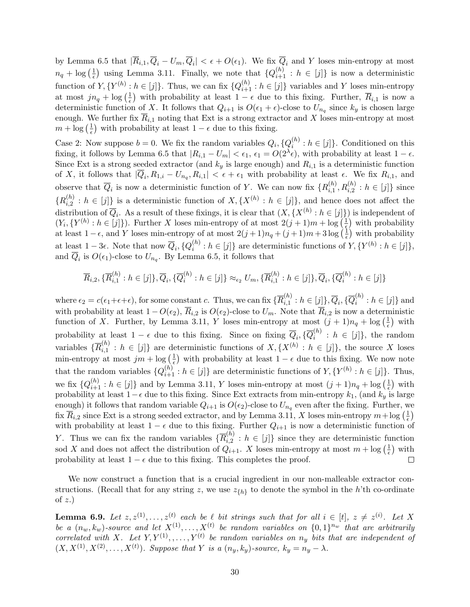by Lemma [6](#page-26-0).5 that  $|R_{i,1}, Q_i - U_m, Q_i| < \epsilon + O(\epsilon_1)$ . We fix  $Q_i$  and Y loses min-entropy at most  $n_q + \log\left(\frac{1}{\epsilon}\right)$  $\frac{1}{\epsilon}$ ) using Lemma 3.[11.](#page-21-3) Finally, we note that  $\{Q_{i+1}^{(h)} : h \in [j]\}$  is now a deterministic function of  $Y, \{Y^{(h)}: h \in [j]\}$ . Thus, we can fix  $\{Q_{i+1}^{(h)}: h \in [j]\}$  variables and Y loses min-entropy at most  $jn_q + \log(\frac{1}{\epsilon})$  $\frac{1}{\epsilon}$ ) with probability at least  $1 - \epsilon$  due to this fixing. Further,  $\overline{R}_{i,1}$  is now a deterministic function of X. It follows that  $Q_{i+1}$  is  $O(\epsilon_1 + \epsilon)$ -close to  $U_{n_q}$  since  $k_y$  is chosen large enough. We further fix  $\overline{R}_{i,1}$  noting that Ext is a strong extractor and X loses min-entropy at most  $m + \log\left(\frac{1}{\epsilon}\right)$  $(\frac{1}{\epsilon})$  with probability at least  $1 - \epsilon$  due to this fixing.

Case 2: Now suppose  $b = 0$ . We fix the random variables  $Q_i$ ,  $\{Q_i^{(h)}\}$  $i^{(n)}: h \in [j]$ . Conditioned on this fixing, it follows by Lemma [6](#page-26-0).5 that  $|R_{i,1} - U_m| < \epsilon_1$ ,  $\epsilon_1 = O(2^{\lambda} \epsilon)$ , with probability at least  $1 - \epsilon$ . Since Ext is a strong seeded extractor (and  $k_y$  is large enough) and  $R_{i,1}$  is a deterministic function of X, it follows that  $|Q_i, R_{1,i} - U_{n_q}, R_{i,1}| < \epsilon + \epsilon_1$  with probability at least  $\epsilon$ . We fix  $R_{i,1}$ , and observe that  $\overline{Q}_i$  is now a deterministic function of Y. We can now fix  $\{R_{i,1}^{(h)}\}$  $a_{i,1}^{(h)}, R_{i,2}^{(h)}: h \in [j]$ } since  ${R_i^{(h)}}$  $\{h_i^{(h)}: h \in [j]\}$  is a deterministic function of  $X, \{X^{(h)}: h \in [j]\}$ , and hence does not affect the distribution of  $\overline{Q}_i$ . As a result of these fixings, it is clear that  $(X, \{X^{(h)}: h \in [j]\})$  is independent of  $(Y_i, \{Y^{(h)}: h \in [j]\})$ . Further X loses min-entropy of at most  $2(j+1)m + \log(\frac{1}{\epsilon})$  $(\frac{1}{\epsilon})$  with probability at least  $1 - \epsilon$ , and Y loses min-entropy of at most  $2(j + 1)n_q + (j + 1)m + 3\log\left(\frac{1}{\epsilon}\right)$  $(\frac{1}{\epsilon})$  with probability at least  $1-3\epsilon$ . Note that now  $\overline{Q}_i$ ,  $\{Q_i^{(h)}\}$  $i^{(h)}: h \in [j]$  are deterministic functions of  $Y, \{Y^{(h)}: h \in [j]\},$ and  $\overline{Q}_i$  is  $O(\epsilon_1)$ -close to  $U_{n_q}$ . By Lemma [6.5,](#page-26-0) it follows that

$$
\overline{R}_{i,2}, \{\overline{R}_{i,1}^{(h)}: h \in [j]\}, \overline{Q}_i, \{\overline{Q}_i^{(h)}: h \in [j]\} \approx_{\epsilon_2} U_m, \{\overline{R}_{i,1}^{(h)}: h \in [j]\}, \overline{Q}_i, \{\overline{Q}_i^{(h)}: h \in [j]\}
$$

where  $\epsilon_2 = c(\epsilon_1 + \epsilon + \epsilon)$ , for some constant c. Thus, we can fix  $\{ \overline{R}_{i,1}^{(h)} \}$  $\overline{Q}_{i,1}^{(h)}: h\in [j]\}, \overline{Q}_{i}, \{\overline{Q}_{i}^{(h)}\}$  $i^{(n)}$  :  $h \in [j]$  and with probability at least  $1 - O(\epsilon_2)$ ,  $\overline{R}_{i,2}$  is  $O(\epsilon_2)$ -close to  $U_m$ . Note that  $\overline{R}_{i,2}$  is now a deterministic function of X. Further, by Lemma 3.[11,](#page-21-3) Y loses min-entropy at most  $(j + 1)n_q + \log(\frac{1}{\epsilon})$  $(\frac{1}{\epsilon})$  with probability at least  $1 - \epsilon$  due to this fixing. Since on fixing  $\overline{Q}_i$ ,  $\{\overline{Q}_i^{(h)}\}$  $i^{(h)}$ :  $h \in [j]$ , the random variables  $\{ \overline{R}_{i,1}^{(h)} \}$  $i_{i,1}^{(n)}: h \in [j]$  are deterministic functions of  $X, \{X^{(h)}: h \in [j]\}$ , the source X loses min-entropy at most  $jm + \log(\frac{1}{\epsilon})$  $\frac{1}{\epsilon}$ ) with probability at least  $1 - \epsilon$  due to this fixing. We now note that the random variables  $\{Q_{i+1}^{(h)} : h \in [j]\}$  are deterministic functions of  $Y, \{Y^{(h)} : h \in [j]\}$ . Thus, we fix  $\{Q_{i+1}^{(h)} : h \in [j]\}$  and by Lemma 3.[11,](#page-21-3) Y loses min-entropy at most  $(j+1)n_q + \log\left(\frac{1}{\epsilon}\right)$  $\frac{1}{\epsilon}$ ) with probability at least  $1-\epsilon$  due to this fixing. Since Ext extracts from min-entropy  $k_1$ , (and  $k_y$  is large enough) it follows that random variable  $Q_{i+1}$  is  $O(\epsilon_2)$ -close to  $U_{n_q}$  even after the fixing. Further, we fix  $\overline{R}_{i,2}$  since Ext is a strong seeded extractor, and by Lemma 3.[11,](#page-21-3) X loses min-entropy  $m + \log \left(\frac{1}{\epsilon}\right)$  $(\frac{1}{\epsilon})$ with probability at least  $1 - \epsilon$  due to this fixing. Further  $Q_{i+1}$  is now a deterministic function of Y. Thus we can fix the random variables  $\{\overline{R}_{i,2}^{(h)}\}$  $\{a_i^{(h)}: h \in [j]\}\$  since they are deterministic function sod X and does not affect the distribution of  $Q_{i+1}$ . X loses min-entropy at most  $m + \log \left( \frac{1}{\epsilon} \right)$  $\frac{1}{\epsilon}$ ) with probability at least  $1 - \epsilon$  due to this fixing. This completes the proof.  $\Box$ 

We now construct a function that is a crucial ingredient in our non-malleable extractor constructions. (Recall that for any string z, we use  $z_{\{h\}}$  to denote the symbol in the h'th co-ordinate of  $z$ .)

<span id="page-30-0"></span>**Lemma 6.9.** Let  $z, z^{(1)}, \ldots, z^{(t)}$  each be  $\ell$  bit strings such that for all  $i \in [t], z \neq z^{(i)}$ . Let X be a  $(n_w, k_w)$ -source and let  $X^{(1)}, \ldots, X^{(t)}$  be random variables on  $\{0, 1\}^{n_w}$  that are arbitrarily correlated with X. Let  $Y, Y^{(1)}, \ldots, Y^{(t)}$  be random variables on  $n_y$  bits that are independent of  $(X, X^{(1)}, X^{(2)}, \ldots, X^{(t)})$ . Suppose that Y is a  $(n_y, k_y)$ -source,  $k_y = n_y - \lambda$ .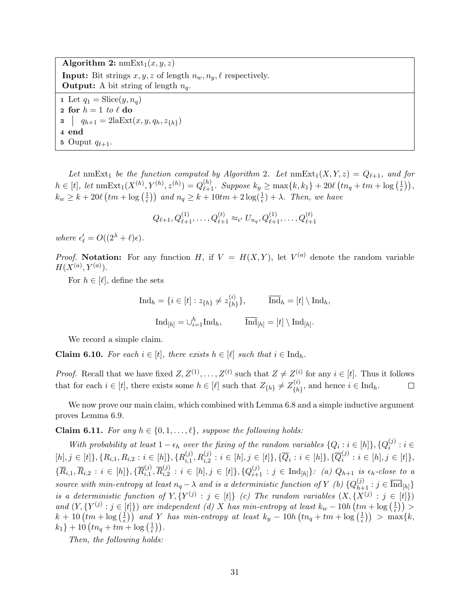Algorithm 2:  $\text{nmExt}_1(x, y, z)$ **Input:** Bit strings  $x, y, z$  of length  $n_w, n_y, \ell$  respectively. **Output:** A bit string of length  $n_q$ . 1 Let  $q_1 = \text{Slice}(y, n_q)$ 2 for  $h = 1$  to  $\ell$  do 3  $q_{h+1} = 2\text{laExt}(x, y, q_h, z_{\{h\}})$ 4 end 5 Ouput  $q_{\ell+1}$ .

Let nmExt<sub>1</sub> be the function computed by Algorithm 2. Let  $\text{nmExt}_1(X, Y, z) = Q_{\ell+1}$ , and for  $h \in [t], \text{ let } \text{nmExt}_1(X^{(h)}, Y^{(h)}, z^{(h)}) = Q_{\ell+1}^{(h)}$ . Suppose  $k_y \ge \max\{k, k_1\} + 20\ell \left(tn_q + tm + \log\left(\frac{1}{\epsilon}\right)\right)$  $\frac{1}{\epsilon} \big) \big),$  $k_w \geq k + 20\ell \left( t m + \log \left( \frac{1}{\epsilon} \right) \right)$  $\frac{1}{\epsilon}$ ) and  $n_q \geq k + 10$ tm +  $2\log(\frac{1}{\epsilon}) + \lambda$ . Then, we have

$$
Q_{\ell+1}, Q_{\ell+1}^{(1)}, \ldots, Q_{\ell+1}^{(t)} \approx_{\epsilon'} U_{n_q}, Q_{\ell+1}^{(1)}, \ldots, Q_{\ell+1}^{(t)}
$$

where  $\epsilon'_{\ell} = O((2^{\lambda} + \ell)\epsilon)$ .

*Proof.* Notation: For any function H, if  $V = H(X,Y)$ , let  $V^{(a)}$  denote the random variable  $H(X^{(a)}, Y^{(a)})$ .

For  $h \in [\ell]$ , define the sets

$$
\text{Ind}_h = \{ i \in [t] : z_{\{h\}} \neq z_{\{h\}}^{(i)} \}, \qquad \overline{\text{Ind}}_h = [t] \setminus \text{Ind}_h,
$$

$$
\text{Ind}_{[h]} = \cup_{i=1}^h \text{Ind}_h, \qquad \overline{\text{Ind}}_{[h]} = [t] \setminus \text{Ind}_{[h]}.
$$

We record a simple claim.

**Claim 6.10.** For each  $i \in [t]$ , there exists  $h \in [\ell]$  such that  $i \in \text{Ind}_h$ .

*Proof.* Recall that we have fixed  $Z, Z^{(1)}, \ldots, Z^{(t)}$  such that  $Z \neq Z^{(i)}$  for any  $i \in [t]$ . Thus it follows that for each  $i \in [t]$ , there exists some  $h \in [\ell]$  such that  $Z_{\{h\}} \neq Z_{\{h\}}^{(i)}$  $\{h\}^{(i)}$ , and hence  $i \in \text{Ind}_h$ .  $\Box$ 

We now prove our main claim, which combined with Lemma [6](#page-28-0).8 and a simple inductive argument proves Lemma 6.[9.](#page-30-0)

<span id="page-31-0"></span>**Claim 6.11.** For any  $h \in \{0, 1, \ldots, \ell\}$ , suppose the following holds:

With probability at least  $1 - \epsilon_h$  over the fixing of the random variables  $\{Q_i : i \in [h]\}, \{Q_i^{(j)}\}$  $i^{(J)}:i\in$  $[h], j \in [t] \}, \{R_{i,1}, R_{i,2} : i \in [h] \}, \{R_{i,1}^{(j)}\}$  $\{ \bar{y}_{i,1}^{(j)}, R_{i,2}^{(j)} : i \in [h], j \in [t] \}, \{ \overline{Q}_i : i \in [h] \}, \{ \overline{Q}_i^{(j)} \}$  $i_i^{(j)}: i \in [h], j \in [t]$ ,  $\{\overline{R}_{i,1}, \overline{R}_{i,2} : i \in [h]\}, \{\overline{R}_{i,1}^{(j)}\}$  $\overline{R}_{i,1}^{(j)},\overline{R}_{i,2}^{(j)}$  $\{a_{i,2}^{(j)}: i \in [h], j \in [t]\}, \{Q_{i+1}^{(j)}: j \in \text{Ind}_{[h]}\}\colon (a) \ Q_{h+1}$  is  $\epsilon_h$ -close to a source with min-entropy at least  $n_q - \lambda$  and is a deterministic function of Y (b)  $\{Q_{h+1}^{(j)} : j \in \overline{\text{Ind}}_{[h]}\}\$ is a deterministic function of  $Y, \{Y^{(j)} : j \in [t]\}$  (c) The random variables  $(X, \{X^{(j)} : j \in [t]\})$ and  $(Y, \{Y^{(j)} : j \in [t]\})$  are independent (d) X has min-entropy at least  $k_w - 10h$   $\left(tm + \log\left(\frac{1}{\epsilon}\right)\right)$  $(\frac{1}{\epsilon})\big)$  >  $k+10$   $\left(\frac{tm}{6}\right)$   $\frac{1}{6}$  $\left(\frac{1}{\epsilon}\right)$  and Y has min-entropy at least  $k_y - 10h\left(tn_q + tm + \log\left(\frac{1}{\epsilon}\right)\right)$  $(\frac{1}{\epsilon})$  > max{k,  $k_1\} + 10 \left(t n_q + t m + \log\left(\frac{1}{\epsilon}\right)\right)$  $(\frac{1}{\epsilon})$  ).

Then, the following holds: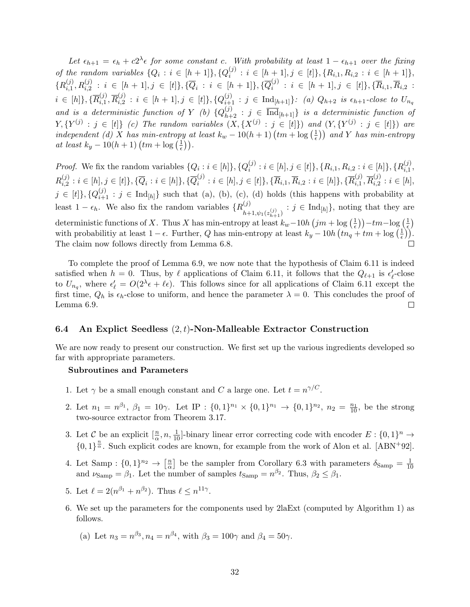Let  $\epsilon_{h+1} = \epsilon_h + c2^{\lambda} \epsilon$  for some constant c. With probability at least  $1 - \epsilon_{h+1}$  over the fixing of the random variables  $\{Q_i : i \in [h+1]\}, \{Q_i^{(j)}\}$  $\{S_i^{(j)}: i\in [h+1], j\in [t]\}, \{R_{i,1}, R_{i,2}: i\in [h+1]\},$  ${R_{i,1}^{(j)}}$  $\{ \bar{y}_{i,1}^{(j)}, R_{i,2}^{(j)} \; : \; i \; \in \; [h+1], j \; \in \; [t] \}, \{ \overline{Q}_i \; : \; i \; \in \; [h+1] \}, \{ \overline{Q}_i^{(j)} \}$  $i_i^{(j)}$  :  $i \in [h+1], j \in [t] \}, \{\overline{R}_{i,1}, \overline{R}_{i,2} \}$  $i \in [h]\}, {\{\overline{R}_{i,1}^{(j)} }$  $\overline{R}_{i,1}^{(j)},\overline{R}_{i,2}^{(j)}$  $\{ \vec{a}_{i,2}^{(j)}: i \in [h+1], j \in [t] \}, \{ Q_{i+1}^{(j)}: j \in \text{Ind}_{[h+1]} \}$ : (a)  $Q_{h+2}$  is  $\epsilon_{h+1}$ -close to  $U_{n,q}$ and is a deterministic function of Y (b)  ${Q_{h+2}^{(j)}: j \in \overline{\text{Ind}}_{[h+1]} }$  is a deterministic function of  $Y, \{Y^{(j)}: j \in [t]\}$  (c) The random variables  $(X, \{X^{(j)}: j \in [t]\})$  and  $(Y, \{Y^{(j)}: j \in [t]\})$  are independent (d) X has min-entropy at least  $k_w - 10(h + 1)$   $\left(tm + \log\left(\frac{1}{e}\right)\right)$  $\left(\frac{1}{\epsilon}\right)$ ) and Y has min-entropy at least  $k_y - 10(h+1)$   $\left(\frac{tm}{e}\right) \frac{1}{h}$  $(\frac{1}{\epsilon})$ .

*Proof.* We fix the random variables  $\{Q_i : i \in [h]\}, \{Q_i^{(j)}\}$  $\{i_i^{(j)}: i \in [h], j \in [t]\}, \{R_{i,1}, R_{i,2}: i \in [h]\}, \{R_{i,1}^{(j)}\}$  $_{i,1}^{\left( j\right) },$  $R_{i,2}^{(j)}$  $\{ \bar{u}_i^{(j)}: i \in [h], j \in [t] \}, \{ \overline{Q}_i: i \in [h] \}, \{ \overline{Q}_i^{(j)} \}$  $\{\vec{a}_i^{(j)}: i \in [h], j \in [t]\}, \{\overline{R}_{i,1}, \overline{R}_{i,2}: i \in [h]\}, \{\overline{R}_{i,1}^{(j)}\}$  $\overline{R}_{i,1}^{(j)},\overline{R}_{i,2}^{(j)}$  $i, 2 : i \in [h],$  $j \in [t]$ ,  $\{Q_{i+1}^{(j)} : j \in \text{Ind}_{[h]} \}$  such that (a), (b), (c), (d) holds (this happens with probability at least  $1 - \epsilon_h$ . We also fix the random variables  $\{R_i^{(j)}\}$  $\lim_{h+1,\psi_1(z_{h+1}^{(j)})} : j \in \text{Ind}_{[h]}\},\$  noting that they are deterministic functions of X. Thus X has min-entropy at least  $k_w-10h(jm+\log(\frac{1}{\epsilon}))$  $\left(\frac{1}{\epsilon}\right)\right)-tm-\log\left(\frac{1}{\epsilon}\right)$  $(\frac{1}{\epsilon})$ with probabilitiy at least  $1 - \epsilon$ . Further, Q has min-entropy at least  $k_y - 10h (tn_q + tm + \log(\frac{1}{\epsilon}))$  $(\frac{1}{\epsilon})$ . The claim now follows directly from Lemma 6.[8.](#page-28-0)

To complete the proof of Lemma 6.[9,](#page-30-0) we now note that the hypothesis of Claim 6.[11](#page-31-0) is indeed satisfied when  $h = 0$ . Thus, by  $\ell$  applications of Claim 6.[11,](#page-31-0) it follows that the  $Q_{\ell+1}$  is  $\epsilon'_\ell$ -close to  $U_{n_q}$ , where  $\epsilon'_\ell = O(2^{\lambda}\epsilon + \ell\epsilon)$ . This follows since for all applications of Claim 6.[11](#page-31-0) except the first time,  $Q_h$  is  $\epsilon_h$ -close to uniform, and hence the parameter  $\lambda = 0$ . This concludes the proof of Lemma 6.[9.](#page-30-0)  $\Box$ 

#### 6.4 An Explict Seedless  $(2, t)$ -Non-Malleable Extractor Construction

We are now ready to present our construction. We first set up the various ingredients developed so far with appropriate parameters.

#### Subroutines and Parameters

- 1. Let  $\gamma$  be a small enough constant and C a large one. Let  $t = n^{\gamma/C}$ .
- 2. Let  $n_1 = n^{\beta_1}$ ,  $\beta_1 = 10\gamma$ . Let IP :  $\{0,1\}^{n_1} \times \{0,1\}^{n_1} \rightarrow \{0,1\}^{n_2}$ ,  $n_2 = \frac{n_1}{10}$ , be the strong two-source extractor from Theorem 3.[17.](#page-22-0)
- 3. Let C be an explicit  $[\frac{n}{\alpha}, n, \frac{1}{10}]$ -binary linear error correcting code with encoder  $E: \{0, 1\}^n \to$  ${0, 1}^{\frac{n}{\alpha}}$ . Such explicit codes are known, for example from the work of Alon et al. [\[ABN](#page-47-12)<sup>+92]</sup>.
- 4. Let Samp :  $\{0,1\}^{n_2} \rightarrow \left[\frac{n}{\alpha}\right]$  $\frac{n}{\alpha}$  be the sampler from Corollary [6](#page-25-4).3 with parameters  $\delta_{\text{Samp}} = \frac{1}{10}$ 10 and  $\nu_{\text{Samp}} = \beta_1$ . Let the number of samples  $t_{\text{Samp}} = n^{\beta_2}$ . Thus,  $\beta_2 \leq \beta_1$ .
- 5. Let  $\ell = 2(n^{\beta_1} + n^{\beta_2})$ . Thus  $\ell \leq n^{11\gamma}$ .
- 6. We set up the parameters for the components used by 2laExt (computed by Algorithm 1) as follows.
	- (a) Let  $n_3 = n^{\beta_3}, n_4 = n^{\beta_4}$ , with  $\beta_3 = 100\gamma$  and  $\beta_4 = 50\gamma$ .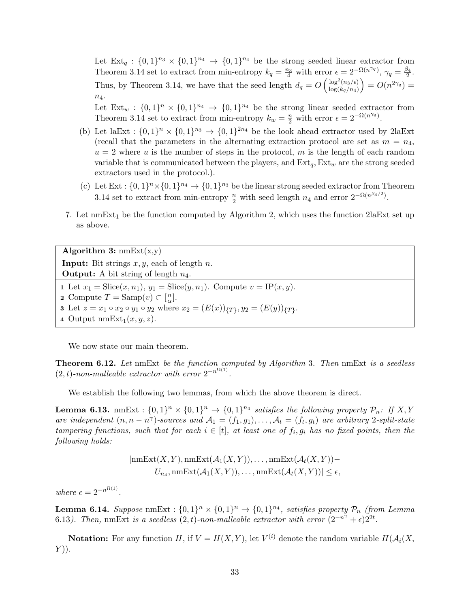Let  $Ext_q: \{0,1\}^{n_3} \times \{0,1\}^{n_4} \rightarrow \{0,1\}^{n_4}$  be the strong seeded linear extractor from Theorem 3.[14](#page-21-0) set to extract from min-entropy  $k_q = \frac{n_3}{4}$  with error  $\epsilon = 2^{-\Omega(n^{\gamma_q})}$ ,  $\gamma_q = \frac{\beta_4}{2}$  $\frac{54}{2}$ . Thus, by Theorem [3.14,](#page-21-0) we have that the seed length  $d_q = O\left(\frac{\log^2(n_3/\epsilon)}{\log(k_3/n_4)}\right)$  $\log(k_q/n_4)$  $= O(n^{2\gamma_q}) =$  $n_4$ .

Let  $Ext_w: \{0,1\}^n \times \{0,1\}^{n_4} \rightarrow \{0,1\}^{n_4}$  be the strong linear seeded extractor from Theorem 3.[14](#page-21-0) set to extract from min-entropy  $k_w = \frac{n}{2}$  with error  $\epsilon = 2^{-\Omega(n^{\gamma_q})}$ .

- (b) Let laExt :  $\{0,1\}^n \times \{0,1\}^{n_3} \rightarrow \{0,1\}^{2n_4}$  be the look ahead extractor used by 2laExt (recall that the parameters in the alternating extraction protocol are set as  $m = n_4$ ,  $u = 2$  where u is the number of steps in the protocol, m is the length of each random variable that is communicated between the players, and  $Ext_q, Ext_w$  are the strong seeded extractors used in the protocol.).
- (c) Let  $Ext: \{0,1\}^{n} \times \{0,1\}^{n_4} \rightarrow \{0,1\}^{n_3}$  be the linear strong seeded extractor from Theorem 3.[14](#page-21-0) set to extract from min-entropy  $\frac{n}{2}$  with seed length  $n_4$  and error  $2^{-\Omega(n^{\beta_4/2})}$ .
- 7. Let  $\text{nmExt}_1$  be the function computed by Algorithm 2, which uses the function 2laExt set up as above.

Algorithm 3:  $nmExt(x,y)$ **Input:** Bit strings  $x, y$ , each of length  $n$ . **Output:** A bit string of length  $n_4$ . 1 Let  $x_1 = \text{Slice}(x, n_1), y_1 = \text{Slice}(y, n_1)$ . Compute  $v = \text{IP}(x, y)$ . 2 Compute  $T = \text{Samp}(v) \subset \left[\frac{n}{\alpha}\right]$  $\frac{n}{\alpha}$ . 3 Let  $z = x_1 \circ x_2 \circ y_1 \circ y_2$  where  $x_2 = (E(x))_{\{T\}}, y_2 = (E(y))_{\{T\}}.$ 4 Output  $nmExt_1(x, y, z)$ .

We now state our main theorem.

<span id="page-33-2"></span>Theorem 6.12. Let nmExt be the function computed by Algorithm 3. Then nmExt is a seedless  $(2,t)$ -non-malleable extractor with error  $2^{-n^{\Omega(1)}}$ .

We establish the following two lemmas, from which the above theorem is direct.

<span id="page-33-1"></span>**Lemma 6.13.** nmExt :  $\{0,1\}^n \times \{0,1\}^n \to \{0,1\}^{n_4}$  satisfies the following property  $\mathcal{P}_n$ : If X, Y are independent  $(n, n - n^{\gamma})$ -sources and  $\mathcal{A}_1 = (f_1, g_1), \ldots, \mathcal{A}_t = (f_t, g_t)$  are arbitrary 2-split-state tampering functions, such that for each  $i \in [t]$ , at least one of  $f_i, g_i$  has no fixed points, then the following holds:

$$
|\text{nmExt}(X, Y), \text{nmExt}(\mathcal{A}_1(X, Y)), \dots, \text{nmExt}(\mathcal{A}_t(X, Y)) - U_{n_4}, \text{nmExt}(\mathcal{A}_1(X, Y)), \dots, \text{nmExt}(\mathcal{A}_t(X, Y))| \le \epsilon,
$$

where  $\epsilon = 2^{-n^{\Omega(1)}}$ .

<span id="page-33-0"></span>**Lemma 6.14.** Suppose  $\text{nmExt}: \{0,1\}^n \times \{0,1\}^n \rightarrow \{0,1\}^{n_4}$ , satisfies property  $\mathcal{P}_n$  (from Lemma 6.[13](#page-33-1)). Then, nmExt is a seedless  $(2,t)$ -non-malleable extractor with error  $(2^{-n^{\gamma}} + \epsilon)2^{2t}$ .

**Notation:** For any function H, if  $V = H(X, Y)$ , let  $V^{(i)}$  denote the random variable  $H(A_i(X, Y))$  $Y$ )).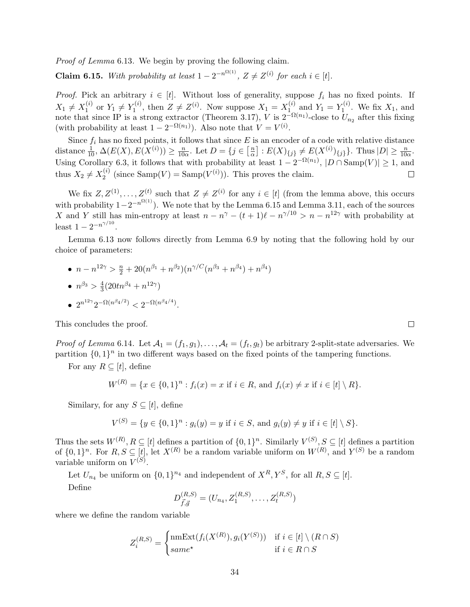Proof of Lemma 6.[13](#page-33-1). We begin by proving the following claim.

<span id="page-34-0"></span>**Claim 6.15.** With probability at least  $1 - 2^{-n^{\Omega(1)}}$ ,  $Z \neq Z^{(i)}$  for each  $i \in [t]$ .

*Proof.* Pick an arbitrary  $i \in [t]$ . Without loss of generality, suppose  $f_i$  has no fixed points. If  $X_1 \neq X_1^{(i)}$  $Y_1^{(i)}$  or  $Y_1 \neq Y_1^{(i)}$  $Y_1^{(i)}$ , then  $Z \neq Z^{(i)}$ . Now suppose  $X_1 = X_1^{(i)}$  $Y_1^{(i)}$  and  $Y_1 = Y_1^{(i)}$  $\mathcal{I}_1^{(i)}$ . We fix  $X_1$ , and note that since IP is a strong extractor (Theorem 3.[17\)](#page-22-0), V is  $2^{-\Omega(n_1)}$ -close to  $U_{n_2}$  after this fixing (with probability at least  $1 - 2^{-\Omega(n_1)}$ ). Also note that  $V = V^{(i)}$ .

Since  $f_i$  has no fixed points, it follows that since  $E$  is an encoder of a code with relative distance distance  $\frac{1}{10}$ ,  $\Delta(E(X), E(X^{(i)})) \ge \frac{n}{100}$  $\frac{n}{10\alpha}$ . Let  $D = \{j \in \left[\frac{n}{\alpha}\right]$  $\frac{n}{\alpha}$  :  $E(X)_{\{j\}} \neq E(X^{(i)})_{\{j\}}$ . Thus  $|D| \geq \frac{n}{10\alpha}$ . Using Corollary 6.[3,](#page-25-4) it follows that with probability at least  $1 - 2^{-\Omega(n_1)}$ ,  $|D \cap \text{Samp}(V)| \ge 1$ , and thus  $X_2 \neq X_2^{(i)}$  $2^{(i)}$  (since Samp $(V) =$  Samp $(V^{(i)})$ ). This proves the claim.  $\Box$ 

We fix  $Z, Z^{(1)}, \ldots, Z^{(t)}$  such that  $Z \neq Z^{(i)}$  for any  $i \in [t]$  (from the lemma above, this occurs with probability  $1-2^{-n^{\Omega(1)}}$ ). We note that by the Lemma 6.[15](#page-34-0) and Lemma 3.[11,](#page-21-3) each of the sources X and Y still has min-entropy at least  $n - n^{\gamma} - (t + 1)\ell - n^{\gamma/10} > n - n^{12\gamma}$  with probability at least  $1 - 2^{-n^{\gamma/10}}$ .

Lemma 6.[13](#page-33-1) now follows directly from Lemma [6](#page-30-0).9 by noting that the following hold by our choice of parameters:

•  $n - n^{12\gamma} > \frac{n}{2} + 20(n^{\beta_1} + n^{\beta_2})(n^{\gamma/C}(n^{\beta_3} + n^{\beta_4}) + n^{\beta_4})$  $\bullet$   $n^{\beta_3} > \frac{4}{3}$  $\frac{4}{3}(20tn^{\beta_4}+n^{12\gamma})$ 

• 
$$
2^{n^{12\gamma}} 2^{-\Omega(n^{\beta_4/2})} < 2^{-\Omega(n^{\beta_4/4})}
$$
.

This concludes the proof.

*Proof of Lemma* 6.[14](#page-33-0). Let  $A_1 = (f_1, g_1), \ldots, A_t = (f_t, g_t)$  be arbitrary 2-split-state adversaries. We partition  $\{0,1\}^n$  in two different ways based on the fixed points of the tampering functions.

For any  $R \subseteq [t]$ , define

$$
W^{(R)} = \{x \in \{0,1\}^n : f_i(x) = x \text{ if } i \in R, \text{ and } f_i(x) \neq x \text{ if } i \in [t] \setminus R\}.
$$

Similary, for any  $S \subseteq [t]$ , define

$$
V^{(S)} = \{ y \in \{0,1\}^n : g_i(y) = y \text{ if } i \in S, \text{ and } g_i(y) \neq y \text{ if } i \in [t] \setminus S \}.
$$

Thus the sets  $W^{(R)}, R \subseteq [t]$  defines a partition of  $\{0,1\}^n$ . Similarly  $V^{(S)}, S \subseteq [t]$  defines a partition of  $\{0,1\}^n$ . For  $R, S \subseteq [t]$ , let  $X^{(R)}$  be a random variable uniform on  $W^{(R)}$ , and  $Y^{(S)}$  be a random variable uniform on  $V^{(S)}$ .

Let  $U_{n_4}$  be uniform on  $\{0,1\}^{n_4}$  and independent of  $X^R, Y^S$ , for all  $R, S \subseteq [t]$ . Define

$$
D_{\vec{f},\vec{g}}^{(R,S)} = (U_{n_4}, Z_1^{(R,S)}, \dots, Z_t^{(R,S)})
$$

where we define the random variable

$$
Z_i^{(R,S)} = \begin{cases} \text{nmExt}(f_i(X^{(R)}), g_i(Y^{(S)})) & \text{if } i \in [t] \setminus (R \cap S) \\ same^{\star} & \text{if } i \in R \cap S \end{cases}
$$

 $\Box$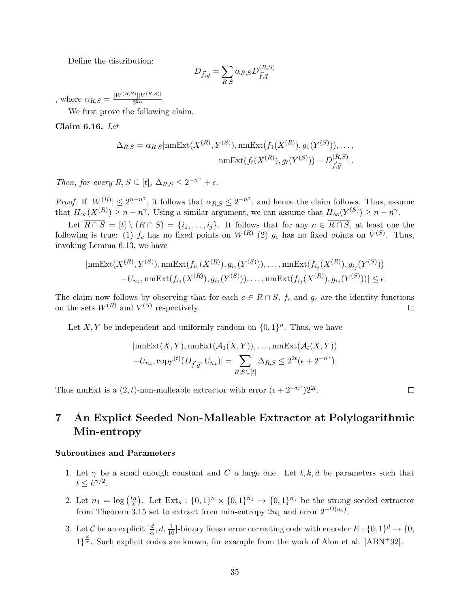Define the distribution:

$$
D_{\vec{f},\vec{g}} = \sum_{R,S} \alpha_{R,S} D^{(R,S)}_{\vec{f},\vec{g}}
$$

, where  $\alpha_{R,S} = \frac{|W^{(R,S)}||V^{(R,S)}|}{2^{2n}}$  $\frac{2^{2n}}{2^{2n}}$ .

We first prove the following claim.

Claim 6.16. Let

$$
\Delta_{R,S} = \alpha_{R,S}|\text{nmExt}(X^{(R)}, Y^{(S)}), \text{nmExt}(f_1(X^{(R)}), g_1(Y^{(S)})), \dots, \\ \text{nmExt}(f_t(X^{(R)}), g_t(Y^{(S)})) - D_{\vec{f}, \vec{g}}^{(R,S)}|.
$$

Then, for every  $R, S \subseteq [t], \Delta_{R,S} \leq 2^{-n^{\gamma}} + \epsilon$ .

*Proof.* If  $|W^{(R)}| \leq 2^{n-n^{\gamma}}$ , it follows that  $\alpha_{R,S} \leq 2^{-n^{\gamma}}$ , and hence the claim follows. Thus, assume that  $H_{\infty}(X^{(R)}) \geq n - n^{\gamma}$ . Using a similar argument, we can assume that  $H_{\infty}(Y^{(S)}) \geq n - n^{\gamma}$ .

Let  $\overline{R \cap S} = [t] \setminus (R \cap S) = \{i_1, \ldots, i_j\}$ . It follows that for any  $c \in \overline{R \cap S}$ , at least one the following is true: (1)  $f_c$  has no fixed points on  $W^{(R)}$  (2)  $g_c$  has no fixed points on  $V^{(S)}$ . Thus, invoking Lemma 6.[13,](#page-33-1) we have

$$
|\text{nmExt}(X^{(R)}, Y^{(S)}), \text{nmExt}(f_{i_1}(X^{(R)}), g_{i_1}(Y^{(S)})), \dots, \text{nmExt}(f_{i_j}(X^{(R)}), g_{i_j}(Y^{(S)}))
$$

$$
-U_{n_4}, \text{nmExt}(f_{i_1}(X^{(R)}), g_{i_1}(Y^{(S)})), \dots, \text{nmExt}(f_{i_j}(X^{(R)}, g_{i_j}(Y^{(S)}))| \le \epsilon
$$

The claim now follows by observing that for each  $c \in R \cap S$ ,  $f_c$  and  $g_c$  are the identity functions on the sets  $W^{(R)}$  and  $V^{(S)}$  respectively.  $\Box$ 

Let X, Y be independent and uniformly random on  $\{0,1\}^n$ . Thus, we have

$$
|\text{nmExt}(X, Y), \text{nmExt}(\mathcal{A}_1(X, Y)), \dots, \text{nmExt}(\mathcal{A}_t(X, Y))
$$

$$
-U_{n_4}, \text{copy}^{(t)}(D_{\vec{f}, \vec{g}}, U_{n_4})| = \sum_{R, S \subseteq [t]} \Delta_{R, S} \le 2^{2t} (\epsilon + 2^{-n^{\gamma}}).
$$

Thus nmExt is a  $(2, t)$ -non-malleable extractor with error  $(\epsilon + 2^{-n^{\gamma}})2^{2t}$ .

 $\Box$ 

## <span id="page-35-0"></span>7 An Explict Seeded Non-Malleable Extractor at Polylogarithmic Min-entropy

#### Subroutines and Parameters

- 1. Let  $\gamma$  be a small enough constant and C a large one. Let t, k, d be parameters such that  $t \leq k^{\gamma/2}$ .
- 2. Let  $n_1 = \log \left( \frac{tn}{\epsilon} \right)$  $\frac{n}{\epsilon}$ . Let Ext<sub>s</sub>:  $\{0,1\}^n \times \{0,1\}^{n_1} \to \{0,1\}^{n_1}$  be the strong seeded extractor from Theorem 3.[15](#page-22-1) set to extract from min-entropy  $2n_1$  and error  $2^{-\Omega(n_1)}$ .
- 3. Let C be an explicit  $[\frac{d}{\alpha}, d, \frac{1}{10}]$ -binary linear error correcting code with encoder  $E: \{0, 1\}^d \to \{0, 1\}^d$  $1\frac{d}{dx}$ . Such explicit codes are known, for example from the work of Alon et al. [\[ABN](#page-47-12)<sup>+92]</sup>.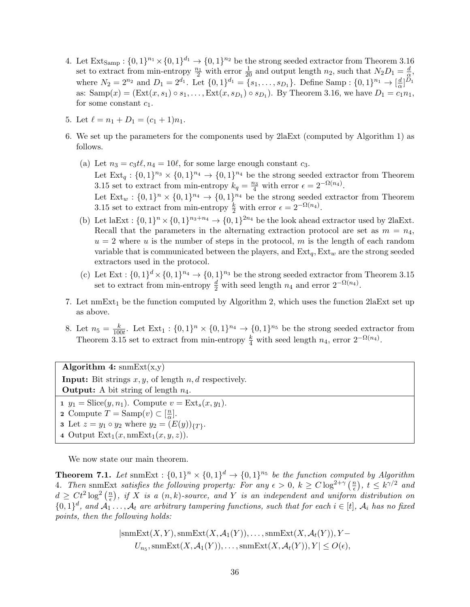- 4. Let  $\text{Ext}_{\text{Samp}}: \{0,1\}^{n_1} \times \{0,1\}^{d_1} \to \{0,1\}^{n_2}$  be the strong seeded extractor from Theorem 3.[16](#page-22-2) set to extract from min-entropy  $\frac{n_1}{2}$  with error  $\frac{1}{20}$  and output length  $n_2$ , such that  $N_2D_1 = \frac{d}{\alpha}$  $\frac{d}{\alpha}$ , where  $N_2 = 2^{n_2}$  and  $D_1 = 2^{d_1}$ . Let  $\{0, 1\}^{d_1} = \{s_1, \ldots, s_{D_1}\}$ . Define Samp:  $\{0, 1\}^{n_1} \to [\frac{d}{\alpha}]$  $\frac{d}{\alpha}$ ] $D_1$ as:  $\text{Samp}(x) = (\text{Ext}(x, s_1) \circ s_1, \dots, \text{Ext}(x, s_{D_1}) \circ s_{D_1})$ . By Theorem 3.[16,](#page-22-2) we have  $D_1 = c_1 n_1$ , for some constant  $c_1$ .
- 5. Let  $\ell = n_1 + D_1 = (c_1 + 1)n_1$ .
- 6. We set up the parameters for the components used by 2laExt (computed by Algorithm 1) as follows.
	- (a) Let  $n_3 = c_3 t\ell, n_4 = 10\ell$ , for some large enough constant  $c_3$ . Let  $\text{Ext}_q: \{0,1\}^{n_3} \times \{0,1\}^{n_4} \to \{0,1\}^{n_4}$  be the strong seeded extractor from Theorem 3.[15](#page-22-1) set to extract from min-entropy  $k_q = \frac{n_3}{4}$  with error  $\epsilon = 2^{-\Omega(n_4)}$ . Let  $Ext_w: \{0,1\}^n \times \{0,1\}^{n_4} \to \{0,1\}^{n_4}$  be the strong seeded extractor from Theorem 3.[15](#page-22-1) set to extract from min-entropy  $\frac{k}{2}$  with error  $\epsilon = 2^{-\Omega(n_4)}$ .
	- (b) Let laExt :  $\{0,1\}^n \times \{0,1\}^{n_3+n_4} \to \{0,1\}^{2n_4}$  be the look ahead extractor used by 2laExt. Recall that the parameters in the alternating extraction protocol are set as  $m = n_4$ ,  $u = 2$  where u is the number of steps in the protocol, m is the length of each random variable that is communicated between the players, and  $Ext_q, Ext_w$  are the strong seeded extractors used in the protocol.
	- (c) Let  $Ext: \{0,1\}^d \times \{0,1\}^{n_4} \to \{0,1\}^{n_3}$  be the strong seeded extractor from Theorem 3.[15](#page-22-1) set to extract from min-entropy  $\frac{d}{2}$  with seed length  $n_4$  and error  $2^{-\Omega(n_4)}$ .
- 7. Let  $\text{nmExt}_1$  be the function computed by Algorithm 2, which uses the function 2laExt set up as above.
- 8. Let  $n_5 = \frac{k}{100}$  $\frac{k}{100t}$ . Let  $Ext_1: \{0,1\}^n \times \{0,1\}^{n_4} \rightarrow \{0,1\}^{n_5}$  be the strong seeded extractor from Theorem 3.[15](#page-22-1) set to extract from min-entropy  $\frac{k}{4}$  with seed length  $n_4$ , error  $2^{-\Omega(n_4)}$ .

Algorithm 4:  $\text{smExt}(x,y)$ **Input:** Bit strings  $x, y$ , of length  $n, d$  respectively. **Output:** A bit string of length  $n_4$ . 1  $y_1 = \text{Slice}(y, n_1)$ . Compute  $v = \text{Ext}_s(x, y_1)$ . 2 Compute  $T = \text{Samp}(v) \subset \left[\frac{n}{\alpha}\right]$  $\frac{n}{\alpha}$ .

- **3** Let  $z = y_1 \circ y_2$  where  $y_2 = (E(y))_{\{T\}}$ .
- 4 Output  $Ext_1(x, \text{nmExt}_1(x, y, z)).$

We now state our main theorem.

**Theorem 7.1.** Let snmExt :  $\{0,1\}^n \times \{0,1\}^d \rightarrow \{0,1\}^{n_5}$  be the function computed by Algorithm 4. Then snmExt satisfies the following property: For any  $\epsilon > 0$ ,  $k \geq C \log^{2+\gamma} \left(\frac{n}{\epsilon}\right)$  $(\frac{n}{\epsilon}), t \leq k^{\gamma/2}$  and  $d \geq Ct^2 \log^2\left(\frac{n}{\epsilon}\right)$  $\binom{n}{\epsilon}$ , if X is a  $(n, k)$ -source, and Y is an independent and uniform distribution on  $\{0,1\}^d$ , and  $\mathcal{A}_1 \ldots, \mathcal{A}_t$  are arbitrary tampering functions, such that for each  $i \in [t]$ ,  $\mathcal{A}_i$  has no fixed points, then the following holds:

$$
|{\rm sumExt}(X, Y), {\rm sumExt}(X, \mathcal{A}_1(Y)), \dots, {\rm sumExt}(X, \mathcal{A}_t(Y)), Y - U_{n_5}, {\rm sumExt}(X, \mathcal{A}_1(Y)), \dots, {\rm sumExt}(X, \mathcal{A}_t(Y)), Y| \le O(\epsilon),
$$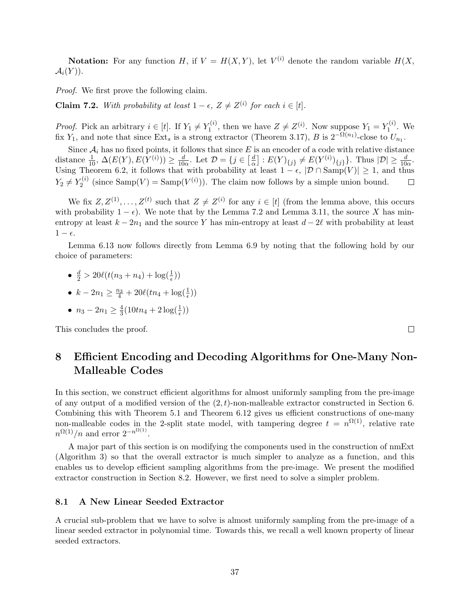**Notation:** For any function H, if  $V = H(X, Y)$ , let  $V^{(i)}$  denote the random variable  $H(X, Y)$  $\mathcal{A}_i(Y)$ ).

Proof. We first prove the following claim.

<span id="page-37-1"></span>**Claim 7.2.** With probability at least  $1 - \epsilon$ ,  $Z \neq Z^{(i)}$  for each  $i \in [t]$ .

*Proof.* Pick an arbitrary  $i \in [t]$ . If  $Y_1 \neq Y_1^{(i)}$  $Y_1^{(i)}$ , then we have  $Z \neq Z^{(i)}$ . Now suppose  $Y_1 = Y_1^{(i)}$  $I^{(i)}$ . We fix Y<sub>1</sub>, and note that since Ext<sub>s</sub> is a strong extractor (Theorem 3.[17\)](#page-22-0), B is  $2^{-\Omega(n_1)}$ -close to  $U_{n_1}$ .

Since  $A_i$  has no fixed points, it follows that since E is an encoder of a code with relative distance distance  $\frac{1}{10}$ ,  $\Delta(E(Y), E(Y^{(i)})) \ge \frac{d}{10}$  $\frac{d}{10\alpha}$ . Let  $\mathcal{D} = \{j \in \left[\frac{d}{\alpha}\right]$  $\frac{d}{d}$ ] :  $E(Y)_{\{j\}} \neq E(Y^{(i)})_{\{j\}}$ . Thus  $|\mathcal{D}| \geq \frac{d}{10\alpha}$ . Using Theorem 6.[2,](#page-25-0) it follows that with probability at least  $1 - \epsilon$ ,  $|\mathcal{D} \cap \text{Samp}(V)| \geq 1$ , and thus  $Y_2 \neq Y_2^{(i)}$  $Z_2^{(i)}$  (since  $\text{Samp}(V) = \text{Samp}(V^{(i)}))$ ). The claim now follows by a simple union bound.  $\Box$ 

We fix  $Z, Z^{(1)}, \ldots, Z^{(t)}$  such that  $Z \neq Z^{(i)}$  for any  $i \in [t]$  (from the lemma above, this occurs with probability  $1 - \epsilon$ ). We note that by the Lemma [7](#page-37-1).2 and Lemma 3.[11,](#page-21-3) the source X has minentropy at least  $k - 2n_1$  and the source Y has min-entropy at least  $d - 2\ell$  with probability at least  $1 - \epsilon$ .

Lemma 6.[13](#page-33-1) now follows directly from Lemma [6](#page-30-0).9 by noting that the following hold by our choice of parameters:

$$
\bullet \ \ \frac{d}{2} > 20\ell(t(n_3+n_4) + \log(\frac{1}{\epsilon}))
$$

• 
$$
k - 2n_1 \ge \frac{n_3}{4} + 20\ell(tn_4 + \log(\frac{1}{\epsilon}))
$$

• 
$$
n_3 - 2n_1 \ge \frac{4}{3}(10tn_4 + 2\log(\frac{1}{\epsilon}))
$$

This concludes the proof.

## <span id="page-37-0"></span>8 Efficient Encoding and Decoding Algorithms for One-Many Non-Malleable Codes

In this section, we construct efficient algorithms for almost uniformly sampling from the pre-image of any output of a modified version of the  $(2, t)$ -non-malleable extractor constructed in Section [6.](#page-24-2) Combining this with Theorem [5](#page-24-0).1 and Theorem 6.[12](#page-33-2) gives us efficient constructions of one-many non-malleable codes in the 2-split state model, with tampering degree  $t = n^{\Omega(1)}$ , relative rate  $n^{\Omega(1)}/n$  and error  $2^{-n^{\Omega(1)}}$ .

A major part of this section is on modifying the components used in the construction of nmExt (Algorithm 3) so that the overall extractor is much simpler to analyze as a function, and this enables us to develop efficient sampling algorithms from the pre-image. We present the modified extractor construction in Section 8.[2.](#page-40-0) However, we first need to solve a simpler problem.

#### 8.1 A New Linear Seeded Extractor

A crucial sub-problem that we have to solve is almost uniformly sampling from the pre-image of a linear seeded extractor in polynomial time. Towards this, we recall a well known property of linear seeded extractors.

 $\Box$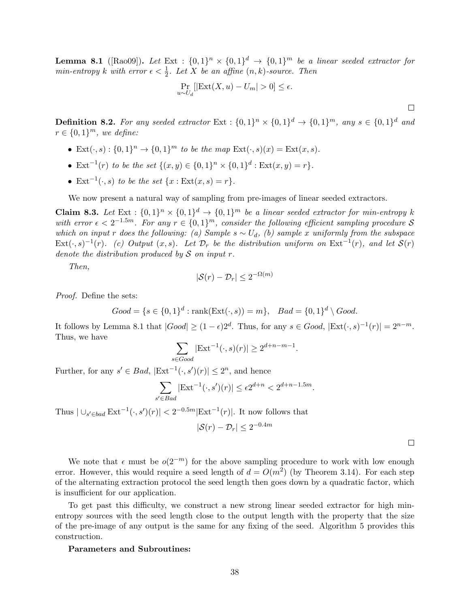<span id="page-38-0"></span>**Lemma 8.1** ([\[Rao09\]](#page-49-15)). Let Ext :  $\{0,1\}^n \times \{0,1\}^d \rightarrow \{0,1\}^m$  be a linear seeded extractor for min-entropy k with error  $\epsilon < \frac{1}{2}$ . Let X be an affine  $(n, k)$ -source. Then

$$
\Pr_{u \sim U_d} [|\text{Ext}(X, u) - U_m| > 0] \le \epsilon.
$$

**Definition 8.2.** For any seeded extractor  $Ext: \{0,1\}^n \times \{0,1\}^d \rightarrow \{0,1\}^m$ , any  $s \in \{0,1\}^d$  and  $r \in \{0,1\}^m$ , we define:

- Ext $(\cdot, s) : \{0,1\}^n \to \{0,1\}^m$  to be the map  $\text{Ext}(\cdot, s)(x) = \text{Ext}(x, s)$ .
- Ext<sup>-1</sup>(r) to be the set  $\{(x, y) \in \{0, 1\}^n \times \{0, 1\}^d : \text{Ext}(x, y) = r\}.$
- Ext<sup>-1</sup>( $\cdot$ , s) to be the set {x : Ext(x, s) = r}.

We now present a natural way of sampling from pre-images of linear seeded extractors.

**Claim 8.3.** Let  $Ext : \{0,1\}^n \times \{0,1\}^d \rightarrow \{0,1\}^m$  be a linear seeded extractor for min-entropy k with error  $\epsilon < 2^{-1.5m}$ . For any  $r \in \{0,1\}^m$ , consider the following efficient sampling procedure S which on input r does the following: (a) Sample  $s \sim U_d$ , (b) sample x uniformly from the subspace  $\text{Ext}(\cdot,s)^{-1}(r)$ . (c) Output  $(x,s)$ . Let  $\mathcal{D}_r$  be the distribution uniform on  $\text{Ext}^{-1}(r)$ , and let  $\mathcal{S}(r)$ denote the distribution produced by  $S$  on input r.

Then,

$$
|\mathcal{S}(r) - \mathcal{D}_r| \le 2^{-\Omega(m)}
$$

Proof. Define the sets:

 $Good = \{s \in \{0,1\}^d : \text{rank}(\text{Ext}(\cdot,s)) = m\}, \quad Bad = \{0,1\}^d \setminus Good.$ 

It follows by Lemma [8](#page-38-0).1 that  $|Good| \ge (1 - \epsilon)2^d$ . Thus, for any  $s \in Good$ ,  $|Ext(\cdot, s)^{-1}(r)| = 2^{n-m}$ . Thus, we have

$$
\sum_{s \in Good} |\text{Ext}^{-1}(\cdot, s)(r)| \ge 2^{d+n-m-1}.
$$

Further, for any  $s' \in Bad$ ,  $|\text{Ext}^{-1}(\cdot, s')(r)| \leq 2^n$ , and hence

$$
\sum_{s' \in Bad} |\text{Ext}^{-1}(\cdot, s')(r)| \le \epsilon 2^{d+n} < 2^{d+n-1.5m}.
$$

Thus  $|\bigcup_{s' \in bad} \text{Ext}^{-1}(\cdot, s')(r)| < 2^{-0.5m} |\text{Ext}^{-1}(r)|$ . It now follows that

$$
|\mathcal{S}(r) - \mathcal{D}_r| \le 2^{-0.4m}
$$

 $\Box$ 

 $\Box$ 

We note that  $\epsilon$  must be  $o(2^{-m})$  for the above sampling procedure to work with low enough error. However, this would require a seed length of  $d = O(m^2)$  (by Theorem 3.[14\)](#page-21-0). For each step of the alternating extraction protocol the seed length then goes down by a quadratic factor, which is insufficient for our application.

To get past this difficulty, we construct a new strong linear seeded extractor for high minentropy sources with the seed length close to the output length with the property that the size of the pre-image of any output is the same for any fixing of the seed. Algorithm 5 provides this construction.

#### Parameters and Subroutines: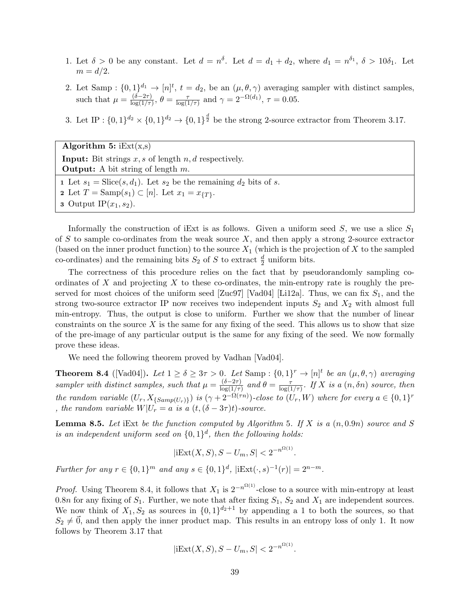- 1. Let  $\delta > 0$  be any constant. Let  $d = n^{\delta}$ . Let  $d = d_1 + d_2$ , where  $d_1 = n^{\delta_1}$ ,  $\delta > 10\delta_1$ . Let  $m = d/2$ .
- 2. Let Samp :  $\{0,1\}^{d_1} \to [n]^t$ ,  $t = d_2$ , be an  $(\mu, \theta, \gamma)$  averaging sampler with distinct samples, such that  $\mu = \frac{(\delta - 2\tau)}{\log(1/\tau)}$  $\frac{(\delta - 2\tau)}{\log(1/\tau)}, \ \theta = \frac{\tau}{\log(1/\tau)}$  $\frac{\tau}{\log(1/\tau)}$  and  $\gamma = 2^{-\Omega(d_1)}$ ,  $\tau = 0.05$ .
- 3. Let IP :  $\{0,1\}^{d_2} \times \{0,1\}^{d_2} \to \{0,1\}^{\frac{d}{2}}$  be the strong 2-source extractor from Theorem 3.[17.](#page-22-0)

| Algorithm 5: $iExt(x,s)$                                                         |
|----------------------------------------------------------------------------------|
| <b>Input:</b> Bit strings $x, s$ of length $n, d$ respectively.                  |
| <b>Output:</b> A bit string of length $m$ .                                      |
| 1 Let $s_1 = \text{Slice}(s, d_1)$ . Let $s_2$ be the remaining $d_2$ bits of s. |
| <b>2</b> Let $T = \text{Samp}(s_1) \subset [n]$ . Let $x_1 = x_{\{T\}}$ .        |
| <b>3</b> Output IP $(x_1, s_2)$ .                                                |

Informally the construction of iExt is as follows. Given a uniform seed  $S$ , we use a slice  $S_1$ of S to sample co-ordinates from the weak source  $X$ , and then apply a strong 2-source extractor (based on the inner product function) to the source  $X_1$  (which is the projection of X to the sampled co-ordinates) and the remaining bits  $S_2$  of S to extract  $\frac{d}{2}$  uniform bits.

The correctness of this procedure relies on the fact that by pseudorandomly sampling coordinates of X and projecting X to these co-ordinates, the min-entropy rate is roughly the pre-served for most choices of the uniform seed [\[Zuc97\]](#page--1-6) [\[Vad04\]](#page--1-7) [\[Li12a\]](#page-49-2). Thus, we can fix  $S_1$ , and the strong two-source extractor IP now receives two independent inputs  $S_2$  and  $X_2$  with almost full min-entropy. Thus, the output is close to uniform. Further we show that the number of linear constraints on the source  $X$  is the same for any fixing of the seed. This allows us to show that size of the pre-image of any particular output is the same for any fixing of the seed. We now formally prove these ideas.

We need the following theorem proved by Vadhan [\[Vad04\]](#page--1-7).

<span id="page-39-0"></span>**Theorem 8.4** ([\[Vad04\]](#page--1-7)). Let  $1 \ge \delta \ge 3\tau > 0$ . Let Samp :  $\{0,1\}^r \to [n]^t$  be an  $(\mu,\theta,\gamma)$  averaging sampler with distinct samples, such that  $\mu = \frac{(\delta - 2\tau)}{\log(1/\tau)}$  $\frac{(\delta - 2\tau)}{\log(1/\tau)}$  and  $\theta = \frac{\tau}{\log(1/\tau)}$  $\frac{\tau}{\log(1/\tau)}$ . If X is a  $(n, \delta n)$  source, then the random variable  $(U_r, X_{\{Samp(U_r)\}})$  is  $(\gamma + 2^{-\Omega(\tau n)})$ -close to  $(U_r, W)$  where for every  $a \in \{0, 1\}^r$ , the random variable  $W|U_r = a$  is a  $(t,(\delta - 3\tau)t)$ -source.

<span id="page-39-1"></span>**Lemma 8.5.** Let iExt be the function computed by Algorithm 5. If X is a  $(n, 0.9n)$  source and S is an independent uniform seed on  $\{0,1\}^d$ , then the following holds:

$$
|\mathrm{iExt}(X, S), S - U_m, S| < 2^{-n^{\Omega(1)}}.
$$

Further for any  $r \in \{0,1\}^m$  and any  $s \in \{0,1\}^d$ ,  $|\text{iExt}(\cdot, s)^{-1}(r)| = 2^{n-m}$ .

*Proof.* Using Theorem 8.[4,](#page-39-0) it follows that  $X_1$  is  $2^{-n^{\Omega(1)}}$ -close to a source with min-entropy at least 0.8n for any fixing of  $S_1$ . Further, we note that after fixing  $S_1$ ,  $S_2$  and  $X_1$  are independent sources. We now think of  $X_1, S_2$  as sources in  $\{0, 1\}^{d_2+1}$  by appending a 1 to both the sources, so that  $S_2 \neq 0$ , and then apply the inner product map. This results in an entropy loss of only 1. It now follows by Theorem 3.[17](#page-22-0) that

$$
|\mathrm{iExt}(X, S), S - U_m, S| < 2^{-n^{\Omega(1)}}.
$$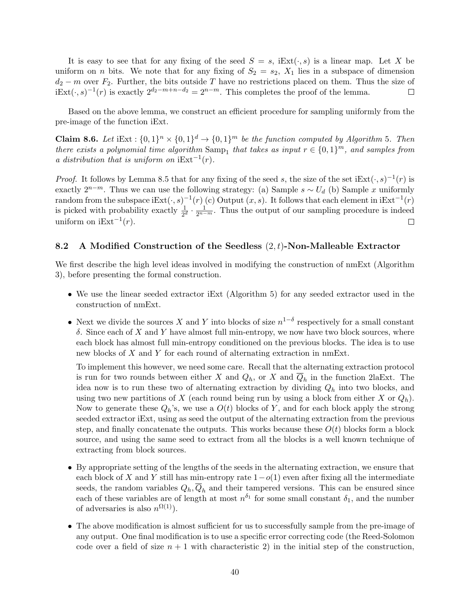It is easy to see that for any fixing of the seed  $S = s$ , iExt $(\cdot, s)$  is a linear map. Let X be uniform on *n* bits. We note that for any fixing of  $S_2 = s_2$ ,  $X_1$  lies in a subspace of dimension  $d_2 - m$  over  $F_2$ . Further, the bits outside T have no restrictions placed on them. Thus the size of  $iExt(\cdot, s)^{-1}(r)$  is exactly  $2^{d_2-m+n-d_2} = 2^{n-m}$ . This completes the proof of the lemma.  $\Box$ 

Based on the above lemma, we construct an efficient procedure for sampling uniformly from the pre-image of the function iExt.

**Claim 8.6.** Let iExt :  $\{0,1\}^n \times \{0,1\}^d \rightarrow \{0,1\}^m$  be the function computed by Algorithm 5. Then there exists a polynomial time algorithm  $\text{Samp}_1$  that takes as input  $r \in \{0,1\}^m$ , and samples from a distribution that is uniform on  $iExt^{-1}(r)$ .

*Proof.* It follows by Lemma [8](#page-39-1).5 that for any fixing of the seed s, the size of the set  $iExt(\cdot, s)^{-1}(r)$  is exactly  $2^{n-m}$ . Thus we can use the following strategy: (a) Sample  $s \sim U_d$  (b) Sample x uniformly random from the subspace iExt $(\cdot, s)^{-1}(r)$  (c) Output  $(x, s)$ . It follows that each element in iExt<sup>-1</sup> $(r)$ is picked with probability exactly  $\frac{1}{2^d} \cdot \frac{1}{2^{n-m}}$ . Thus the output of our sampling procedure is indeed uniform on  $iExt^{-1}(r)$ .  $\Box$ 

#### <span id="page-40-0"></span>8.2 A Modified Construction of the Seedless  $(2, t)$ -Non-Malleable Extractor

We first describe the high level ideas involved in modifying the construction of nmExt (Algorithm 3), before presenting the formal construction.

- We use the linear seeded extractor iExt (Algorithm 5) for any seeded extractor used in the construction of nmExt.
- Next we divide the sources X and Y into blocks of size  $n^{1-\delta}$  respectively for a small constant  $δ$ . Since each of X and Y have almost full min-entropy, we now have two block sources, where each block has almost full min-entropy conditioned on the previous blocks. The idea is to use new blocks of X and Y for each round of alternating extraction in nmExt.

To implement this however, we need some care. Recall that the alternating extraction protocol is run for two rounds between either X and  $Q_h$ , or X and  $Q_h$  in the function 2laExt. The idea now is to run these two of alternating extraction by dividing  $Q_h$  into two blocks, and using two new partitions of X (each round being run by using a block from either X or  $Q_h$ ). Now to generate these  $Q_h$ 's, we use a  $O(t)$  blocks of Y, and for each block apply the strong seeded extractor iExt, using as seed the output of the alternating extraction from the previous step, and finally concatenate the outputs. This works because these  $O(t)$  blocks form a block source, and using the same seed to extract from all the blocks is a well known technique of extracting from block sources.

- By appropriate setting of the lengths of the seeds in the alternating extraction, we ensure that each block of X and Y still has min-entropy rate  $1-o(1)$  even after fixing all the intermediate seeds, the random variables  $Q_h, \overline{Q}_h$  and their tampered versions. This can be ensured since each of these variables are of length at most  $n^{\delta_1}$  for some small constant  $\delta_1$ , and the number of adversaries is also  $n^{\Omega(1)}$ ).
- The above modification is almost sufficient for us to successfully sample from the pre-image of any output. One final modification is to use a specific error correcting code (the Reed-Solomon code over a field of size  $n + 1$  with characteristic 2) in the initial step of the construction,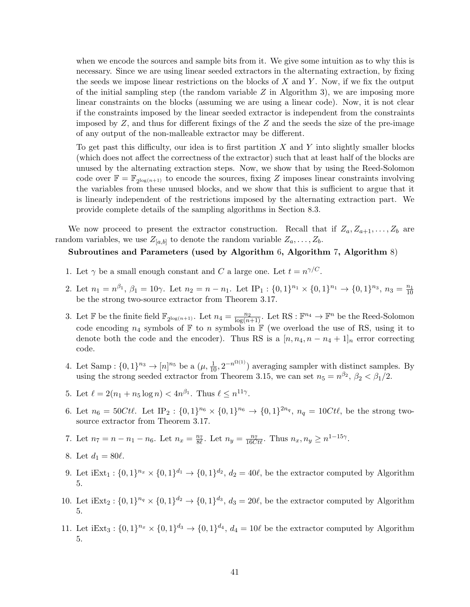when we encode the sources and sample bits from it. We give some intuition as to why this is necessary. Since we are using linear seeded extractors in the alternating extraction, by fixing the seeds we impose linear restrictions on the blocks of  $X$  and  $Y$ . Now, if we fix the output of the initial sampling step (the random variable  $Z$  in Algorithm 3), we are imposing more linear constraints on the blocks (assuming we are using a linear code). Now, it is not clear if the constraints imposed by the linear seeded extractor is independent from the constraints imposed by  $Z$ , and thus for different fixings of the  $Z$  and the seeds the size of the pre-image of any output of the non-malleable extractor may be different.

To get past this difficulty, our idea is to first partition  $X$  and  $Y$  into slightly smaller blocks (which does not affect the correctness of the extractor) such that at least half of the blocks are unused by the alternating extraction steps. Now, we show that by using the Reed-Solomon code over  $\mathbb{F} = \mathbb{F}_{2^{\log(n+1)}}$  to encode the sources, fixing Z imposes linear constraints involving the variables from these unused blocks, and we show that this is sufficient to argue that it is linearly independent of the restrictions imposed by the alternating extraction part. We provide complete details of the sampling algorithms in Section [8.3.](#page-42-0)

We now proceed to present the extractor construction. Recall that if  $Z_a, Z_{a+1}, \ldots, Z_b$  are random variables, we use  $Z_{[a,b]}$  to denote the random variable  $Z_a, \ldots, Z_b$ .

### Subroutines and Parameters (used by Algorithm 6, Algorithm 7, Algorithm 8)

- 1. Let  $\gamma$  be a small enough constant and C a large one. Let  $t = n^{\gamma/C}$ .
- 2. Let  $n_1 = n^{\beta_1}$ ,  $\beta_1 = 10\gamma$ . Let  $n_2 = n n_1$ . Let  $IP_1: \{0, 1\}^{n_1} \times \{0, 1\}^{n_1} \rightarrow \{0, 1\}^{n_3}$ ,  $n_3 = \frac{n_1}{10}$ be the strong two-source extractor from Theorem 3.[17.](#page-22-0)
- 3. Let  $\mathbb{F}$  be the finite field  $\mathbb{F}_{2^{\log(n+1)}}$ . Let  $n_4 = \frac{n_2}{\log(n+1)}$ . Let RS :  $\mathbb{F}^{n_4} \to \mathbb{F}^n$  be the Reed-Solomon code encoding  $n_4$  symbols of  $\mathbb F$  to n symbols in  $\mathbb F$  (we overload the use of RS, using it to denote both the code and the encoder). Thus RS is a  $[n, n_4, n - n_4 + 1]_n$  error correcting code.
- 4. Let Samp :  $\{0,1\}^{n_3} \to [n]^{n_5}$  be a  $(\mu, \frac{1}{10}, 2^{-n^{\Omega(1)}})$  averaging sampler with distinct samples. By using the strong seeded extractor from Theorem 3.[15,](#page-22-1) we can set  $n_5 = n^{\beta_2}$ ,  $\beta_2 < \beta_1/2$ .
- 5. Let  $\ell = 2(n_1 + n_5 \log n) < 4n^{\beta_1}$ . Thus  $\ell \leq n^{11\gamma}$ .
- 6. Let  $n_6 = 50Ct\ell$ . Let  $IP_2: \{0,1\}^{n_6} \times \{0,1\}^{n_6} \rightarrow \{0,1\}^{2n_q}$ ,  $n_q = 10Ct\ell$ , be the strong twosource extractor from Theorem 3.[17.](#page-22-0)

7. Let 
$$
n_7 = n - n_1 - n_6
$$
. Let  $n_x = \frac{n_7}{8\ell}$ . Let  $n_y = \frac{n_7}{16Ct\ell}$ . Thus  $n_x, n_y \ge n^{1-15\gamma}$ .

- 8. Let  $d_1 = 80\ell$ .
- 9. Let  $iExt_1: \{0,1\}^{n_x} \times \{0,1\}^{d_1} \rightarrow \{0,1\}^{d_2}, d_2 = 40\ell$ , be the extractor computed by Algorithm 5.
- 10. Let  $iExt_2: \{0,1\}^{n_q} \times \{0,1\}^{d_2} \rightarrow \{0,1\}^{d_3}, d_3 = 20\ell$ , be the extractor computed by Algorithm 5.
- 11. Let  $iExt_3: \{0,1\}^{n_x} \times \{0,1\}^{d_3} \rightarrow \{0,1\}^{d_4}, d_4 = 10\ell$  be the extractor computed by Algorithm 5.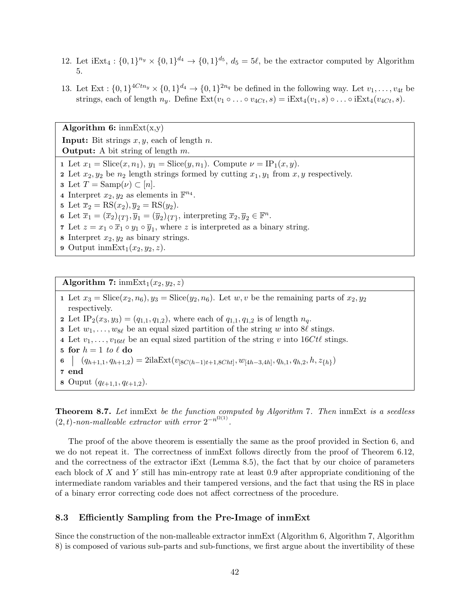- 12. Let  $iExt_4: \{0,1\}^{n_y} \times \{0,1\}^{d_4} \rightarrow \{0,1\}^{d_5}, d_5 = 5\ell$ , be the extractor computed by Algorithm 5.
- 13. Let  $Ext: \{0,1\}^{4Ctn_y} \times \{0,1\}^{d_4} \rightarrow \{0,1\}^{2n_q}$  be defined in the following way. Let  $v_1, \ldots, v_{4t}$  be strings, each of length  $n_y$ . Define  $\text{Ext}(v_1 \circ \ldots \circ v_{4Ct}, s) = \text{iExt}_4(v_1, s) \circ \ldots \circ \text{iExt}_4(v_{4Ct}, s)$ .

**Input:** Bit strings  $x, y$ , each of length n. **Output:** A bit string of length  $m$ . 1 Let  $x_1 = \text{Slice}(x, n_1), y_1 = \text{Slice}(y, n_1)$ . Compute  $\nu = \text{IP}_1(x, y)$ . 2 Let  $x_2, y_2$  be  $n_2$  length strings formed by cutting  $x_1, y_1$  from  $x, y$  respectively. **3** Let  $T = \text{Samp}(\nu) \subset [n]$ . 4 Interpret  $x_2, y_2$  as elements in  $\mathbb{F}^{n_4}$ . 5 Let  $\overline{x}_2 = \text{RS}(x_2), \overline{y}_2 = \text{RS}(y_2)$ . 6 Let  $\overline{x}_1 = (\overline{x}_2)_{\{T\}}, \overline{y}_1 = (\overline{y}_2)_{\{T\}},$  interpreting  $\overline{x}_2, \overline{y}_2 \in \mathbb{F}^n$ . 7 Let  $z = x_1 \circ \overline{x}_1 \circ y_1 \circ \overline{y}_1$ , where z is interpreted as a binary string. 8 Interpret  $x_2, y_2$  as binary strings.

9 Output inmExt<sub>1</sub> $(x_2, y_2, z)$ .

Algorithm 6:  $\text{imExt}(x,y)$ 

Algorithm 7:  $\text{immExt}_1(x_2, y_2, z)$ 1 Let  $x_3 = \text{Slice}(x_2, n_6), y_3 = \text{Slice}(y_2, n_6)$ . Let  $w, v$  be the remaining parts of  $x_2, y_2$ respectively. 2 Let  $IP_2(x_3, y_3) = (q_{1,1}, q_{1,2}),$  where each of  $q_{1,1}, q_{1,2}$  is of length  $n_q$ . 3 Let  $w_1, \ldots, w_{8\ell}$  be an equal sized partition of the string w into 8 $\ell$  stings. 4 Let  $v_1, \ldots, v_{16t\ell}$  be an equal sized partition of the string v into  $16Ct\ell$  stings. 5 for  $h = 1$  to  $\ell$  do 6  $(q_{h+1,1}, q_{h+1,2}) = 2$ ila $\text{Ext}(v_{[8C(h-1)t+1,8Cht]}, w_{[4h-3,4h]}, q_{h,1}, q_{h,2}, h, z_{\{h\}})$ 7 end 8 Ouput  $(q_{\ell+1,1}, q_{\ell+1,2}).$ 

Theorem 8.7. Let inmExt be the function computed by Algorithm 7. Then inmExt is a seedless  $(2,t)$ -non-malleable extractor with error  $2^{-n^{\Omega(1)}}$ .

The proof of the above theorem is essentially the same as the proof provided in Section [6,](#page-24-2) and we do not repeat it. The correctness of inmExt follows directly from the proof of Theorem 6.[12,](#page-33-2) and the correctness of the extractor iExt (Lemma 8.[5\)](#page-39-1), the fact that by our choice of parameters each block of X and Y still has min-entropy rate at least 0.9 after appropriate conditioning of the intermediate random variables and their tampered versions, and the fact that using the RS in place of a binary error correcting code does not affect correctness of the procedure.

### <span id="page-42-0"></span>8.3 Efficiently Sampling from the Pre-Image of inmExt

Since the construction of the non-malleable extractor inmExt (Algorithm 6, Algorithm 7, Algorithm 8) is composed of various sub-parts and sub-functions, we first argue about the invertibility of these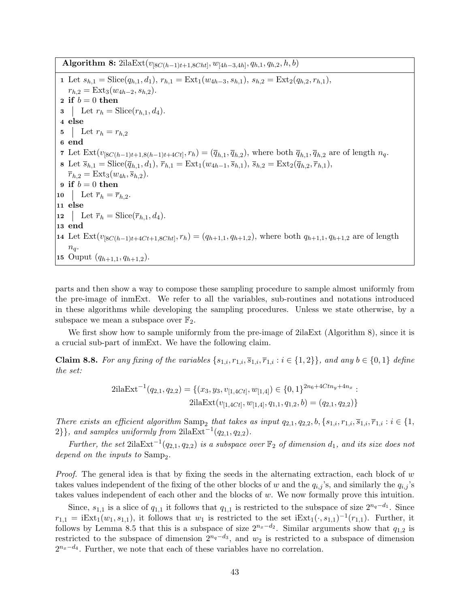Algorithm 8:  $2i$ laExt( $v_{[8C(h-1)t+1,8Cht]}$ ,  $w_{[4h-3,4h]}$ ,  $q_{h,1}, q_{h,2}, h, b)$ 

1 Let  $s_{h,1} = \text{Slice}(q_{h,1}, d_1), r_{h,1} = \text{Ext}_1(w_{4h-3}, s_{h,1}), s_{h,2} = \text{Ext}_2(q_{h,2}, r_{h,1}),$  $r_{h,2} = \text{Ext}_3(w_{4h-2}, s_{h,2}).$ 2 if  $b = 0$  then 3 | Let  $r_h = \text{Slice}(r_{h,1}, d_4).$ 4 else 5 | Let  $r_h = r_{h,2}$ 6 end 7 Let  $\text{Ext}(v_{[8C(h-1)t+1,8(h-1)t+4Ct]}, r_h) = (\overline{q}_{h,1}, \overline{q}_{h,2}),$  where both  $\overline{q}_{h,1}, \overline{q}_{h,2}$  are of length  $n_q$ . 8 Let  $\bar{s}_{h,1} = \text{Slice}(\bar{q}_{h,1}, d_1), \bar{r}_{h,1} = \text{Ext}_1(w_{4h-1}, \bar{s}_{h,1}), \bar{s}_{h,2} = \text{Ext}_2(\bar{q}_{h,2}, \bar{r}_{h,1}),$  $\overline{r}_{h,2} = \text{Ext}_3(w_{4h}, \overline{s}_{h,2}).$ 9 if  $b = 0$  then 10 Let  $\overline{r}_h = \overline{r}_{h,2}$ . 11 else 12 | Let  $\overline{r}_h = \text{Slice}(\overline{r}_{h,1}, d_4).$ 13 end 14 Let  $\text{Ext}(v_{[8C(h-1)t+4Ct+1,8Cht]}, r_h) = (q_{h+1,1}, q_{h+1,2})$ , where both  $q_{h+1,1}, q_{h+1,2}$  are of length  $n_q$ . 15 Ouput  $(q_{h+1,1}, q_{h+1,2})$ .

parts and then show a way to compose these sampling procedure to sample almost uniformly from the pre-image of inmExt. We refer to all the variables, sub-routines and notations introduced in these algorithms while developing the sampling procedures. Unless we state otherwise, by a subspace we mean a subspace over  $\mathbb{F}_2$ .

We first show how to sample uniformly from the pre-image of 2ila Ext (Algorithm 8), since it is a crucial sub-part of inmExt. We have the following claim.

<span id="page-43-0"></span>Claim 8.8. For any fixing of the variables  $\{s_{1,i}, r_{1,i}, \overline{s}_{1,i}, \overline{r}_{1,i} : i \in \{1,2\}\}\$ , and any  $b \in \{0,1\}$  define the set:

$$
2\text{ilaExt}^{-1}(q_{2,1}, q_{2,2}) = \{(x_3, y_3, v_{[1,4Ct]}, w_{[1,4]}) \in \{0, 1\}^{2n_6 + 4Ctn_y + 4n_x} :
$$
  

$$
2\text{ilaExt}(v_{[1,4Ct]}, w_{[1,4]}, q_{1,1}, q_{1,2}, b) = (q_{2,1}, q_{2,2})\}
$$

There exists an efficient algorithm Samp<sub>2</sub> that takes as input  $q_{2,1}, q_{2,2}, b, \{s_{1,i}, r_{1,i}, \overline{s}_{1,i}, \overline{r}_{1,i} : i \in \{1, \}$  $2\}$ , and samples uniformly from  $2i\text{laExt}^{-1}(q_{2,1}, q_{2,2}).$ 

Further, the set 2ila $Ext^{-1}(q_{2,1}, q_{2,2})$  is a subspace over  $\mathbb{F}_2$  of dimension  $d_1$ , and its size does not depend on the inputs to  $Samp_2$ .

*Proof.* The general idea is that by fixing the seeds in the alternating extraction, each block of  $w$ takes values independent of the fixing of the other blocks of w and the  $q_{i,j}$ 's, and similarly the  $q_{i,j}$ 's takes values independent of each other and the blocks of  $w$ . We now formally prove this intuition.

Since,  $s_{1,1}$  is a slice of  $q_{1,1}$  it follows that  $q_{1,1}$  is restricted to the subspace of size  $2^{n_q-d_1}$ . Since  $r_{1,1} = i \text{Ext}_1(w_1, s_{1,1}),$  it follows that  $w_1$  is restricted to the set  $i \text{Ext}_1(\cdot, s_{1,1})^{-1}(r_{1,1}).$  Further, it follows by Lemma [8.5](#page-39-1) that this is a subspace of size  $2^{n_x-d_2}$ . Similar arguments show that  $q_{1,2}$  is restricted to the subspace of dimension  $2^{n_q-d_3}$ , and  $w_2$  is restricted to a subspace of dimension  $2^{n_x-d_4}$ . Further, we note that each of these variables have no correlation.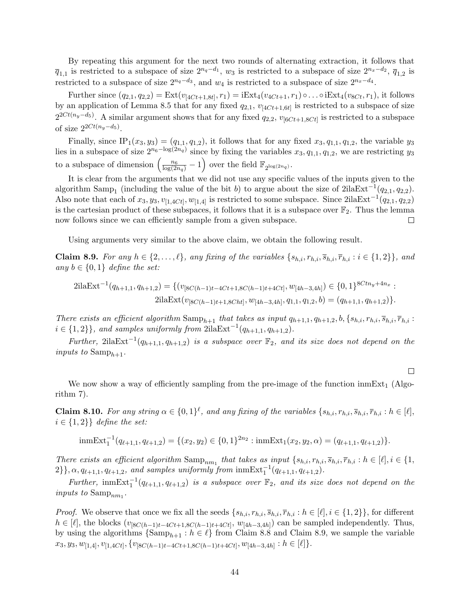By repeating this argument for the next two rounds of alternating extraction, it follows that  $\overline{q}_{1,1}$  is restricted to a subspace of size  $2^{n_q-d_1}$ ,  $w_3$  is restricted to a subspace of size  $2^{n_x-d_2}$ ,  $\overline{q}_{1,2}$  is restricted to a subspace of size  $2^{n_q-d_3}$ , and  $w_4$  is restricted to a subspace of size  $2^{n_x-d_4}$ .

Further since  $(q_{2,1}, q_{2,2}) = \text{Ext}(v_{[4Ct+1,8t]}, r_1) = i\text{Ext}_4(v_{4Ct+1}, r_1) \circ \dots \circ i\text{Ext}_4(v_{8Ct}, r_1)$ , it follows by an application of Lemma [8](#page-39-1).5 that for any fixed  $q_{2,1}$ ,  $v_{[4Ct+1,6t]}$  is restricted to a subspace of size  $2^{2Ct(n_y-d_5)}$ . A similar argument shows that for any fixed  $q_{2,2}$ ,  $v_{[6Ct+1,8Ct]}$  is restricted to a subspace of size  $2^{2Ct(n_y-d_5)}$ .

Finally, since IP<sub>1</sub>(x<sub>3</sub>, y<sub>3</sub>) = (q<sub>1,1</sub>, q<sub>1,2</sub>), it follows that for any fixed x<sub>3</sub>, q<sub>1,1</sub>, q<sub>1,2</sub>, the variable y<sub>3</sub> lies in a subspace of size  $2^{n_6-\log(2n_q)}$  since by fixing the variables  $x_3, q_{1,1}, q_{1,2}$ , we are restricting  $y_3$ to a subspace of dimension  $\left(\frac{n_6}{\log(2n_q)}-1\right)$  over the field  $\mathbb{F}_{2^{\log(2n_q)}}$ .

It is clear from the arguments that we did not use any specific values of the inputs given to the algorithm Samp<sub>1</sub> (including the value of the bit b) to argue about the size of 2ilaExt<sup>-1</sup>( $q_{2,1}, q_{2,2}$ ). Also note that each of  $x_3, y_3, v_{[1,4Ct]}, w_{[1,4]}$  is restricted to some subspace. Since  $2i\lambda\text{Ext}^{-1}(q_{2,1}, q_{2,2})$ is the cartesian product of these subspaces, it follows that it is a subspace over  $\mathbb{F}_2$ . Thus the lemma now follows since we can efficiently sample from a given subspace. П

Using arguments very similar to the above claim, we obtain the following result.

<span id="page-44-0"></span>**Claim 8.9.** For any  $h \in \{2, ..., \ell\}$ , any fixing of the variables  $\{s_{h,i}, r_{h,i}, \overline{s}_{h,i}, \overline{r}_{h,i} : i \in \{1,2\}\}$ , and any  $b \in \{0,1\}$  define the set:

$$
2\text{ilaExt}^{-1}(q_{h+1,1}, q_{h+1,2}) = \{ (v_{[8C(h-1)t-4Ct+1,8C(h-1)t+4Ct]}, w_{[4h-3,4h]}) \in \{0,1\}^{8Ctn_y+4n_x} :
$$
  

$$
2\text{ilaExt}(v_{[8C(h-1)t+1,8Cht]}, w_{[4h-3,4h]}, q_{1,1}, q_{1,2}, b) = (q_{h+1,1}, q_{h+1,2}) \}.
$$

There exists an efficient algorithm  $\text{Samp}_{h+1}$  that takes as input  $q_{h+1,1}, q_{h+1,2}, b, \{s_{h,i}, r_{h,i}, \overline{s}_{h,i}, \overline{r}_{h,i} :$  $i \in \{1,2\}$ , and samples uniformly from  $2i\lambda\sum_{i=1}^{n} (q_{h+1,1}, q_{h+1,2}).$ 

Further, 2ilaExt<sup>-1</sup>( $q_{h+1,1}, q_{h+1,2}$ ) is a subspace over  $\mathbb{F}_2$ , and its size does not depend on the inputs to  $\text{Samp}_{h+1}$ .

 $\Box$ 

We now show a way of efficiently sampling from the pre-image of the function  $\text{imExt}_{1}$  (Algorithm 7).

<span id="page-44-1"></span>**Claim 8.10.** For any string  $\alpha \in \{0,1\}^{\ell}$ , and any fixing of the variables  $\{s_{h,i}, r_{h,i}, \overline{s}_{h,i}, \overline{r}_{h,i} : h \in [\ell],$  $i \in \{1,2\}$  define the set:

inmExt<sub>1</sub><sup>-1</sup>(
$$
q_{\ell+1,1}, q_{\ell+1,2}
$$
) = { $(x_2, y_2) \in \{0, 1\}^{2n_2}$ : inmExt<sub>1</sub>( $x_2, y_2, \alpha$ ) = ( $q_{\ell+1,1}, q_{\ell+1,2}$ )}.

There exists an efficient algorithm  $\text{Samp}_{nm_1}$  that takes as input  $\{s_{h,i}, r_{h,i}, \overline{s}_{h,i}, \overline{r}_{h,i} : h \in [\ell], i \in \{1, \}$  $2\}, \alpha, q_{\ell+1,1}, q_{\ell+1,2}, \text{ and samples uniformly from } \text{immExt}_1^{-1}(q_{\ell+1,1}, q_{\ell+1,2}).$ 

Further,  $\text{imExt}_{1}^{-1}(q_{\ell+1,1}, q_{\ell+1,2})$  is a subspace over  $\mathbb{F}_{2}$ , and its size does not depend on the inputs to  $\text{Samp}_{nm_1}$ .

*Proof.* We observe that once we fix all the seeds  $\{s_{h,i}, r_{h,i}, \overline{s}_{h,i}, \overline{r}_{h,i} : h \in [\ell], i \in \{1,2\}\}\)$ , for different  $h \in [\ell],$  the blocks  $(v_{[8C(h-1)t-4Ct+1, 8C(h-1)t+4Ct]}, w_{[4h-3,4h]})$  can be sampled independently. Thus, by using the algorithms  $\{\mathrm{Samp}_{h+1} : h \in \ell\}$  from Claim [8](#page-43-0).8 and Claim 8.[9,](#page-44-0) we sample the variable  $x_3, y_3, w_{[1,4]}, v_{[1,4Ct]}, \{v_{[8C(h-1)t-4Ct+1, 8C(h-1)t+4Ct]}, w_{[4h-3,4h]} : h \in [\ell] \}.$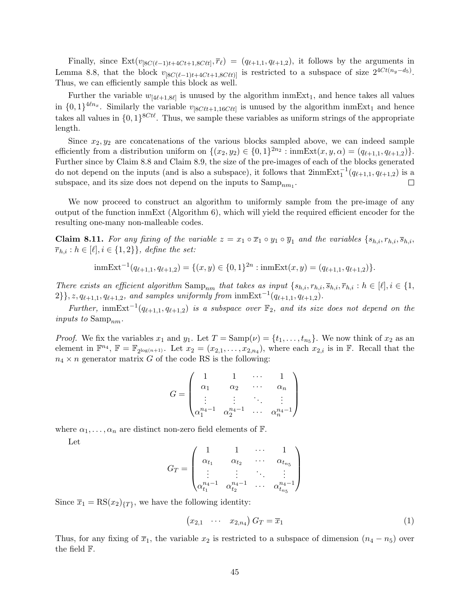Finally, since  $\text{Ext}(v_{\vert 8C(\ell-1)t+4Ct+1, 8C\ell t}, \overline{r}_{\ell}) = (q_{\ell+1,1}, q_{\ell+1,2}),$  it follows by the arguments in Lemma 8.[8,](#page-43-0) that the block  $v_{[8C(\ell-1)t+4Ct+1,8C\ell t)]}$  is restricted to a subspace of size  $2^{4Ct(n_y-d_5)}$ . Thus, we can efficiently sample this block as well.

Further the variable  $w_{[4\ell+1,8\ell]}$  is unused by the algorithm inmExt<sub>1</sub>, and hence takes all values in  $\{0,1\}^{4\ell n_x}$ . Similarly the variable  $v_{[8C\ell t+1,16C\ell t]}$  is unused by the algorithm inmExt<sub>1</sub> and hence takes all values in  $\{0,1\}^{8Ct\ell}$ . Thus, we sample these variables as uniform strings of the appropriate length.

Since  $x_2, y_2$  are concatenations of the various blocks sampled above, we can indeed sample efficiently from a distribution uniform on  $\{(x_2, y_2) \in \{0, 1\}^{2n_2} : \text{inmExt}(x, y, \alpha) = (q_{\ell+1,1}, q_{\ell+1,2})\}.$ Further since by Claim [8](#page-43-0).8 and Claim 8.[9,](#page-44-0) the size of the pre-images of each of the blocks generated do not depend on the inputs (and is also a subspace), it follows that  $2\text{immExt}_{1}^{-1}(q_{\ell+1,1}, q_{\ell+1,2})$  is a subspace, and its size does not depend on the inputs to  $\text{Samp}_{nm_1}$ .  $\Box$ 

We now proceed to construct an algorithm to uniformly sample from the pre-image of any output of the function inmExt (Algorithm  $6$ ), which will yield the required efficient encoder for the resulting one-many non-malleable codes.

<span id="page-45-0"></span>**Claim 8.11.** For any fixing of the variable  $z = x_1 \circ \overline{x}_1 \circ y_1 \circ \overline{y}_1$  and the variables  $\{s_{h,i}, r_{h,i}, \overline{s}_{h,i}\}$  $\overline{r}_{h,i}$ :  $h \in [\ell], i \in \{1,2\}\},\$  define the set:

 $\text{immExt}^{-1}(q_{\ell+1,1}, q_{\ell+1,2}) = \{(x, y) \in \{0, 1\}^{2n} : \text{immExt}(x, y) = (q_{\ell+1,1}, q_{\ell+1,2})\}.$ 

There exists an efficient algorithm  $\text{Samp}_{nm}$  that takes as input  $\{s_{h,i}, r_{h,i}, \overline{s}_{h,i}, \overline{r}_{h,i} : h \in [\ell], i \in \{1, \}$  $2\}, z, q_{\ell+1,1}, q_{\ell+1,2},$  and samples uniformly from  $\mathrm{imExt}^{-1}(q_{\ell+1,1}, q_{\ell+1,2}).$ 

Further, inmExt<sup>-1</sup>( $q_{\ell+1,1}, q_{\ell+1,2}$ ) is a subspace over  $\mathbb{F}_2$ , and its size does not depend on the inputs to  $Samp_{nm}$ .

*Proof.* We fix the variables  $x_1$  and  $y_1$ . Let  $T = \text{Samp}(\nu) = \{t_1, \ldots, t_{n_5}\}$ . We now think of  $x_2$  as an element in  $\mathbb{F}^{n_4}$ ,  $\mathbb{F} = \mathbb{F}_{2^{\log(n+1)}}$ . Let  $x_2 = (x_{2,1}, \ldots, x_{2,n_4})$ , where each  $x_{2,i}$  is in  $\mathbb{F}$ . Recall that the  $n_4 \times n$  generator matrix G of the code RS is the following:

$$
G = \begin{pmatrix} 1 & 1 & \cdots & 1 \\ \alpha_1 & \alpha_2 & \cdots & \alpha_n \\ \vdots & \vdots & \ddots & \vdots \\ \alpha_1^{n_4-1} & \alpha_2^{n_4-1} & \cdots & \alpha_n^{n_4-1} \end{pmatrix}
$$

where  $\alpha_1, \ldots, \alpha_n$  are distinct non-zero field elements of  $\mathbb{F}$ .

Let

$$
G_T = \begin{pmatrix} 1 & 1 & \cdots & 1 \\ \alpha_{t_1} & \alpha_{t_2} & \cdots & \alpha_{t_{n_5}} \\ \vdots & \vdots & \ddots & \vdots \\ \alpha_{t_1}^{n_4 - 1} & \alpha_{t_2}^{n_4 - 1} & \cdots & \alpha_{t_{n_5}}^{n_4 - 1} \end{pmatrix}
$$

Since  $\overline{x}_1 = \text{RS}(x_2)_{\{T\}}$ , we have the following identity:

$$
(x_{2,1} \quad \cdots \quad x_{2,n_4}) G_T = \overline{x}_1 \tag{1}
$$

Thus, for any fixing of  $\overline{x}_1$ , the variable  $x_2$  is restricted to a subspace of dimension  $(n_4 - n_5)$  over the field F.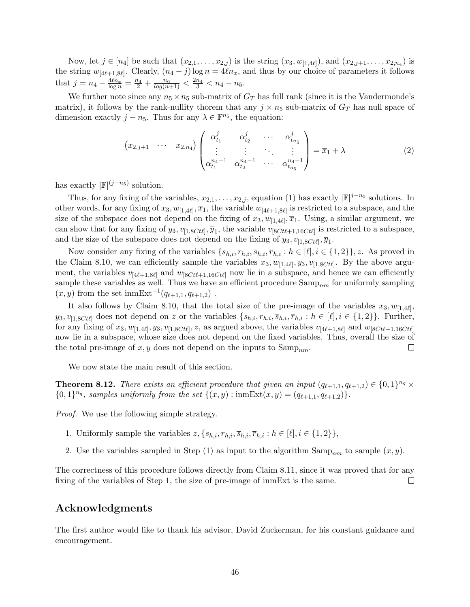Now, let  $j \in [n_4]$  be such that  $(x_{2,1},...,x_{2,j})$  is the string  $(x_3, w_{[1,4\ell]})$ , and  $(x_{2,j+1},...,x_{2,n_4})$  is the string  $w_{[4\ell+1,8\ell]}$ . Clearly,  $(n_4 - j)$  log  $n = 4\ell n_x$ , and thus by our choice of parameters it follows that  $j = n_4 - \frac{4\ell n_x}{\log n} = \frac{n_4}{2} + \frac{n_6}{\log(n+1)} < \frac{2n_4}{3} < n_4 - n_5$ .

We further note since any  $n_5 \times n_5$  sub-matrix of  $G_T$  has full rank (since it is the Vandermonde's matrix), it follows by the rank-nullity thorem that any  $j \times n_5$  sub-matrix of  $G_T$  has null space of dimension exactly  $j - n_5$ . Thus for any  $\lambda \in \mathbb{F}^{n_5}$ , the equation:

$$
(x_{2,j+1} \cdots x_{2,n_4})\begin{pmatrix} \alpha_{t_1}^j & \alpha_{t_2}^j & \cdots & \alpha_{t_{n_5}}^j \\ \vdots & \vdots & \ddots & \vdots \\ \alpha_{t_1}^{n_4-1} & \alpha_{t_2}^{n_4-1} & \cdots & \alpha_{t_{n_5}}^{n_4-1} \end{pmatrix} = \overline{x}_1 + \lambda
$$
 (2)

has exactly  $\left| \mathbb{F} \right|^{(j-n_5)}$  solution.

Thus, for any fixing of the variables,  $x_{2,1}, \ldots, x_{2,j}$ , equation (1) has exactly  $|\mathbb{F}|^{j-n_5}$  solutions. In other words, for any fixing of  $x_3, w_{[1,4\ell]}, \overline{x}_1$ , the variable  $w_{[4\ell+1,8\ell]}$  is restricted to a subspace, and the size of the subspace does not depend on the fixing of  $x_3, w_{[1,4\ell]}, \overline{x}_1$ . Using, a similar argument, we can show that for any fixing of  $y_3$ ,  $v_{[1,8Ct\ell]}, \overline{y}_1$ , the variable  $v_{[8Ct\ell+1,16Ct\ell]}$  is restricted to a subspace, and the size of the subspace does not depend on the fixing of  $y_3, v_{[1,8Ct\ell]}, \overline{y}_1$ .

Now consider any fixing of the variables  $\{s_{h,i}, r_{h,i}, \overline{s}_{h,i}, \overline{r}_{h,i} : h \in [\ell], i \in \{1,2\}\}\$ , z. As proved in the Claim 8.[10,](#page-44-1) we can efficiently sample the variables  $x_3, w_{[1,4\ell]}, y_3, v_{[1,8C\ell\ell]}$ . By the above argument, the variables  $v_{[4\ell+1,8\ell]}$  and  $w_{[8Ct\ell+1,16Ct\ell]}$  now lie in a subspace, and hence we can efficiently sample these variables as well. Thus we have an efficient procedure  $\text{Samp}_{nm}$  for uniformly sampling  $(x, y)$  from the set inmExt<sup>-1</sup> $(q_{\ell+1,1}, q_{\ell+1,2})$ .

It also follows by Claim 8.[10,](#page-44-1) that the total size of the pre-image of the variables  $x_3, w_{[1,4\ell]},$  $y_3, v_{[1,8Ct\ell]}$  does not depend on z or the variables  $\{s_{h,i}, r_{h,i}, \overline{s}_{h,i}, \overline{r}_{h,i} : h \in [\ell], i \in \{1,2\}\}.$  Further, for any fixing of  $x_3, w_{[1,4\ell]}, y_3, v_{[1,8Ct\ell]}, z$ , as argued above, the variables  $v_{[4\ell+1,8\ell]}$  and  $w_{[8Ct\ell+1,16Ct\ell]}$ now lie in a subspace, whose size does not depend on the fixed variables. Thus, overall the size of the total pre-image of x, y does not depend on the inputs to  $\text{Samp}_{nm}$ .  $\Box$ 

We now state the main result of this section.

**Theorem 8.12.** There exists an efficient procedure that given an input  $(q_{\ell+1,1}, q_{\ell+1,2}) \in \{0, 1\}^{n_q} \times$  $\{0,1\}^{n_q}$ , samples uniformly from the set  $\{(x,y): \text{immExt}(x,y) = (q_{\ell+1,1}, q_{\ell+1,2})\}.$ 

Proof. We use the following simple strategy.

- 1. Uniformly sample the variables  $z, \{s_{h,i}, r_{h,i}, \overline{s}_{h,i}, \overline{r}_{h,i} : h \in [\ell], i \in \{1, 2\}\},\$
- 2. Use the variables sampled in Step (1) as input to the algorithm  $\text{Samp}_{nm}$  to sample  $(x, y)$ .

The correctness of this procedure follows directly from Claim 8.[11,](#page-45-0) since it was proved that for any fixing of the variables of Step 1, the size of pre-image of inmExt is the same.  $\Box$ 

## Acknowledgments

The first author would like to thank his advisor, David Zuckerman, for his constant guidance and encouragement.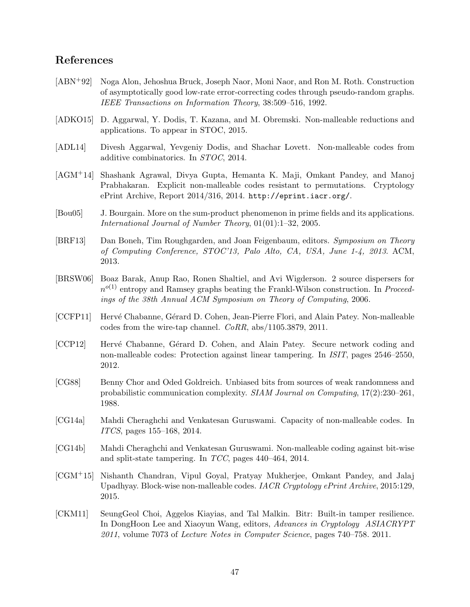## References

- <span id="page-47-12"></span>[ABN+92] Noga Alon, Jehoshua Bruck, Joseph Naor, Moni Naor, and Ron M. Roth. Construction of asymptotically good low-rate error-correcting codes through pseudo-random graphs. IEEE Transactions on Information Theory, 38:509–516, 1992.
- <span id="page-47-2"></span>[ADKO15] D. Aggarwal, Y. Dodis, T. Kazana, and M. Obremski. Non-malleable reductions and applications. To appear in STOC, 2015.
- <span id="page-47-3"></span>[ADL14] Divesh Aggarwal, Yevgeniy Dodis, and Shachar Lovett. Non-malleable codes from additive combinatorics. In STOC, 2014.
- <span id="page-47-5"></span>[AGM+14] Shashank Agrawal, Divya Gupta, Hemanta K. Maji, Omkant Pandey, and Manoj Prabhakaran. Explicit non-malleable codes resistant to permutations. Cryptology ePrint Archive, Report 2014/316, 2014. <http://eprint.iacr.org/>.
- <span id="page-47-0"></span>[Bou05] J. Bourgain. More on the sum-product phenomenon in prime fields and its applications. International Journal of Number Theory, 01(01):1–32, 2005.
- <span id="page-47-13"></span>[BRF13] Dan Boneh, Tim Roughgarden, and Joan Feigenbaum, editors. Symposium on Theory of Computing Conference, STOC'13, Palo Alto, CA, USA, June 1-4, 2013. ACM, 2013.
- <span id="page-47-10"></span>[BRSW06] Boaz Barak, Anup Rao, Ronen Shaltiel, and Avi Wigderson. 2 source dispersers for  $n^{o(1)}$  entropy and Ramsey graphs beating the Frankl-Wilson construction. In *Proceed*ings of the 38th Annual ACM Symposium on Theory of Computing, 2006.
- <span id="page-47-7"></span>[CCFP11] Hervé Chabanne, Gérard D. Cohen, Jean-Pierre Flori, and Alain Patey. Non-malleable codes from the wire-tap channel. CoRR, abs/1105.3879, 2011.
- <span id="page-47-6"></span>[CCP12] Hervé Chabanne, Gérard D. Cohen, and Alain Patey. Secure network coding and non-malleable codes: Protection against linear tampering. In ISIT, pages 2546–2550, 2012.
- <span id="page-47-11"></span>[CG88] Benny Chor and Oded Goldreich. Unbiased bits from sources of weak randomness and probabilistic communication complexity. SIAM Journal on Computing, 17(2):230–261, 1988.
- <span id="page-47-4"></span>[CG14a] Mahdi Cheraghchi and Venkatesan Guruswami. Capacity of non-malleable codes. In ITCS, pages 155–168, 2014.
- <span id="page-47-1"></span>[CG14b] Mahdi Cheraghchi and Venkatesan Guruswami. Non-malleable coding against bit-wise and split-state tampering. In TCC, pages 440–464, 2014.
- <span id="page-47-9"></span>[CGM+15] Nishanth Chandran, Vipul Goyal, Pratyay Mukherjee, Omkant Pandey, and Jalaj Upadhyay. Block-wise non-malleable codes. IACR Cryptology ePrint Archive, 2015:129, 2015.
- <span id="page-47-8"></span>[CKM11] SeungGeol Choi, Aggelos Kiayias, and Tal Malkin. Bitr: Built-in tamper resilience. In DongHoon Lee and Xiaoyun Wang, editors, Advances in Cryptology ASIACRYPT 2011, volume 7073 of Lecture Notes in Computer Science, pages 740–758. 2011.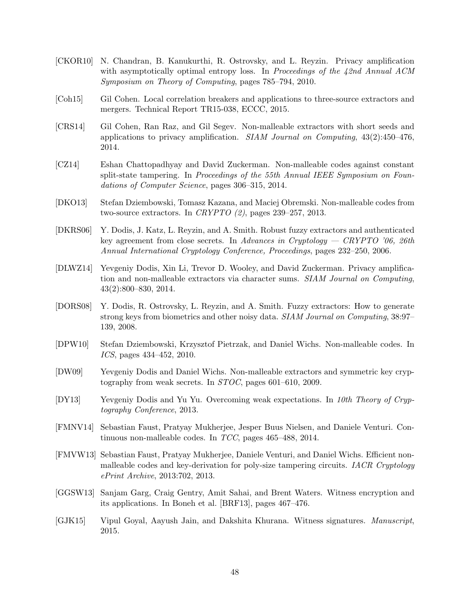- <span id="page-48-11"></span>[CKOR10] N. Chandran, B. Kanukurthi, R. Ostrovsky, and L. Reyzin. Privacy amplification with asymptotically optimal entropy loss. In Proceedings of the 42nd Annual ACM Symposium on Theory of Computing, pages 785–794, 2010.
- <span id="page-48-13"></span>[Coh15] Gil Cohen. Local correlation breakers and applications to three-source extractors and mergers. Technical Report TR15-038, ECCC, 2015.
- <span id="page-48-2"></span>[CRS14] Gil Cohen, Ran Raz, and Gil Segev. Non-malleable extractors with short seeds and applications to privacy amplification. SIAM Journal on Computing,  $43(2):450-476$ , 2014.
- <span id="page-48-4"></span>[CZ14] Eshan Chattopadhyay and David Zuckerman. Non-malleable codes against constant split-state tampering. In Proceedings of the 55th Annual IEEE Symposium on Foundations of Computer Science, pages 306–315, 2014.
- <span id="page-48-6"></span>[DKO13] Stefan Dziembowski, Tomasz Kazana, and Maciej Obremski. Non-malleable codes from two-source extractors. In CRYPTO  $(2)$ , pages 239–257, 2013.
- <span id="page-48-10"></span>[DKRS06] Y. Dodis, J. Katz, L. Reyzin, and A. Smith. Robust fuzzy extractors and authenticated key agreement from close secrets. In Advances in Cryptology  $-$  CRYPTO '06, 26th Annual International Cryptology Conference, Proceedings, pages 232–250, 2006.
- <span id="page-48-1"></span>[DLWZ14] Yevgeniy Dodis, Xin Li, Trevor D. Wooley, and David Zuckerman. Privacy amplification and non-malleable extractors via character sums. SIAM Journal on Computing, 43(2):800–830, 2014.
- <span id="page-48-14"></span>[DORS08] Y. Dodis, R. Ostrovsky, L. Reyzin, and A. Smith. Fuzzy extractors: How to generate strong keys from biometrics and other noisy data. SIAM Journal on Computing, 38:97– 139, 2008.
- <span id="page-48-5"></span>[DPW10] Stefan Dziembowski, Krzysztof Pietrzak, and Daniel Wichs. Non-malleable codes. In ICS, pages 434–452, 2010.
- <span id="page-48-0"></span>[DW09] Yevgeniy Dodis and Daniel Wichs. Non-malleable extractors and symmetric key cryptography from weak secrets. In STOC, pages 601–610, 2009.
- <span id="page-48-3"></span>[DY13] Yevgeniy Dodis and Yu Yu. Overcoming weak expectations. In 10th Theory of Cryptography Conference, 2013.
- <span id="page-48-9"></span>[FMNV14] Sebastian Faust, Pratyay Mukherjee, Jesper Buus Nielsen, and Daniele Venturi. Continuous non-malleable codes. In TCC, pages 465–488, 2014.
- <span id="page-48-12"></span>[FMVW13] Sebastian Faust, Pratyay Mukherjee, Daniele Venturi, and Daniel Wichs. Efficient nonmalleable codes and key-derivation for poly-size tampering circuits. IACR Cryptology ePrint Archive, 2013:702, 2013.
- <span id="page-48-8"></span>[GGSW13] Sanjam Garg, Craig Gentry, Amit Sahai, and Brent Waters. Witness encryption and its applications. In Boneh et al. [\[BRF13\]](#page-47-13), pages 467–476.
- <span id="page-48-7"></span>[GJK15] Vipul Goyal, Aayush Jain, and Dakshita Khurana. Witness signatures. Manuscript, 2015.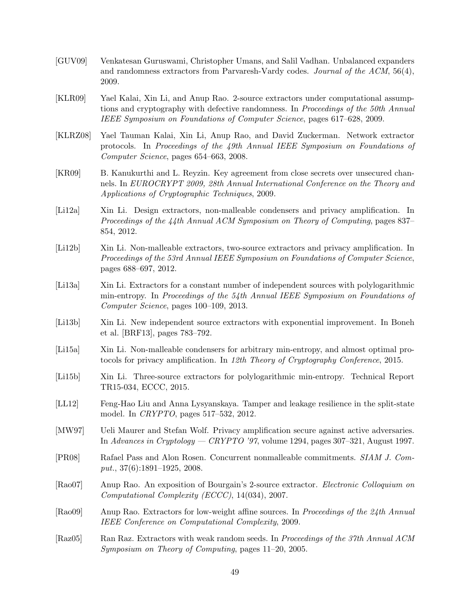- <span id="page-49-12"></span>[GUV09] Venkatesan Guruswami, Christopher Umans, and Salil Vadhan. Unbalanced expanders and randomness extractors from Parvaresh-Vardy codes. Journal of the ACM, 56(4), 2009.
- <span id="page-49-1"></span>[KLR09] Yael Kalai, Xin Li, and Anup Rao. 2-source extractors under computational assumptions and cryptography with defective randomness. In *Proceedings of the 50th Annual* IEEE Symposium on Foundations of Computer Science, pages 617–628, 2009.
- <span id="page-49-0"></span>[KLRZ08] Yael Tauman Kalai, Xin Li, Anup Rao, and David Zuckerman. Network extractor protocols. In Proceedings of the 49th Annual IEEE Symposium on Foundations of Computer Science, pages 654–663, 2008.
- <span id="page-49-7"></span>[KR09] B. Kanukurthi and L. Reyzin. Key agreement from close secrets over unsecured channels. In EUROCRYPT 2009, 28th Annual International Conference on the Theory and Applications of Cryptographic Techniques, 2009.
- <span id="page-49-2"></span>[Li12a] Xin Li. Design extractors, non-malleable condensers and privacy amplification. In Proceedings of the 44th Annual ACM Symposium on Theory of Computing, pages 837– 854, 2012.
- <span id="page-49-3"></span>[Li12b] Xin Li. Non-malleable extractors, two-source extractors and privacy amplification. In Proceedings of the 53rd Annual IEEE Symposium on Foundations of Computer Science, pages 688–697, 2012.
- <span id="page-49-10"></span>[Li13a] Xin Li. Extractors for a constant number of independent sources with polylogarithmic min-entropy. In Proceedings of the 54th Annual IEEE Symposium on Foundations of Computer Science, pages 100–109, 2013.
- <span id="page-49-9"></span>[Li13b] Xin Li. New independent source extractors with exponential improvement. In Boneh et al. [\[BRF13\]](#page-47-13), pages 783–792.
- <span id="page-49-5"></span>[Li15a] Xin Li. Non-malleable condensers for arbitrary min-entropy, and almost optimal protocols for privacy amplification. In 12th Theory of Cryptography Conference, 2015.
- <span id="page-49-11"></span>[Li15b] Xin Li. Three-source extractors for polylogarithmic min-entropy. Technical Report TR15-034, ECCC, 2015.
- <span id="page-49-8"></span>[LL12] Feng-Hao Liu and Anna Lysyanskaya. Tamper and leakage resilience in the split-state model. In CRYPTO, pages 517–532, 2012.
- <span id="page-49-6"></span>[MW97] Ueli Maurer and Stefan Wolf. Privacy amplification secure against active adversaries. In Advances in Cryptology — CRYPTO '97, volume 1294, pages 307–321, August 1997.
- <span id="page-49-4"></span>[PR08] Rafael Pass and Alon Rosen. Concurrent nonmalleable commitments. SIAM J. Comput., 37(6):1891–1925, 2008.
- <span id="page-49-13"></span>[Rao07] Anup Rao. An exposition of Bourgain's 2-source extractor. Electronic Colloquium on Computational Complexity (ECCC), 14(034), 2007.
- <span id="page-49-15"></span>[Rao09] Anup Rao. Extractors for low-weight affine sources. In Proceedings of the 24th Annual IEEE Conference on Computational Complexity, 2009.
- <span id="page-49-14"></span>[Raz05] Ran Raz. Extractors with weak random seeds. In Proceedings of the 37th Annual ACM Symposium on Theory of Computing, pages 11–20, 2005.